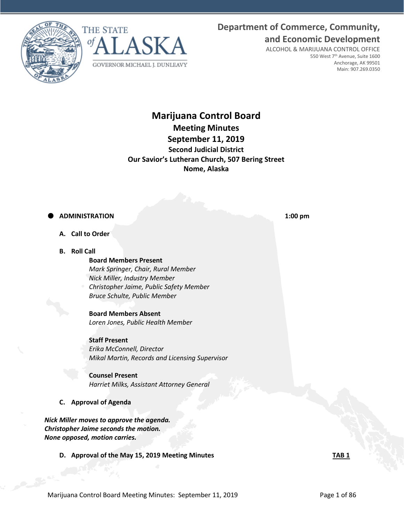**Department of Commerce, Community, and Economic Development**





ALCOHOL & MARIJUANA CONTROL OFFICE 550 West 7th Avenue, Suite 1600 Anchorage, AK 99501 Main: 907.269.0350

# **Marijuana Control Board Meeting Minutes September 11, 2019 Second Judicial District Our Savior's Lutheran Church, 507 Bering Street Nome, Alaska**

# **ADMINISTRATION 1:00 pm**

- **A. Call to Order**
- **B. Roll Call**

#### **Board Members Present**

- *Mark Springer, Chair, Rural Member Nick Miller, Industry Member Christopher Jaime, Public Safety Member*
- *Bruce Schulte, Public Member*

**Board Members Absent** *Loren Jones, Public Health Member*

#### **Staff Present**

*Erika McConnell, Director Mikal Martin, Records and Licensing Supervisor*

# **Counsel Present**

*Harriet Milks, Assistant Attorney General*

### **C. Approval of Agenda**

*Nick Miller moves to approve the agenda. Christopher Jaime seconds the motion. None opposed, motion carries.* 

**D. Approval of the May 15, 2019 Meeting Minutes TAB 1**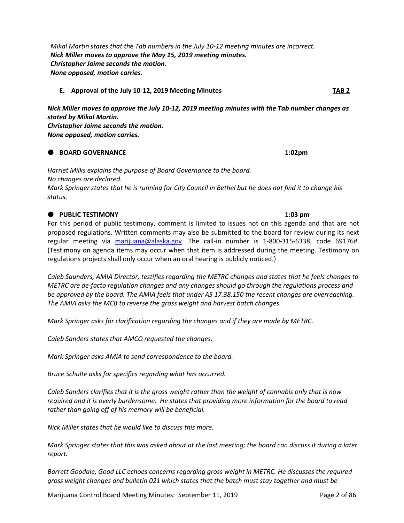Marijuana Control Board Meeting Minutes: September 11, 2019 **Page 2 of 86** 

*Mikal Martin states that the Tab numbers in the July 10-12 meeting minutes are incorrect. Nick Miller moves to approve the May 15, 2019 meeting minutes. Christopher Jaime seconds the motion. None opposed, motion carries.*

#### **E. Approval of the July 10-12, 2019 Meeting Minutes TAB 2**

*Nick Miller moves to approve the July 10-12, 2019 meeting minutes with the Tab number changes as stated by Mikal Martin. Christopher Jaime seconds the motion. None opposed, motion carries.*

### **BOARD GOVERNANCE 1:02pm**

*Harriet Milks explains the purpose of Board Governance to the board. No changes are declared. Mark Springer states that he is running for City Council in Bethel but he does not find it to change his status.* 

### **PUBLIC TESTIMONY 1:03 pm**

For this period of public testimony, comment is limited to issues not on this agenda and that are not proposed regulations. Written comments may also be submitted to the board for review during its next regular meeting via [marijuana@alaska.gov.](mailto:marijuana@alaska.gov) The call-in number is 1-800-315-6338, code 69176#. (Testimony on agenda items may occur when that item is addressed during the meeting. Testimony on regulations projects shall only occur when an oral hearing is publicly noticed.)

*Caleb Saunders, AMIA Director, testifies regarding the METRC changes and states that he feels changes to METRC are de-facto regulation changes and any changes should go through the regulations process and be approved by the board. The AMIA feels that under AS 17.38.150 the recent changes are overreaching. The AMIA asks the MCB to reverse the gross weight and harvest batch changes.* 

*Mark Springer asks for clarification regarding the changes and if they are made by METRC.* 

*Caleb Sanders states that AMCO requested the changes.* 

*Mark Springer asks AMIA to send correspondence to the board.*

*Bruce Schulte asks for specifics regarding what has occurred.* 

*Caleb Sanders clarifies that it is the gross weight rather than the weight of cannabis only that is now required and it is overly burdensome. He states that providing more information for the board to read rather than going off of his memory will be beneficial.* 

*Nick Miller states that he would like to discuss this more.*

*Mark Springer states that this was asked about at the last meeting; the board can discuss it during a later report.* 

*Barrett Goodale, Good LLC echoes concerns regarding gross weight in METRC. He discusses the required gross weight changes and bulletin 021 which states that the batch must stay together and must be*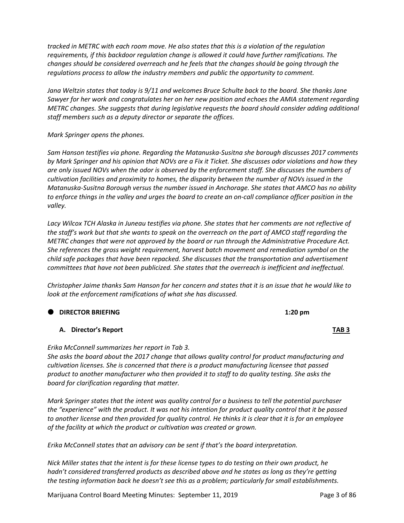*tracked in METRC with each room move. He also states that this is a violation of the regulation requirements, if this backdoor regulation change is allowed it could have further ramifications. The changes should be considered overreach and he feels that the changes should be going through the regulations process to allow the industry members and public the opportunity to comment.* 

*Jana Weltzin states that today is 9/11 and welcomes Bruce Schulte back to the board. She thanks Jane Sawyer for her work and congratulates her on her new position and echoes the AMIA statement regarding METRC changes. She suggests that during legislative requests the board should consider adding additional staff members such as a deputy director or separate the offices.* 

*Mark Springer opens the phones.* 

*Sam Hanson testifies via phone. Regarding the Matanuska-Susitna she borough discusses 2017 comments by Mark Springer and his opinion that NOVs are a Fix it Ticket. She discusses odor violations and how they are only issued NOVs when the odor is observed by the enforcement staff. She discusses the numbers of cultivation facilities and proximity to homes, the disparity between the number of NOVs issued in the Matanuska-Susitna Borough versus the number issued in Anchorage. She states that AMCO has no ability to enforce things in the valley and urges the board to create an on-call compliance officer position in the valley.* 

*Lacy Wilcox TCH Alaska in Juneau testifies via phone. She states that her comments are not reflective of the staff's work but that she wants to speak on the overreach on the part of AMCO staff regarding the METRC changes that were not approved by the board or run through the Administrative Procedure Act. She references the gross weight requirement, harvest batch movement and remediation symbol on the child safe packages that have been repacked. She discusses that the transportation and advertisement committees that have not been publicized. She states that the overreach is inefficient and ineffectual.* 

*Christopher Jaime thanks Sam Hanson for her concern and states that it is an issue that he would like to look at the enforcement ramifications of what she has discussed.* 

#### **DIRECTOR BRIEFING 1:20 pm**

#### **A. Director's Report TAB 3**

*Erika McConnell summarizes her report in Tab 3.*

*She asks the board about the 2017 change that allows quality control for product manufacturing and cultivation licenses. She is concerned that there is a product manufacturing licensee that passed product to another manufacturer who then provided it to staff to do quality testing. She asks the board for clarification regarding that matter.* 

*Mark Springer states that the intent was quality control for a business to tell the potential purchaser the "experience" with the product. It was not his intention for product quality control that it be passed to another license and then provided for quality control. He thinks it is clear that it is for an employee of the facility at which the product or cultivation was created or grown.*

*Erika McConnell states that an advisory can be sent if that's the board interpretation.*

*Nick Miller states that the intent is for these license types to do testing on their own product, he hadn't considered transferred products as described above and he states as long as they're getting the testing information back he doesn't see this as a problem; particularly for small establishments.* 

Marijuana Control Board Meeting Minutes: September 11, 2019 **Page 3 of 86**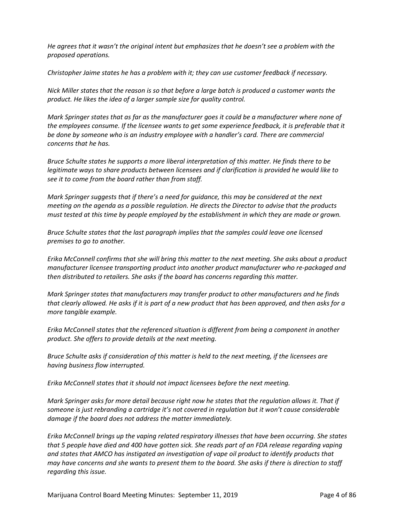*He agrees that it wasn't the original intent but emphasizes that he doesn't see a problem with the proposed operations.* 

*Christopher Jaime states he has a problem with it; they can use customer feedback if necessary.* 

*Nick Miller states that the reason is so that before a large batch is produced a customer wants the product. He likes the idea of a larger sample size for quality control.* 

*Mark Springer states that as far as the manufacturer goes it could be a manufacturer where none of the employees consume. If the licensee wants to get some experience feedback, it is preferable that it be done by someone who is an industry employee with a handler's card. There are commercial concerns that he has.* 

*Bruce Schulte states he supports a more liberal interpretation of this matter. He finds there to be legitimate ways to share products between licensees and if clarification is provided he would like to see it to come from the board rather than from staff.* 

*Mark Springer suggests that if there's a need for guidance, this may be considered at the next meeting on the agenda as a possible regulation. He directs the Director to advise that the products must tested at this time by people employed by the establishment in which they are made or grown.*

*Bruce Schulte states that the last paragraph implies that the samples could leave one licensed premises to go to another.* 

*Erika McConnell confirms that she will bring this matter to the next meeting. She asks about a product manufacturer licensee transporting product into another product manufacturer who re-packaged and then distributed to retailers. She asks if the board has concerns regarding this matter.* 

*Mark Springer states that manufacturers may transfer product to other manufacturers and he finds that clearly allowed. He asks if it is part of a new product that has been approved, and then asks for a more tangible example.* 

*Erika McConnell states that the referenced situation is different from being a component in another product. She offers to provide details at the next meeting.* 

*Bruce Schulte asks if consideration of this matter is held to the next meeting, if the licensees are having business flow interrupted.*

*Erika McConnell states that it should not impact licensees before the next meeting.* 

*Mark Springer asks for more detail because right now he states that the regulation allows it. That if someone is just rebranding a cartridge it's not covered in regulation but it won't cause considerable damage if the board does not address the matter immediately.* 

*Erika McConnell brings up the vaping related respiratory illnesses that have been occurring. She states that 5 people have died and 400 have gotten sick. She reads part of an FDA release regarding vaping and states that AMCO has instigated an investigation of vape oil product to identify products that may have concerns and she wants to present them to the board. She asks if there is direction to staff regarding this issue.*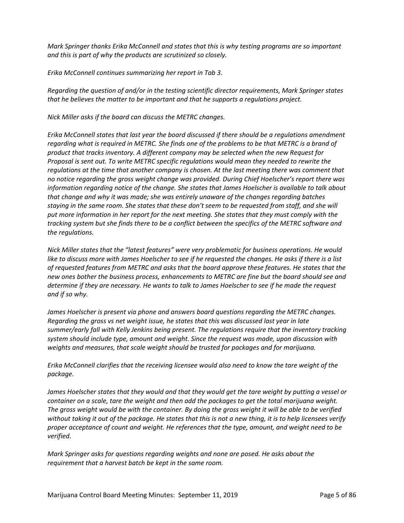*Mark Springer thanks Erika McConnell and states that this is why testing programs are so important and this is part of why the products are scrutinized so closely.* 

*Erika McConnell continues summarizing her report in Tab 3.* 

*Regarding the question of and/or in the testing scientific director requirements, Mark Springer states that he believes the matter to be important and that he supports a regulations project.* 

*Nick Miller asks if the board can discuss the METRC changes.* 

*Erika McConnell states that last year the board discussed if there should be a regulations amendment regarding what is required in METRC. She finds one of the problems to be that METRC is a brand of product that tracks inventory. A different company may be selected when the new Request for Proposal is sent out. To write METRC specific regulations would mean they needed to rewrite the regulations at the time that another company is chosen. At the last meeting there was comment that no notice regarding the gross weight change was provided. During Chief Hoelscher's report there was information regarding notice of the change. She states that James Hoelscher is available to talk about that change and why it was made; she was entirely unaware of the changes regarding batches staying in the same room. She states that these don't seem to be requested from staff, and she will put more information in her report for the next meeting. She states that they must comply with the tracking system but she finds there to be a conflict between the specifics of the METRC software and the regulations.* 

*Nick Miller states that the "latest features" were very problematic for business operations. He would like to discuss more with James Hoelscher to see if he requested the changes. He asks if there is a list of requested features from METRC and asks that the board approve these features. He states that the new ones bother the business process, enhancements to METRC are fine but the board should see and determine if they are necessary. He wants to talk to James Hoelscher to see if he made the request and if so why.* 

*James Hoelscher is present via phone and answers board questions regarding the METRC changes. Regarding the gross vs net weight issue, he states that this was discussed last year in late summer/early fall with Kelly Jenkins being present. The regulations require that the inventory tracking system should include type, amount and weight. Since the request was made, upon discussion with weights and measures, that scale weight should be trusted for packages and for marijuana.* 

*Erika McConnell clarifies that the receiving licensee would also need to know the tare weight of the package.* 

*James Hoelscher states that they would and that they would get the tare weight by putting a vessel or container on a scale, tare the weight and then add the packages to get the total marijuana weight. The gross weight would be with the container. By doing the gross weight it will be able to be verified without taking it out of the package. He states that this is not a new thing, it is to help licensees verify proper acceptance of count and weight. He references that the type, amount, and weight need to be verified.* 

*Mark Springer asks for questions regarding weights and none are posed. He asks about the requirement that a harvest batch be kept in the same room.*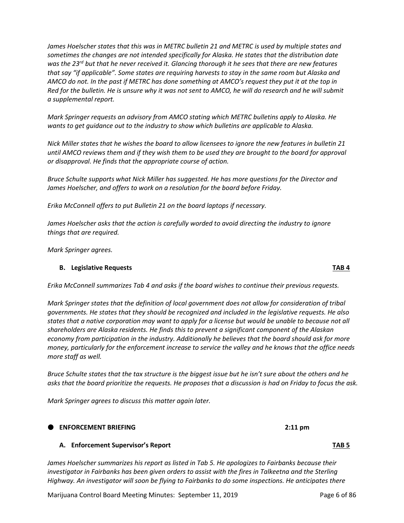*James Hoelscher states that this was in METRC bulletin 21 and METRC is used by multiple states and sometimes the changes are not intended specifically for Alaska. He states that the distribution date was the 23rd but that he never received it. Glancing thorough it he sees that there are new features that say "if applicable". Some states are requiring harvests to stay in the same room but Alaska and AMCO do not. In the past if METRC has done something at AMCO's request they put it at the top in Red for the bulletin. He is unsure why it was not sent to AMCO, he will do research and he will submit a supplemental report.* 

*Mark Springer requests an advisory from AMCO stating which METRC bulletins apply to Alaska. He wants to get guidance out to the industry to show which bulletins are applicable to Alaska.* 

*Nick Miller states that he wishes the board to allow licensees to ignore the new features in bulletin 21 until AMCO reviews them and if they wish them to be used they are brought to the board for approval or disapproval. He finds that the appropriate course of action.* 

*Bruce Schulte supports what Nick Miller has suggested. He has more questions for the Director and James Hoelscher, and offers to work on a resolution for the board before Friday.* 

*Erika McConnell offers to put Bulletin 21 on the board laptops if necessary.* 

*James Hoelscher asks that the action is carefully worded to avoid directing the industry to ignore things that are required.* 

*Mark Springer agrees.*

#### **B. Legislative Requests TAB 4**

*Erika McConnell summarizes Tab 4 and asks if the board wishes to continue their previous requests.* 

*Mark Springer states that the definition of local government does not allow for consideration of tribal governments. He states that they should be recognized and included in the legislative requests. He also states that a native corporation may want to apply for a license but would be unable to because not all shareholders are Alaska residents. He finds this to prevent a significant component of the Alaskan economy from participation in the industry. Additionally he believes that the board should ask for more money, particularly for the enforcement increase to service the valley and he knows that the office needs more staff as well.* 

*Bruce Schulte states that the tax structure is the biggest issue but he isn't sure about the others and he asks that the board prioritize the requests. He proposes that a discussion is had on Friday to focus the ask.* 

*Mark Springer agrees to discuss this matter again later.* 

#### **ENFORCEMENT BRIEFING 2:11 pm**

#### **A. Enforcement Supervisor's Report TAB 5**

*James Hoelscher summarizes his report as listed in Tab 5. He apologizes to Fairbanks because their investigator in Fairbanks has been given orders to assist with the fires in Talkeetna and the Sterling Highway. An investigator will soon be flying to Fairbanks to do some inspections. He anticipates there* 

Marijuana Control Board Meeting Minutes: September 11, 2019 **Page 6 of 86**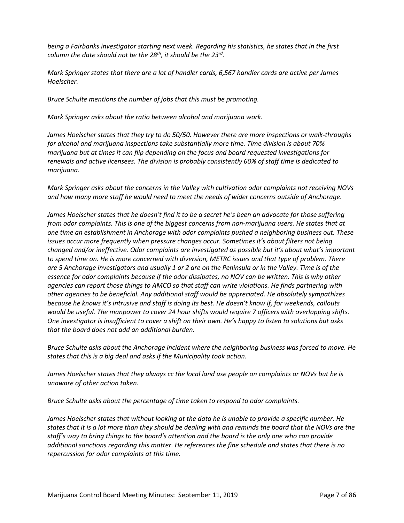*being a Fairbanks investigator starting next week. Regarding his statistics, he states that in the first column the date should not be the 28th, it should be the 23rd.* 

*Mark Springer states that there are a lot of handler cards, 6,567 handler cards are active per James Hoelscher.* 

*Bruce Schulte mentions the number of jobs that this must be promoting.*

*Mark Springer asks about the ratio between alcohol and marijuana work.* 

*James Hoelscher states that they try to do 50/50. However there are more inspections or walk-throughs for alcohol and marijuana inspections take substantially more time. Time division is about 70% marijuana but at times it can flip depending on the focus and board requested investigations for renewals and active licensees. The division is probably consistently 60% of staff time is dedicated to marijuana.* 

*Mark Springer asks about the concerns in the Valley with cultivation odor complaints not receiving NOVs and how many more staff he would need to meet the needs of wider concerns outside of Anchorage.*

*James Hoelscher states that he doesn't find it to be a secret he's been an advocate for those suffering from odor complaints. This is one of the biggest concerns from non-marijuana users. He states that at one time an establishment in Anchorage with odor complaints pushed a neighboring business out. These issues occur more frequently when pressure changes occur. Sometimes it's about filters not being changed and/or ineffective. Odor complaints are investigated as possible but it's about what's important to spend time on. He is more concerned with diversion, METRC issues and that type of problem. There are 5 Anchorage investigators and usually 1 or 2 are on the Peninsula or in the Valley. Time is of the essence for odor complaints because if the odor dissipates, no NOV can be written. This is why other agencies can report those things to AMCO so that staff can write violations. He finds partnering with other agencies to be beneficial. Any additional staff would be appreciated. He absolutely sympathizes because he knows it's intrusive and staff is doing its best. He doesn't know if, for weekends, callouts would be useful. The manpower to cover 24 hour shifts would require 7 officers with overlapping shifts. One investigator is insufficient to cover a shift on their own. He's happy to listen to solutions but asks that the board does not add an additional burden.* 

*Bruce Schulte asks about the Anchorage incident where the neighboring business was forced to move. He states that this is a big deal and asks if the Municipality took action.* 

*James Hoelscher states that they always cc the local land use people on complaints or NOVs but he is unaware of other action taken.* 

*Bruce Schulte asks about the percentage of time taken to respond to odor complaints.* 

*James Hoelscher states that without looking at the data he is unable to provide a specific number. He states that it is a lot more than they should be dealing with and reminds the board that the NOVs are the staff's way to bring things to the board's attention and the board is the only one who can provide additional sanctions regarding this matter. He references the fine schedule and states that there is no repercussion for odor complaints at this time.*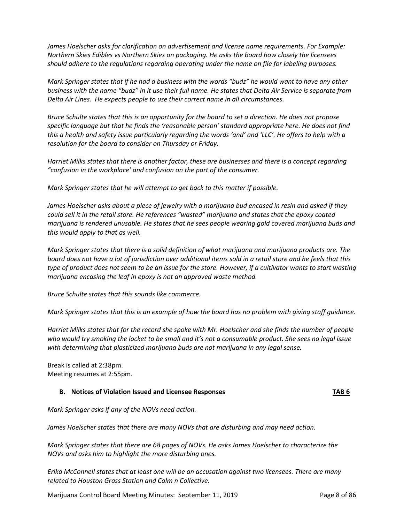*James Hoelscher asks for clarification on advertisement and license name requirements. For Example: Northern Skies Edibles vs Northern Skies on packaging. He asks the board how closely the licensees should adhere to the regulations regarding operating under the name on file for labeling purposes.*

*Mark Springer states that if he had a business with the words "budz" he would want to have any other business with the name "budz" in it use their full name. He states that Delta Air Service is separate from Delta Air Lines. He expects people to use their correct name in all circumstances.* 

*Bruce Schulte states that this is an opportunity for the board to set a direction. He does not propose specific language but that he finds the 'reasonable person' standard appropriate here. He does not find this a health and safety issue particularly regarding the words 'and' and 'LLC'. He offers to help with a resolution for the board to consider on Thursday or Friday.* 

*Harriet Milks states that there is another factor, these are businesses and there is a concept regarding "confusion in the workplace' and confusion on the part of the consumer.*

*Mark Springer states that he will attempt to get back to this matter if possible.* 

*James Hoelscher asks about a piece of jewelry with a marijuana bud encased in resin and asked if they could sell it in the retail store. He references "wasted" marijuana and states that the epoxy coated marijuana is rendered unusable. He states that he sees people wearing gold covered marijuana buds and this would apply to that as well.* 

*Mark Springer states that there is a solid definition of what marijuana and marijuana products are. The board does not have a lot of jurisdiction over additional items sold in a retail store and he feels that this type of product does not seem to be an issue for the store. However, if a cultivator wants to start wasting marijuana encasing the leaf in epoxy is not an approved waste method.* 

*Bruce Schulte states that this sounds like commerce.* 

*Mark Springer states that this is an example of how the board has no problem with giving staff guidance.* 

*Harriet Milks states that for the record she spoke with Mr. Hoelscher and she finds the number of people who would try smoking the locket to be small and it's not a consumable product. She sees no legal issue with determining that plasticized marijuana buds are not marijuana in any legal sense.* 

Break is called at 2:38pm. Meeting resumes at 2:55pm.

#### **B. Notices of Violation Issued and Licensee Responses TAB 6**

*Mark Springer asks if any of the NOVs need action.*

*James Hoelscher states that there are many NOVs that are disturbing and may need action.* 

*Mark Springer states that there are 68 pages of NOVs. He asks James Hoelscher to characterize the NOVs and asks him to highlight the more disturbing ones.* 

*Erika McConnell states that at least one will be an accusation against two licensees. There are many related to Houston Grass Station and Calm n Collective.* 

Marijuana Control Board Meeting Minutes: September 11, 2019 **Page 8 of 86**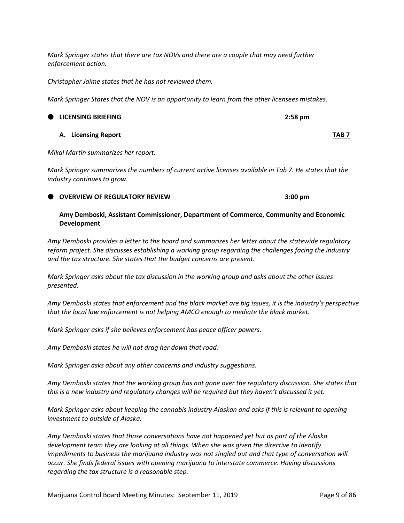*Mark Springer states that there are tax NOVs and there are a couple that may need further enforcement action.* 

*Christopher Jaime states that he has not reviewed them.* 

*Mark Springer States that the NOV is an opportunity to learn from the other licensees mistakes.* 

# **LICENSING BRIEFING 2:58 pm**

**A. Licensing Report TAB 7**

*Mikal Martin summarizes her report.* 

*Mark Springer summarizes the numbers of current active licenses available in Tab 7. He states that the industry continues to grow.* 

#### **OVERVIEW OF REGULATORY REVIEW 3:00 pm**

#### **Amy Demboski, Assistant Commissioner, Department of Commerce, Community and Economic Development**

*Amy Demboski provides a letter to the board and summarizes her letter about the statewide regulatory reform project. She discusses establishing a working group regarding the challenges facing the industry and the tax structure. She states that the budget concerns are present.*

*Mark Springer asks about the tax discussion in the working group and asks about the other issues presented.* 

*Amy Demboski states that enforcement and the black market are big issues, it is the industry's perspective that the local law enforcement is not helping AMCO enough to mediate the black market.* 

*Mark Springer asks if she believes enforcement has peace officer powers.*

*Amy Demboski states he will not drag her down that road.*

*Mark Springer asks about any other concerns and industry suggestions.*

*Amy Demboski states that the working group has not gone over the regulatory discussion. She states that this is a new industry and regulatory changes will be required but they haven't discussed it yet.* 

*Mark Springer asks about keeping the cannabis industry Alaskan and asks if this is relevant to opening investment to outside of Alaska.*

*Amy Demboski states that those conversations have not happened yet but as part of the Alaska development team they are looking at all things. When she was given the directive to identify impediments to business the marijuana industry was not singled out and that type of conversation will occur. She finds federal issues with opening marijuana to interstate commerce. Having discussions regarding the tax structure is a reasonable step.*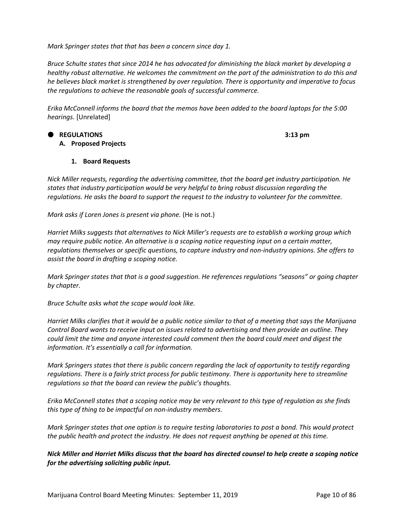*Mark Springer states that that has been a concern since day 1.* 

*Bruce Schulte states that since 2014 he has advocated for diminishing the black market by developing a healthy robust alternative. He welcomes the commitment on the part of the administration to do this and he believes black market is strengthened by over regulation. There is opportunity and imperative to focus the regulations to achieve the reasonable goals of successful commerce.* 

*Erika McConnell informs the board that the memos have been added to the board laptops for the 5:00 hearings.* [Unrelated]

# **REGULATIONS 3:13 pm**

**A. Proposed Projects**

#### **1. Board Requests**

*Nick Miller requests, regarding the advertising committee, that the board get industry participation. He states that industry participation would be very helpful to bring robust discussion regarding the regulations. He asks the board to support the request to the industry to volunteer for the committee.* 

*Mark asks if Loren Jones is present via phone.* (He is not.)

*Harriet Milks suggests that alternatives to Nick Miller's requests are to establish a working group which may require public notice. An alternative is a scoping notice requesting input on a certain matter, regulations themselves or specific questions, to capture industry and non-industry opinions. She offers to assist the board in drafting a scoping notice.* 

*Mark Springer states that that is a good suggestion. He references regulations "seasons" or going chapter by chapter.* 

*Bruce Schulte asks what the scope would look like.* 

*Harriet Milks clarifies that it would be a public notice similar to that of a meeting that says the Marijuana Control Board wants to receive input on issues related to advertising and then provide an outline. They could limit the time and anyone interested could comment then the board could meet and digest the information. It's essentially a call for information.* 

*Mark Springers states that there is public concern regarding the lack of opportunity to testify regarding regulations. There is a fairly strict process for public testimony. There is opportunity here to streamline regulations so that the board can review the public's thoughts.* 

*Erika McConnell states that a scoping notice may be very relevant to this type of regulation as she finds this type of thing to be impactful on non-industry members.* 

*Mark Springer states that one option is to require testing laboratories to post a bond. This would protect the public health and protect the industry. He does not request anything be opened at this time.* 

*Nick Miller and Harriet Milks discuss that the board has directed counsel to help create a scoping notice for the advertising soliciting public input.*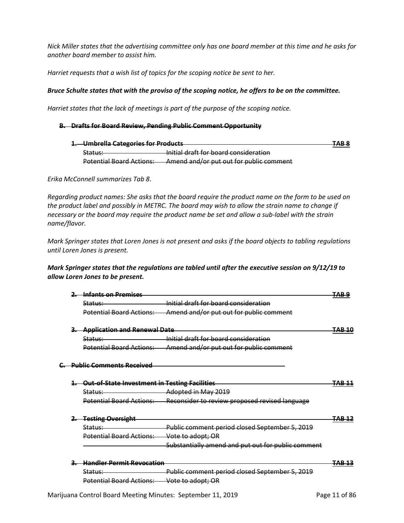*Nick Miller states that the advertising committee only has one board member at this time and he asks for another board member to assist him.* 

*Harriet requests that a wish list of topics for the scoping notice be sent to her.* 

#### *Bruce Schulte states that with the proviso of the scoping notice, he offers to be on the committee.*

*Harriet states that the lack of meetings is part of the purpose of the scoping notice.* 

#### **B. Drafts for Board Review, Pending Public Comment Opportunity**

| 1. Umbrella Categories for Products                            |                                         | TAD 0<br>TADO |
|----------------------------------------------------------------|-----------------------------------------|---------------|
| <del>Status:</del>                                             | Initial draft for board consideration   |               |
| Dotantial Roard Actions<br><del>rolehtiai boaru Actions.</del> | Amend and/or put out for public comment |               |

*Erika McConnell summarizes Tab 8*.

*Regarding product names: She asks that the board require the product name on the form to be used on the product label and possibly in METRC. The board may wish to allow the strain name to change if necessary or the board may require the product name be set and allow a sub-label with the strain name/flavor.* 

*Mark Springer states that Loren Jones is not present and asks if the board objects to tabling regulations until Loren Jones is present.* 

#### *Mark Springer states that the regulations are tabled until after the executive session on 9/12/19 to allow Loren Jones to be present.*

|  | Infants on Promises                                  |                                                    |       |
|--|------------------------------------------------------|----------------------------------------------------|-------|
|  | Status:                                              | Initial draft for board consideration              |       |
|  | <b>Potential Board Actions:</b>                      | Amend and/or put out for public comment            |       |
|  | <b>Application and Renewal Date</b>                  |                                                    |       |
|  | Status:                                              | Initial draft for board consideration              |       |
|  | <b>Potential Board Actions:</b>                      | Amend and/or put out for public comment            |       |
|  | <b>Public Comments Received</b>                      |                                                    |       |
|  | <b>Out-of-State Investment in Testing Facilities</b> |                                                    | TAB 1 |
|  | Status:                                              | Adopted in May 2019                                |       |
|  | <b>Potential Board Actions:</b>                      | Reconsider to review proposed revised language     |       |
|  | <b>Testing Oversight</b>                             |                                                    |       |
|  | Status:                                              | Public comment period closed September 5, 2019     |       |
|  | <b>Potential Board Actions:</b>                      | Vote to adopt; OR                                  |       |
|  |                                                      | Substantially amend and put out for public comment |       |
|  | <b>Handler Permit Revocation</b>                     |                                                    | TAB 1 |
|  | Status:                                              | Public comment period closed September 5, 2019     |       |
|  | <b>Potential Board Actions:</b>                      | Vote to adopt; OR                                  |       |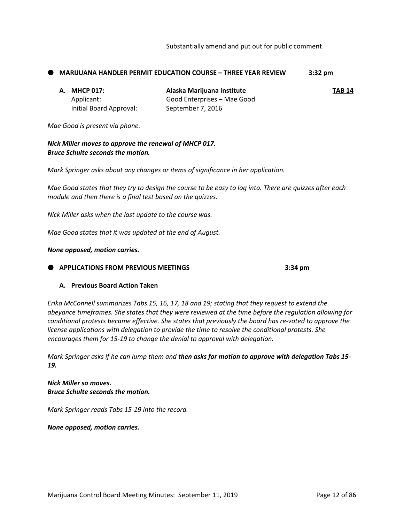Substantially amend and put out for public comment

#### **MARIJUANA HANDLER PERMIT EDUCATION COURSE – THREE YEAR REVIEW 3:32 pm**

| A. MHCP 017:            | Alaska Marijuana Institute  | TAB 14 |
|-------------------------|-----------------------------|--------|
| Applicant:              | Good Enterprises - Mae Good |        |
| Initial Board Approval: | September 7, 2016           |        |

*Mae Good is present via phone.*

*Nick Miller moves to approve the renewal of MHCP 017. Bruce Schulte seconds the motion.* 

*Mark Springer asks about any changes or items of significance in her application.*

*Mae Good states that they try to design the course to be easy to log into. There are quizzes after each module and then there is a final test based on the quizzes.* 

*Nick Miller asks when the last update to the course was.*

*Mae Good states that it was updated at the end of August.* 

#### *None opposed, motion carries.*

#### **APPLICATIONS FROM PREVIOUS MEETINGS 3:34 pm**

#### **A. Previous Board Action Taken**

*Erika McConnell summarizes Tabs 15, 16, 17, 18 and 19; stating that they request to extend the abeyance timeframes. She states that they were reviewed at the time before the regulation allowing for conditional protests became effective. She states that previously the board has re-voted to approve the license applications with delegation to provide the time to resolve the conditional protests. She encourages them for 15-19 to change the denial to approval with delegation.* 

*Mark Springer asks if he can lump them and then asks for motion to approve with delegation Tabs 15- 19.* 

*Nick Miller so moves. Bruce Schulte seconds the motion.*

*Mark Springer reads Tabs 15-19 into the record.* 

*None opposed, motion carries.*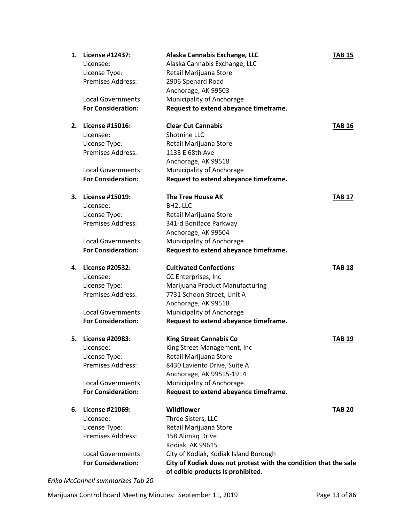| 1. | License #12437:<br>Licensee:<br>License Type:<br>Premises Address:<br><b>Local Governments:</b><br><b>For Consideration:</b>        | Alaska Cannabis Exchange, LLC<br>Alaska Cannabis Exchange, LLC<br>Retail Marijuana Store<br>2906 Spenard Road<br>Anchorage, AK 99503<br>Municipality of Anchorage<br>Request to extend abeyance timeframe.                                           | <b>TAB 15</b> |
|----|-------------------------------------------------------------------------------------------------------------------------------------|------------------------------------------------------------------------------------------------------------------------------------------------------------------------------------------------------------------------------------------------------|---------------|
| 2. | License #15016:<br>Licensee:<br>License Type:<br><b>Premises Address:</b><br>Local Governments:<br><b>For Consideration:</b>        | <b>Clear Cut Cannabis</b><br>Shotnine LLC<br>Retail Marijuana Store<br>1133 E 68th Ave<br>Anchorage, AK 99518<br>Municipality of Anchorage<br>Request to extend abeyance timeframe.                                                                  | <b>TAB 16</b> |
| З. | License #15019:<br>Licensee:<br>License Type:<br><b>Premises Address:</b><br><b>Local Governments:</b><br><b>For Consideration:</b> | <b>The Tree House AK</b><br>BH <sub>2</sub> , LLC<br>Retail Marijuana Store<br>341-d Boniface Parkway<br>Anchorage, AK 99504<br>Municipality of Anchorage<br>Request to extend abeyance timeframe.                                                   | <b>TAB 17</b> |
| 4. | License #20532:<br>Licensee:<br>License Type:<br><b>Premises Address:</b><br>Local Governments:<br><b>For Consideration:</b>        | <b>Cultivated Confections</b><br>CC Enterprises, Inc<br>Marijuana Product Manufacturing<br>7731 Schoon Street, Unit A<br>Anchorage, AK 99518<br>Municipality of Anchorage<br>Request to extend abeyance timeframe.                                   | <b>TAB 18</b> |
| 5. | License #20983:<br>Licensee:<br>License Type:<br><b>Premises Address:</b><br>Local Governments:<br><b>For Consideration:</b>        | <b>King Street Cannabis Co</b><br>King Street Management, Inc<br>Retail Marijuana Store<br>8430 Laviento Drive, Suite A<br>Anchorage, AK 99515-1914<br>Municipality of Anchorage<br>Request to extend abeyance timeframe.                            | <b>TAB 19</b> |
| 6. | License #21069:<br>Licensee:<br>License Type:<br><b>Premises Address:</b><br>Local Governments:<br><b>For Consideration:</b>        | Wildflower<br>Three Sisters, LLC<br>Retail Marijuana Store<br>158 Alimaq Drive<br>Kodiak, AK 99615<br>City of Kodiak, Kodiak Island Borough<br>City of Kodiak does not protest with the condition that the sale<br>of edible products is prohibited. | <b>TAB 20</b> |

*Erika McConnell summarizes Tab 20.*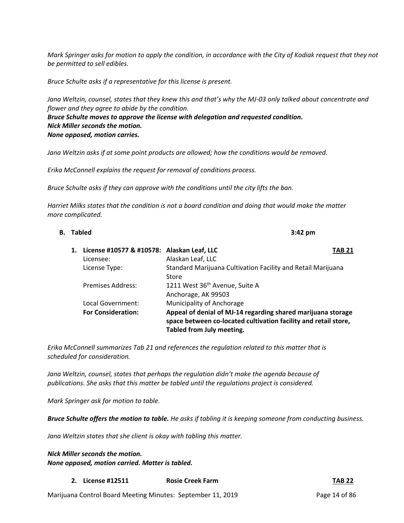*Mark Springer asks for motion to apply the condition, in accordance with the City of Kodiak request that they not be permitted to sell edibles.*

*Bruce Schulte asks if a representative for this license is present.*

*Jana Weltzin, counsel, states that they knew this and that's why the MJ-03 only talked about concentrate and flower and they agree to abide by the condition. Bruce Schulte moves to approve the license with delegation and requested condition. Nick Miller seconds the motion.* 

*None opposed, motion carries.* 

Jana Weltzin asks if at some point products are allowed; how the conditions would be removed.

*Erika McConnell explains the request for removal of conditions process.* 

*Bruce Schulte asks if they can approve with the conditions until the city lifts the ban.*

*Harriet Milks states that the condition is not a board condition and doing that would make the matter more complicated.* 

#### **B. Tabled 3:42 pm**

| 1. License #10577 & #10578: Alaskan Leaf, LLC |                                                                                                                                                              | TAB 21 |
|-----------------------------------------------|--------------------------------------------------------------------------------------------------------------------------------------------------------------|--------|
| Licensee:                                     | Alaskan Leaf, LLC                                                                                                                                            |        |
| License Type:                                 | Standard Marijuana Cultivation Facility and Retail Marijuana                                                                                                 |        |
|                                               | Store                                                                                                                                                        |        |
| Premises Address:                             | 1211 West 36 <sup>th</sup> Avenue, Suite A                                                                                                                   |        |
|                                               | Anchorage, AK 99503                                                                                                                                          |        |
| Local Government:                             | Municipality of Anchorage                                                                                                                                    |        |
| <b>For Consideration:</b>                     | Appeal of denial of MJ-14 regarding shared marijuana storage<br>space between co-located cultivation facility and retail store,<br>Tabled from July meeting. |        |
|                                               |                                                                                                                                                              |        |

*Erika McConnell summarizes Tab 21 and references the regulation related to this matter that is scheduled for consideration.*

*Jana Weltzin, counsel, states that perhaps the regulation didn't make the agenda because of publications. She asks that this matter be tabled until the regulations project is considered.* 

*Mark Springer ask for motion to table.* 

*Bruce Schulte offers the motion to table. He asks if tabling it is keeping someone from conducting business.* 

*Jana Weltzin states that she client is okay with tabling this matter.* 

# *Nick Miller seconds the motion. None opposed, motion carried. Matter is tabled.*

**2. License #12511 Rosie Creek Farm TAB 22**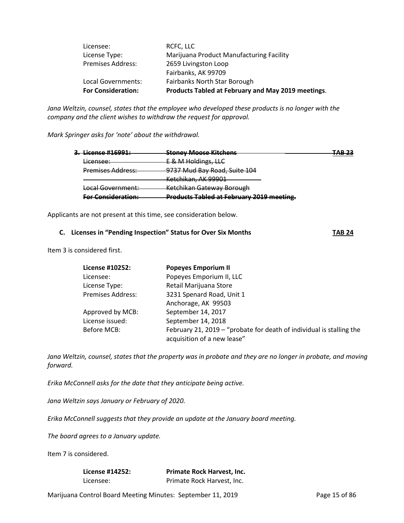| <b>For Consideration:</b> | Products Tabled at February and May 2019 meetings. |
|---------------------------|----------------------------------------------------|
| Local Governments:        | Fairbanks North Star Borough                       |
|                           | Fairbanks, AK 99709                                |
| <b>Premises Address:</b>  | 2659 Livingston Loop                               |
| License Type:             | Marijuana Product Manufacturing Facility           |
| Licensee:                 | RCFC, LLC                                          |

*Jana Weltzin, counsel, states that the employee who developed these products is no longer with the company and the client wishes to withdraw the request for approval.*

*Mark Springer asks for 'note' about the withdrawal.* 

| Ticanca #16001+<br><del>ur acchue miosur.</del> | Stanov Maaca Kitchanc<br><del>stoney iviouse itituliens</del> | כר סמד<br>—— |
|-------------------------------------------------|---------------------------------------------------------------|--------------|
| Licensee:                                       | E & M Holdings, LLC                                           |              |
| <b>Premises Address:</b>                        | 9737 Mud Bay Road, Suite 104                                  |              |
|                                                 | Ketchikan, AK 99901                                           |              |
| Local Government:                               | Ketchikan Gateway Borough                                     |              |
| <b>Ear Consideration:</b>                       | <b>Products Tabled at February 2019 meeting.</b>              |              |

Applicants are not present at this time, see consideration below.

#### **C. Licenses in "Pending Inspection" Status for Over Six Months TAB 24**

Item 3 is considered first.

| License #10252:          | <b>Popeyes Emporium II</b>                                                                          |
|--------------------------|-----------------------------------------------------------------------------------------------------|
| Licensee:                | Popeyes Emporium II, LLC                                                                            |
| License Type:            | Retail Marijuana Store                                                                              |
| <b>Premises Address:</b> | 3231 Spenard Road, Unit 1                                                                           |
|                          | Anchorage, AK 99503                                                                                 |
| Approved by MCB:         | September 14, 2017                                                                                  |
| License issued:          | September 14, 2018                                                                                  |
| Before MCB:              | February 21, 2019 – "probate for death of individual is stalling the<br>acquisition of a new lease" |

*Jana Weltzin, counsel, states that the property was in probate and they are no longer in probate, and moving forward.* 

*Erika McConnell asks for the date that they anticipate being active.* 

*Jana Weltzin says January or February of 2020.* 

*Erika McConnell suggests that they provide an update at the January board meeting.* 

*The board agrees to a January update.* 

Item 7 is considered.

| License #14252: | <b>Primate Rock Harvest, Inc.</b> |
|-----------------|-----------------------------------|
| Licensee:       | Primate Rock Harvest, Inc.        |

Marijuana Control Board Meeting Minutes: September 11, 2019 Page 15 of 86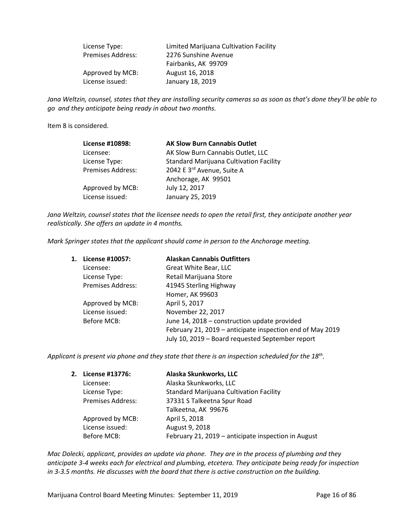| License Type:            | Limited Marijuana Cultivation Facility |
|--------------------------|----------------------------------------|
| <b>Premises Address:</b> | 2276 Sunshine Avenue                   |
|                          | Fairbanks, AK 99709                    |
| Approved by MCB:         | August 16, 2018                        |
| License issued:          | January 18, 2019                       |

*Jana Weltzin, counsel, states that they are installing security cameras so as soon as that's done they'll be able to go and they anticipate being ready in about two months.* 

Item 8 is considered.

| License #10898:          | <b>AK Slow Burn Cannabis Outlet</b>            |
|--------------------------|------------------------------------------------|
| Licensee:                | AK Slow Burn Cannabis Outlet, LLC              |
| License Type:            | <b>Standard Marijuana Cultivation Facility</b> |
| <b>Premises Address:</b> | 2042 E 3rd Avenue, Suite A                     |
|                          | Anchorage, AK 99501                            |
| Approved by MCB:         | July 12, 2017                                  |
| License issued:          | January 25, 2019                               |

*Jana Weltzin, counsel states that the licensee needs to open the retail first, they anticipate another year realistically. She offers an update in 4 months.* 

*Mark Springer states that the applicant should come in person to the Anchorage meeting.* 

| 1. | License #10057:          | <b>Alaskan Cannabis Outfitters</b>                        |
|----|--------------------------|-----------------------------------------------------------|
|    | Licensee:                | Great White Bear, LLC                                     |
|    | License Type:            | Retail Marijuana Store                                    |
|    | <b>Premises Address:</b> | 41945 Sterling Highway                                    |
|    |                          | Homer, AK 99603                                           |
|    | Approved by MCB:         | April 5, 2017                                             |
|    | License issued:          | November 22, 2017                                         |
|    | Before MCB:              | June 14, 2018 – construction update provided              |
|    |                          | February 21, 2019 – anticipate inspection end of May 2019 |
|    |                          | July 10, 2019 - Board requested September report          |

*Applicant is present via phone and they state that there is an inspection scheduled for the 18th.* 

| 2. License #13776:       | Alaska Skunkworks, LLC                              |
|--------------------------|-----------------------------------------------------|
| Licensee:                | Alaska Skunkworks, LLC                              |
| License Type:            | <b>Standard Marijuana Cultivation Facility</b>      |
| <b>Premises Address:</b> | 37331 S Talkeetna Spur Road                         |
|                          | Talkeetna, AK 99676                                 |
| Approved by MCB:         | April 5, 2018                                       |
| License issued:          | August 9, 2018                                      |
| Before MCB:              | February 21, 2019 - anticipate inspection in August |

*Mac Dolecki, applicant, provides an update via phone. They are in the process of plumbing and they anticipate 3-4 weeks each for electrical and plumbing, etcetera. They anticipate being ready for inspection in 3-3.5 months. He discusses with the board that there is active construction on the building.*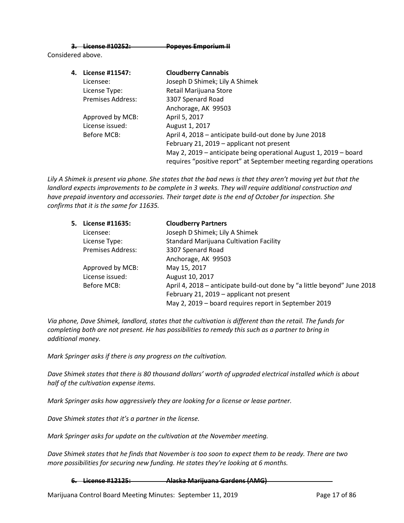#### **3. License #10252: Popeyes Emporium II**

Considered above.

| 4. | License #11547:          | <b>Cloudberry Cannabis</b>                                           |
|----|--------------------------|----------------------------------------------------------------------|
|    | Licensee:                | Joseph D Shimek; Lily A Shimek                                       |
|    | License Type:            | Retail Marijuana Store                                               |
|    | <b>Premises Address:</b> | 3307 Spenard Road                                                    |
|    |                          | Anchorage, AK 99503                                                  |
|    | Approved by MCB:         | April 5, 2017                                                        |
|    | License issued:          | August 1, 2017                                                       |
|    | Before MCB:              | April 4, 2018 – anticipate build-out done by June 2018               |
|    |                          | February 21, 2019 - applicant not present                            |
|    |                          | May 2, 2019 – anticipate being operational August 1, 2019 – board    |
|    |                          | requires "positive report" at September meeting regarding operations |

*Lily A Shimek is present via phone. She states that the bad news is that they aren't moving yet but that the landlord expects improvements to be complete in 3 weeks. They will require additional construction and have prepaid inventory and accessories. Their target date is the end of October for inspection. She confirms that it is the same for 11635.*

| License #11635:          | <b>Cloudberry Partners</b>                                               |
|--------------------------|--------------------------------------------------------------------------|
| Licensee:                | Joseph D Shimek; Lily A Shimek                                           |
| License Type:            | <b>Standard Marijuana Cultivation Facility</b>                           |
| <b>Premises Address:</b> | 3307 Spenard Road                                                        |
|                          | Anchorage, AK 99503                                                      |
| Approved by MCB:         | May 15, 2017                                                             |
| License issued:          | August 10, 2017                                                          |
| Before MCB:              | April 4, 2018 – anticipate build-out done by "a little beyond" June 2018 |
|                          | February 21, 2019 - applicant not present                                |
|                          | May 2, 2019 - board requires report in September 2019                    |
| 5.                       |                                                                          |

*Via phone, Dave Shimek, landlord, states that the cultivation is different than the retail. The funds for completing both are not present. He has possibilities to remedy this such as a partner to bring in additional money.* 

*Mark Springer asks if there is any progress on the cultivation.* 

*Dave Shimek states that there is 80 thousand dollars' worth of upgraded electrical installed which is about half of the cultivation expense items.*

*Mark Springer asks how aggressively they are looking for a license or lease partner.*

*Dave Shimek states that it's a partner in the license.* 

*Mark Springer asks for update on the cultivation at the November meeting.*

*Dave Shimek states that he finds that November is too soon to expect them to be ready. There are two more possibilities for securing new funding. He states they're looking at 6 months.* 

**6. License #12125: Alaska Marijuana Gardens (AMG)**

Marijuana Control Board Meeting Minutes: September 11, 2019 Page 17 of 86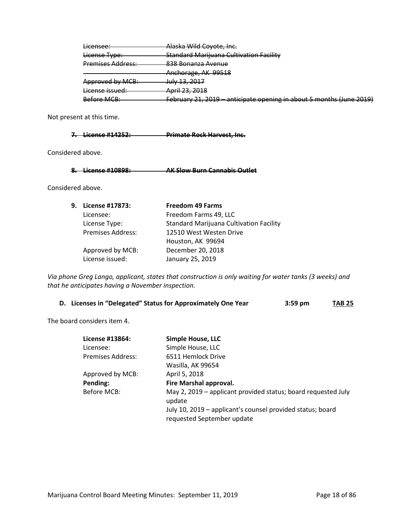| Licensee:                | Alaska Wild Coyote, Inc.                                             |
|--------------------------|----------------------------------------------------------------------|
| License Type:            | <b>Standard Marijuana Cultivation Facility</b>                       |
| <b>Premises Address:</b> | 838 Bonanza Avenue                                                   |
|                          | Anchorage, AK 99518                                                  |
| Approved by MCB:         | <u>Iuly 12, 2017</u><br><del>JUIY 13, 2017</del>                     |
| License issued:          | <del>April 23, 2018</del>                                            |
| <b>Before MCB:</b>       | February 21, 2019 – anticipate opening in about 5 months (June 2019) |

Not present at this time.

# **7. License #14252: Primate Rock Harvest, Inc.**

Considered above.

**8. License #10898: AK Slow Burn Cannabis Outlet**

Considered above.

| 9. | License #17873:          | <b>Freedom 49 Farms</b>                        |
|----|--------------------------|------------------------------------------------|
|    | Licensee:                | Freedom Farms 49, LLC                          |
|    | License Type:            | <b>Standard Marijuana Cultivation Facility</b> |
|    | <b>Premises Address:</b> | 12510 West Westen Drive                        |
|    |                          | Houston, AK 99694                              |
|    | Approved by MCB:         | December 20, 2018                              |
|    | License issued:          | January 25, 2019                               |

*Via phone Greg Lango, applicant, states that construction is only waiting for water tanks (3 weeks) and that he anticipates having a November inspection.* 

|  |  | D. Licenses in "Delegated" Status for Approximately One Year | $3:59$ pm | <b>TAB 25</b> |
|--|--|--------------------------------------------------------------|-----------|---------------|
|--|--|--------------------------------------------------------------|-----------|---------------|

The board considers item 4.

| License #13864:   | <b>Simple House, LLC</b>                                                |
|-------------------|-------------------------------------------------------------------------|
| Licensee:         | Simple House, LLC                                                       |
| Premises Address: | 6511 Hemlock Drive                                                      |
|                   | Wasilla, AK 99654                                                       |
| Approved by MCB:  | April 5, 2018                                                           |
| Pending:          | Fire Marshal approval.                                                  |
| Before MCB:       | May 2, 2019 - applicant provided status; board requested July<br>update |
|                   | July 10, 2019 – applicant's counsel provided status; board              |
|                   | requested September update                                              |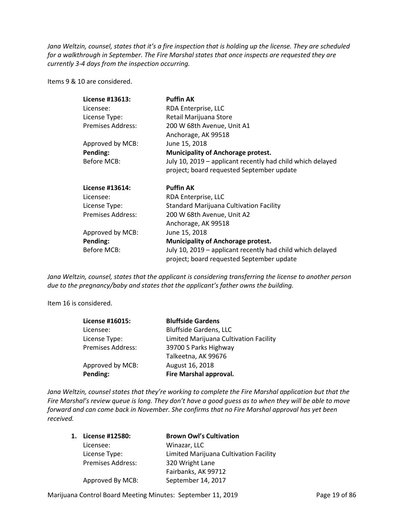*Jana Weltzin, counsel, states that it's a fire inspection that is holding up the license. They are scheduled for a walkthrough in September. The Fire Marshal states that once inspects are requested they are currently 3-4 days from the inspection occurring.* 

Items 9 & 10 are considered.

| License #13613:          | <b>Puffin AK</b>                                           |
|--------------------------|------------------------------------------------------------|
| Licensee:                | RDA Enterprise, LLC                                        |
| License Type:            | Retail Marijuana Store                                     |
| Premises Address:        | 200 W 68th Avenue, Unit A1                                 |
|                          | Anchorage, AK 99518                                        |
| Approved by MCB:         | June 15, 2018                                              |
| Pending:                 | <b>Municipality of Anchorage protest.</b>                  |
| Before MCB:              | July 10, 2019 - applicant recently had child which delayed |
|                          | project; board requested September update                  |
| License #13614:          | <b>Puffin AK</b>                                           |
| Licensee:                | RDA Enterprise, LLC                                        |
| License Type:            | <b>Standard Marijuana Cultivation Facility</b>             |
| <b>Premises Address:</b> | 200 W 68th Avenue, Unit A2                                 |
|                          | Anchorage, AK 99518                                        |
| Approved by MCB:         | June 15, 2018                                              |
| Pending:                 | <b>Municipality of Anchorage protest.</b>                  |
| Before MCB:              | July 10, 2019 – applicant recently had child which delayed |
|                          | project; board requested September update                  |

*Jana Weltzin, counsel, states that the applicant is considering transferring the license to another person due to the pregnancy/baby and states that the applicant's father owns the building.* 

Item 16 is considered.

| <b>Bluffside Gardens</b>               |
|----------------------------------------|
| <b>Bluffside Gardens, LLC</b>          |
| Limited Marijuana Cultivation Facility |
| 39700 S Parks Highway                  |
| Talkeetna, AK 99676                    |
| August 16, 2018                        |
| Fire Marshal approval.                 |
|                                        |

*Jana Weltzin, counsel states that they're working to complete the Fire Marshal application but that the Fire Marshal's review queue is long. They don't have a good guess as to when they will be able to move forward and can come back in November. She confirms that no Fire Marshal approval has yet been received.* 

| 1. | License #12580:          | <b>Brown Owl's Cultivation</b>         |
|----|--------------------------|----------------------------------------|
|    | Licensee:                | Winazar, LLC                           |
|    | License Type:            | Limited Marijuana Cultivation Facility |
|    | <b>Premises Address:</b> | 320 Wright Lane                        |
|    |                          | Fairbanks, AK 99712                    |
|    | Approved By MCB:         | September 14, 2017                     |

Marijuana Control Board Meeting Minutes: September 11, 2019 Page 19 of 86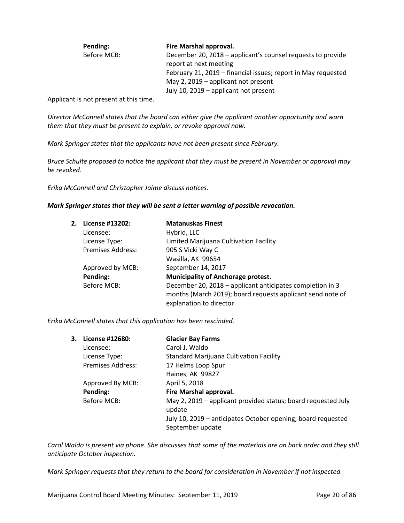| Pending:    | Fire Marshal approval.                                        |
|-------------|---------------------------------------------------------------|
| Before MCB: | December 20, 2018 – applicant's counsel requests to provide   |
|             | report at next meeting                                        |
|             | February 21, 2019 – financial issues; report in May requested |
|             | May 2, 2019 – applicant not present                           |
|             | July 10, 2019 – applicant not present                         |

Applicant is not present at this time.

*Director McConnell states that the board can either give the applicant another opportunity and warn them that they must be present to explain, or revoke approval now.* 

*Mark Springer states that the applicants have not been present since February.* 

*Bruce Schulte proposed to notice the applicant that they must be present in November or approval may be revoked.* 

*Erika McConnell and Christopher Jaime discuss notices.* 

#### *Mark Springer states that they will be sent a letter warning of possible revocation.*

| 2. | License #13202:          | <b>Matanuskas Finest</b>                                   |
|----|--------------------------|------------------------------------------------------------|
|    | Licensee:                | Hybrid, LLC                                                |
|    | License Type:            | Limited Marijuana Cultivation Facility                     |
|    | <b>Premises Address:</b> | 905 S Vicki Way C                                          |
|    |                          | Wasilla, AK 99654                                          |
|    | Approved by MCB:         | September 14, 2017                                         |
|    | Pending:                 | <b>Municipality of Anchorage protest.</b>                  |
|    | Before MCB:              | December 20, 2018 - applicant anticipates completion in 3  |
|    |                          | months (March 2019); board requests applicant send note of |
|    |                          | explanation to director                                    |

*Erika McConnell states that this application has been rescinded.* 

| 3. License #12680: | <b>Glacier Bay Farms</b>                                                         |
|--------------------|----------------------------------------------------------------------------------|
| Licensee:          | Carol J. Waldo                                                                   |
| License Type:      | <b>Standard Marijuana Cultivation Facility</b>                                   |
| Premises Address:  | 17 Helms Loop Spur                                                               |
|                    | Haines, AK 99827                                                                 |
| Approved By MCB:   | April 5, 2018                                                                    |
| Pending:           | Fire Marshal approval.                                                           |
| Before MCB:        | May 2, 2019 - applicant provided status; board requested July<br>update          |
|                    | July 10, 2019 – anticipates October opening; board requested<br>September update |

*Carol Waldo is present via phone. She discusses that some of the materials are on back order and they still anticipate October inspection.* 

*Mark Springer requests that they return to the board for consideration in November if not inspected.*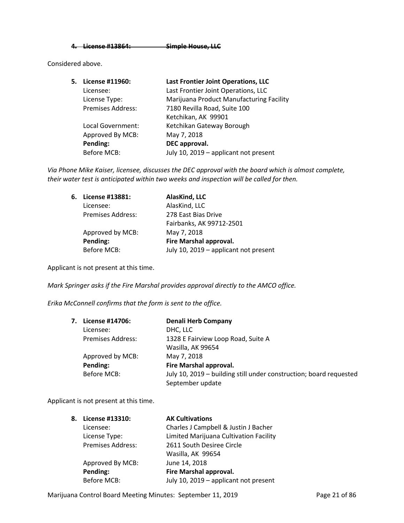**4. License #13864: Simple House, LLC** 

Considered above.

| 5. | License #11960:          | Last Frontier Joint Operations, LLC      |
|----|--------------------------|------------------------------------------|
|    | Licensee:                | Last Frontier Joint Operations, LLC      |
|    | License Type:            | Marijuana Product Manufacturing Facility |
|    | <b>Premises Address:</b> | 7180 Revilla Road, Suite 100             |
|    |                          | Ketchikan, AK 99901                      |
|    | Local Government:        | Ketchikan Gateway Borough                |
|    | Approved By MCB:         | May 7, 2018                              |
|    | Pending:                 | DEC approval.                            |
|    | <b>Before MCB:</b>       | July 10, 2019 - applicant not present    |

*Via Phone Mike Kaiser, licensee, discusses the DEC approval with the board which is almost complete, their water test is anticipated within two weeks and inspection will be called for then.* 

| 6. | License #13881:          | AlasKind, LLC                         |
|----|--------------------------|---------------------------------------|
|    | Licensee:                | AlasKind, LLC                         |
|    | <b>Premises Address:</b> | 278 East Bias Drive                   |
|    |                          | Fairbanks, AK 99712-2501              |
|    | Approved by MCB:         | May 7, 2018                           |
|    | Pending:                 | Fire Marshal approval.                |
|    | <b>Before MCB:</b>       | July 10, 2019 - applicant not present |

Applicant is not present at this time.

*Mark Springer asks if the Fire Marshal provides approval directly to the AMCO office.* 

*Erika McConnell confirms that the form is sent to the office.* 

| 7. | License #14706:          | <b>Denali Herb Company</b>                                         |
|----|--------------------------|--------------------------------------------------------------------|
|    | Licensee:                | DHC, LLC                                                           |
|    | <b>Premises Address:</b> | 1328 E Fairview Loop Road, Suite A                                 |
|    |                          | Wasilla, AK 99654                                                  |
|    | Approved by MCB:         | May 7, 2018                                                        |
|    | Pending:                 | Fire Marshal approval.                                             |
|    | Before MCB:              | July 10, 2019 – building still under construction; board requested |
|    |                          | September update                                                   |

Applicant is not present at this time.

| 8. | License #13310:    | <b>AK Cultivations</b>                 |
|----|--------------------|----------------------------------------|
|    | Licensee:          | Charles J Campbell & Justin J Bacher   |
|    | License Type:      | Limited Marijuana Cultivation Facility |
|    | Premises Address:  | 2611 South Desiree Circle              |
|    |                    | Wasilla, AK 99654                      |
|    | Approved By MCB:   | June 14, 2018                          |
|    | Pending:           | Fire Marshal approval.                 |
|    | <b>Before MCB:</b> | July 10, 2019 - applicant not present  |

Marijuana Control Board Meeting Minutes: September 11, 2019 **Page 21 of 86**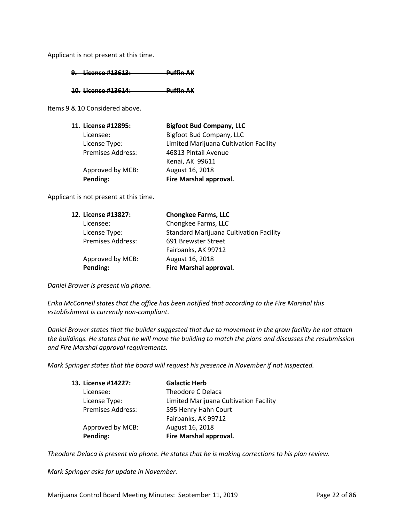Applicant is not present at this time.

**9. License #13613: Puffin AK** 

**10. License #13614: Puffin AK** 

Items 9 & 10 Considered above.

| 11. License #12895:      | <b>Bigfoot Bud Company, LLC</b>        |
|--------------------------|----------------------------------------|
| Licensee:                | Bigfoot Bud Company, LLC               |
| License Type:            | Limited Marijuana Cultivation Facility |
| <b>Premises Address:</b> | 46813 Pintail Avenue                   |
|                          | Kenai, AK 99611                        |
| Approved by MCB:         | August 16, 2018                        |
| Pending:                 | Fire Marshal approval.                 |

Applicant is not present at this time.

| 12. License #13827:      | <b>Chongkee Farms, LLC</b>                     |
|--------------------------|------------------------------------------------|
| Licensee:                | Chongkee Farms, LLC                            |
| License Type:            | <b>Standard Marijuana Cultivation Facility</b> |
| <b>Premises Address:</b> | 691 Brewster Street                            |
|                          | Fairbanks, AK 99712                            |
| Approved by MCB:         | August 16, 2018                                |
| Pending:                 | Fire Marshal approval.                         |

*Daniel Brower is present via phone.* 

*Erika McConnell states that the office has been notified that according to the Fire Marshal this establishment is currently non-compliant.* 

*Daniel Brower states that the builder suggested that due to movement in the grow facility he not attach the buildings. He states that he will move the building to match the plans and discusses the resubmission and Fire Marshal approval requirements.* 

*Mark Springer states that the board will request his presence in November if not inspected.* 

| 13. License #14227:      | <b>Galactic Herb</b>                   |
|--------------------------|----------------------------------------|
| Licensee:                | Theodore C Delaca                      |
| License Type:            | Limited Marijuana Cultivation Facility |
| <b>Premises Address:</b> | 595 Henry Hahn Court                   |
|                          | Fairbanks, AK 99712                    |
| Approved by MCB:         | August 16, 2018                        |
| Pending:                 | Fire Marshal approval.                 |

*Theodore Delaca is present via phone. He states that he is making corrections to his plan review.* 

*Mark Springer asks for update in November.*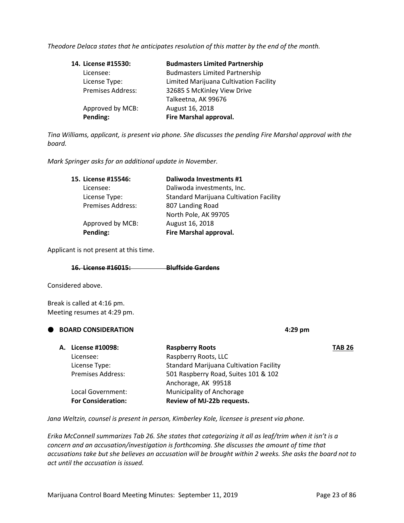*Theodore Delaca states that he anticipates resolution of this matter by the end of the month.* 

| 14. License #15530: | <b>Budmasters Limited Partnership</b>  |
|---------------------|----------------------------------------|
| Licensee:           | <b>Budmasters Limited Partnership</b>  |
| License Type:       | Limited Marijuana Cultivation Facility |
| Premises Address:   | 32685 S McKinley View Drive            |
|                     | Talkeetna, AK 99676                    |
| Approved by MCB:    | August 16, 2018                        |
| Pending:            | Fire Marshal approval.                 |

*Tina Williams, applicant, is present via phone. She discusses the pending Fire Marshal approval with the board.* 

*Mark Springer asks for an additional update in November.* 

| 15. License #15546:      | Daliwoda Investments #1                        |
|--------------------------|------------------------------------------------|
| Licensee:                | Daliwoda investments, Inc.                     |
| License Type:            | <b>Standard Marijuana Cultivation Facility</b> |
| <b>Premises Address:</b> | 807 Landing Road                               |
|                          | North Pole, AK 99705                           |
| Approved by MCB:         | August 16, 2018                                |
| Pending:                 | Fire Marshal approval.                         |

Applicant is not present at this time.

| $16$ Licanca $H1601E$       | <b>Rluffcide Gardons</b>    |
|-----------------------------|-----------------------------|
| <b>TOI LIGGING ILLUGEDI</b> | <del>Dianoiac garacho</del> |

Considered above.

Break is called at 4:16 pm. Meeting resumes at 4:29 pm.

| А. | License #10098:           | <b>Raspberry Roots</b>                                      | <b>TAB 26</b> |
|----|---------------------------|-------------------------------------------------------------|---------------|
|    | Licensee:                 | Raspberry Roots, LLC                                        |               |
|    | License Type:             | <b>Standard Marijuana Cultivation Facility</b>              |               |
|    | <b>Premises Address:</b>  | 501 Raspberry Road, Suites 101 & 102<br>Anchorage, AK 99518 |               |
|    | Local Government:         | Municipality of Anchorage                                   |               |
|    | <b>For Consideration:</b> | Review of MJ-22b requests.                                  |               |
|    |                           |                                                             |               |

*Jana Weltzin, counsel is present in person, Kimberley Kole, licensee is present via phone.* 

**BOARD CONSIDERATION 4:29 pm**

*Erika McConnell summarizes Tab 26. She states that categorizing it all as leaf/trim when it isn't is a concern and an accusation/investigation is forthcoming. She discusses the amount of time that accusations take but she believes an accusation will be brought within 2 weeks. She asks the board not to act until the accusation is issued.*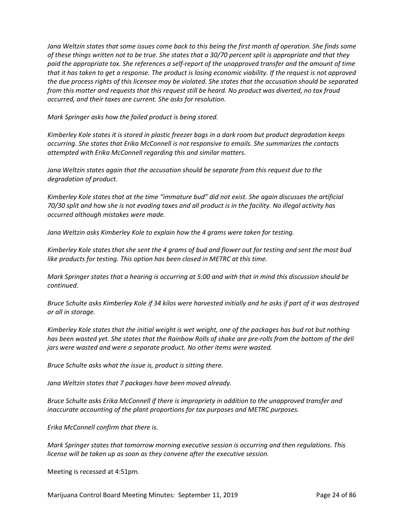*Jana Weltzin states that some issues come back to this being the first month of operation. She finds some of these things written not to be true. She states that a 30/70 percent split is appropriate and that they paid the appropriate tax. She references a self-report of the unapproved transfer and the amount of time that it has taken to get a response. The product is losing economic viability. If the request is not approved the due process rights of this licensee may be violated. She states that the accusation should be separated from this matter and requests that this request still be heard. No product was diverted, no tax fraud occurred, and their taxes are current. She asks for resolution.* 

*Mark Springer asks how the failed product is being stored.* 

*Kimberley Kole states it is stored in plastic freezer bags in a dark room but product degradation keeps occurring. She states that Erika McConnell is not responsive to emails. She summarizes the contacts attempted with Erika McConnell regarding this and similar matters.*

Jana Weltzin states again that the accusation should be separate from this request due to the *degradation of product.* 

*Kimberley Kole states that at the time "immature bud" did not exist. She again discusses the artificial 70/30 split and how she is not evading taxes and all product is in the facility. No illegal activity has occurred although mistakes were made.* 

*Jana Weltzin asks Kimberley Kole to explain how the 4 grams were taken for testing.*

*Kimberley Kole states that she sent the 4 grams of bud and flower out for testing and sent the most bud like products for testing. This option has been closed in METRC at this time.* 

*Mark Springer states that a hearing is occurring at 5:00 and with that in mind this discussion should be continued.* 

*Bruce Schulte asks Kimberley Kole if 34 kilos were harvested initially and he asks if part of it was destroyed or all in storage.* 

*Kimberley Kole states that the initial weight is wet weight, one of the packages has bud rot but nothing has been wasted yet. She states that the Rainbow Rolls of shake are pre-rolls from the bottom of the deli jars were wasted and were a separate product. No other items were wasted.* 

*Bruce Schulte asks what the issue is, product is sitting there.* 

*Jana Weltzin states that 7 packages have been moved already.* 

*Bruce Schulte asks Erika McConnell if there is impropriety in addition to the unapproved transfer and inaccurate accounting of the plant proportions for tax purposes and METRC purposes.* 

*Erika McConnell confirm that there is.*

*Mark Springer states that tomorrow morning executive session is occurring and then regulations. This license will be taken up as soon as they convene after the executive session.*

Meeting is recessed at 4:51pm.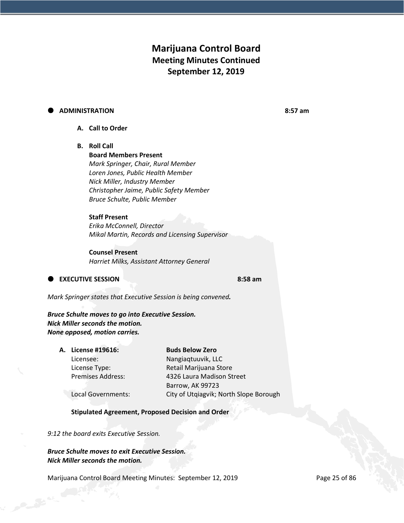# **Marijuana Control Board Meeting Minutes Continued September 12, 2019**

#### **ADMINISTRATION 8:57 am**

### **A. Call to Order**

#### **B. Roll Call**

**Board Members Present** *Mark Springer, Chair, Rural Member Loren Jones, Public Health Member Nick Miller, Industry Member Christopher Jaime, Public Safety Member Bruce Schulte, Public Member*

### **Staff Present**

*Erika McConnell, Director Mikal Martin, Records and Licensing Supervisor*

### **Counsel Present**

*Harriet Milks, Assistant Attorney General*

**EXECUTIVE SESSION** 8:58 am

*Mark Springer states that Executive Session is being convened.* 

*Bruce Schulte moves to go into Executive Session. Nick Miller seconds the motion. None opposed, motion carries.* 

| A. License #19616:       | <b>Buds Below Zero</b>                 |
|--------------------------|----------------------------------------|
| Licensee:                | Nangiaqtuuvik, LLC                     |
| License Type:            | Retail Marijuana Store                 |
| <b>Premises Address:</b> | 4326 Laura Madison Street              |
|                          | Barrow, AK 99723                       |
| Local Governments:       | City of Utqiagvik; North Slope Borough |

#### **Stipulated Agreement, Proposed Decision and Order**

*9:12 the board exits Executive Session.* 

*Bruce Schulte moves to exit Executive Session. Nick Miller seconds the motion.*

Marijuana Control Board Meeting Minutes: September 12, 2019 **Page 25 of 86**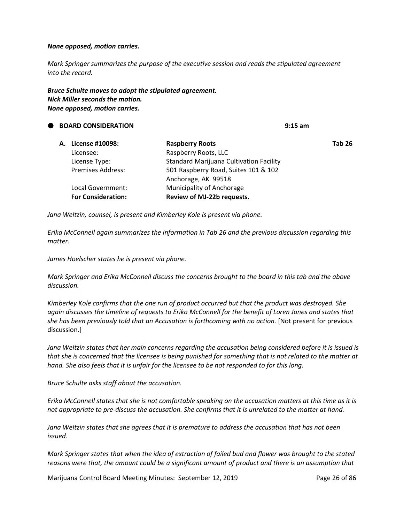#### *None opposed, motion carries.*

*Mark Springer summarizes the purpose of the executive session and reads the stipulated agreement into the record.* 

#### *Bruce Schulte moves to adopt the stipulated agreement. Nick Miller seconds the motion. None opposed, motion carries.*

 **BOARD CONSIDERATION 9:15 am A. License #10098: Raspberry Roots Tab 26** Licensee: Raspberry Roots, LLC License Type: Standard Marijuana Cultivation Facility Premises Address: 501 Raspberry Road, Suites 101 & 102 Anchorage, AK 99518 Local Government: Municipality of Anchorage **For Consideration: Review of MJ-22b requests.**

*Jana Weltzin, counsel, is present and Kimberley Kole is present via phone.* 

*Erika McConnell again summarizes the information in Tab 26 and the previous discussion regarding this matter.*

*James Hoelscher states he is present via phone.* 

*Mark Springer and Erika McConnell discuss the concerns brought to the board in this tab and the above discussion.* 

*Kimberley Kole confirms that the one run of product occurred but that the product was destroyed. She again discusses the timeline of requests to Erika McConnell for the benefit of Loren Jones and states that she has been previously told that an Accusation is forthcoming with no action.* [Not present for previous discussion.]

Jana Weltzin states that her main concerns regarding the accusation being considered before it is issued is *that she is concerned that the licensee is being punished for something that is not related to the matter at hand. She also feels that it is unfair for the licensee to be not responded to for this long.* 

*Bruce Schulte asks staff about the accusation.* 

*Erika McConnell states that she is not comfortable speaking on the accusation matters at this time as it is not appropriate to pre-discuss the accusation. She confirms that it is unrelated to the matter at hand.* 

*Jana Weltzin states that she agrees that it is premature to address the accusation that has not been issued.* 

*Mark Springer states that when the idea of extraction of failed bud and flower was brought to the stated reasons were that, the amount could be a significant amount of product and there is an assumption that* 

Marijuana Control Board Meeting Minutes: September 12, 2019 **Page 26 of 86**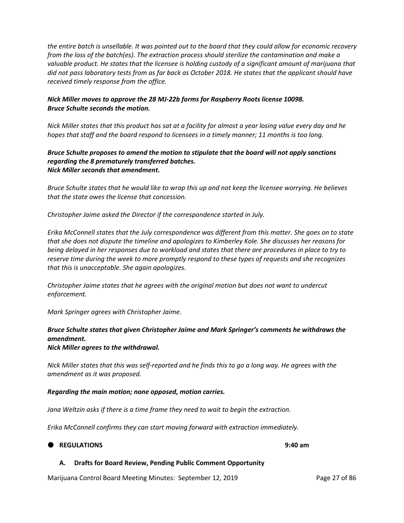*the entire batch is unsellable. It was pointed out to the board that they could allow for economic recovery from the loss of the batch(es). The extraction process should sterilize the contamination and make a valuable product. He states that the licensee is holding custody of a significant amount of marijuana that did not pass laboratory tests from as far back as October 2018. He states that the applicant should have received timely response from the office.* 

### *Nick Miller moves to approve the 28 MJ-22b forms for Raspberry Roots license 10098. Bruce Schulte seconds the motion.*

*Nick Miller states that this product has sat at a facility for almost a year losing value every day and he hopes that staff and the board respond to licensees in a timely manner; 11 months is too long.* 

#### *Bruce Schulte proposes to amend the motion to stipulate that the board will not apply sanctions regarding the 8 prematurely transferred batches. Nick Miller seconds that amendment.*

*Bruce Schulte states that he would like to wrap this up and not keep the licensee worrying. He believes that the state owes the license that concession.* 

*Christopher Jaime asked the Director if the correspondence started in July.*

*Erika McConnell states that the July correspondence was different from this matter. She goes on to state that she does not dispute the timeline and apologizes to Kimberley Kole. She discusses her reasons for being delayed in her responses due to workload and states that there are procedures in place to try to reserve time during the week to more promptly respond to these types of requests and she recognizes that this is unacceptable. She again apologizes.* 

*Christopher Jaime states that he agrees with the original motion but does not want to undercut enforcement.* 

*Mark Springer agrees with Christopher Jaime.* 

### *Bruce Schulte states that given Christopher Jaime and Mark Springer's comments he withdraws the amendment. Nick Miller agrees to the withdrawal.*

*Nick Miller states that this was self-reported and he finds this to go a long way. He agrees with the amendment as it was proposed.*

#### *Regarding the main motion; none opposed, motion carries.*

*Jana Weltzin asks if there is a time frame they need to wait to begin the extraction.*

*Erika McConnell confirms they can start moving forward with extraction immediately.* 

#### **REGULATIONS 9:40 am**

#### **A. Drafts for Board Review, Pending Public Comment Opportunity**

Marijuana Control Board Meeting Minutes: September 12, 2019 Page 27 of 86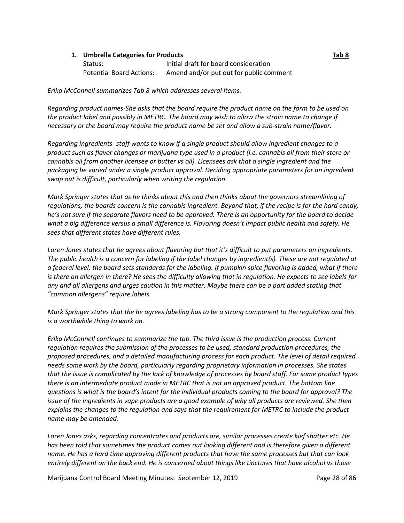#### **1. Umbrella Categories for Products Tab 8**

| Status:                  | Initial draft for board consideration   |
|--------------------------|-----------------------------------------|
| Potential Board Actions: | Amend and/or put out for public comment |

*Erika McConnell summarizes Tab 8 which addresses several items.* 

*Regarding product names-She asks that the board require the product name on the form to be used on the product label and possibly in METRC. The board may wish to allow the strain name to change if necessary or the board may require the product name be set and allow a sub-strain name/flavor.* 

*Regarding ingredients- staff wants to know if a single product should allow ingredient changes to a product such as flavor changes or marijuana type used in a product (i.e. cannabis oil from their store or cannabis oil from another licensee or butter vs oil). Licensees ask that a single ingredient and the packaging be varied under a single product approval. Deciding appropriate parameters for an ingredient swap out is difficult, particularly when writing the regulation.* 

*Mark Springer states that as he thinks about this and then thinks about the governors streamlining of regulations, the boards concern is the cannabis ingredient. Beyond that, if the recipe is for the hard candy, he's not sure if the separate flavors need to be approved. There is an opportunity for the board to decide what a big difference versus a small difference is. Flavoring doesn't impact public health and safety. He sees that different states have different rules.* 

*Loren Jones states that he agrees about flavoring but that it's difficult to put parameters on ingredients. The public health is a concern for labeling if the label changes by ingredient(s). These are not regulated at a federal level, the board sets standards for the labeling. If pumpkin spice flavoring is added, what if there is there an allergen in there? He sees the difficulty allowing that in regulation. He expects to see labels for any and all allergens and urges caution in this matter. Maybe there can be a part added stating that "common allergens" require labels.* 

*Mark Springer states that the he agrees labeling has to be a strong component to the regulation and this is a worthwhile thing to work on.* 

*Erika McConnell continues to summarize the tab. The third issue is the production process. Current regulation requires the submission of the processes to be used; standard production procedures, the proposed procedures, and a detailed manufacturing process for each product. The level of detail required needs some work by the board, particularly regarding proprietary information in processes. She states that the issue is complicated by the lack of knowledge of processes by board staff. For some product types there is an intermediate product made in METRC that is not an approved product. The bottom line questions is what is the board's intent for the individual products coming to the board for approval? The issue of the ingredients in vape products are a good example of why all products are reviewed. She then explains the changes to the regulation and says that the requirement for METRC to include the product name may be amended.* 

*Loren Jones asks, regarding concentrates and products are, similar processes create kief shatter etc. He has been told that sometimes the product comes out looking different and is therefore given a different name. He has a hard time approving different products that have the same processes but that can look entirely different on the back end. He is concerned about things like tinctures that have alcohol vs those* 

Marijuana Control Board Meeting Minutes: September 12, 2019 **Page 28 of 86**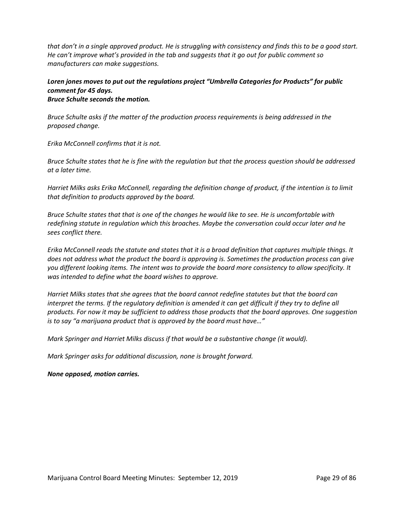*that don't in a single approved product. He is struggling with consistency and finds this to be a good start. He can't improve what's provided in the tab and suggests that it go out for public comment so manufacturers can make suggestions.*

# *Loren jones moves to put out the regulations project "Umbrella Categories for Products" for public comment for 45 days.*

*Bruce Schulte seconds the motion.*

*Bruce Schulte asks if the matter of the production process requirements is being addressed in the proposed change.* 

*Erika McConnell confirms that it is not.*

*Bruce Schulte states that he is fine with the regulation but that the process question should be addressed at a later time.* 

*Harriet Milks asks Erika McConnell, regarding the definition change of product, if the intention is to limit that definition to products approved by the board.* 

*Bruce Schulte states that that is one of the changes he would like to see. He is uncomfortable with redefining statute in regulation which this broaches. Maybe the conversation could occur later and he sees conflict there.* 

*Erika McConnell reads the statute and states that it is a broad definition that captures multiple things. It does not address what the product the board is approving is. Sometimes the production process can give you different looking items. The intent was to provide the board more consistency to allow specificity. It was intended to define what the board wishes to approve.*

*Harriet Milks states that she agrees that the board cannot redefine statutes but that the board can interpret the terms. If the regulatory definition is amended it can get difficult if they try to define all products. For now it may be sufficient to address those products that the board approves. One suggestion is to say "a marijuana product that is approved by the board must have…"*

*Mark Springer and Harriet Milks discuss if that would be a substantive change (it would).* 

*Mark Springer asks for additional discussion, none is brought forward.* 

*None opposed, motion carries.*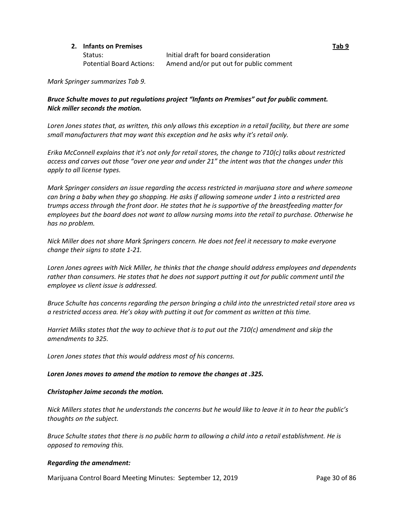#### **2. Infants on Premises Tab 9**

Status: Initial draft for board consideration Potential Board Actions: Amend and/or put out for public comment

*Mark Springer summarizes Tab 9.*

### *Bruce Schulte moves to put regulations project "Infants on Premises" out for public comment. Nick miller seconds the motion.*

*Loren Jones states that, as written, this only allows this exception in a retail facility, but there are some small manufacturers that may want this exception and he asks why it's retail only.* 

*Erika McConnell explains that it's not only for retail stores, the change to 710(c) talks about restricted access and carves out those "over one year and under 21" the intent was that the changes under this apply to all license types.* 

*Mark Springer considers an issue regarding the access restricted in marijuana store and where someone can bring a baby when they go shopping. He asks if allowing someone under 1 into a restricted area trumps access through the front door. He states that he is supportive of the breastfeeding matter for employees but the board does not want to allow nursing moms into the retail to purchase. Otherwise he has no problem.*

*Nick Miller does not share Mark Springers concern. He does not feel it necessary to make everyone change their signs to state 1-21.* 

*Loren Jones agrees with Nick Miller, he thinks that the change should address employees and dependents rather than consumers. He states that he does not support putting it out for public comment until the employee vs client issue is addressed.* 

*Bruce Schulte has concerns regarding the person bringing a child into the unrestricted retail store area vs a restricted access area. He's okay with putting it out for comment as written at this time.* 

*Harriet Milks states that the way to achieve that is to put out the 710(c) amendment and skip the amendments to 325.*

*Loren Jones states that this would address most of his concerns.* 

#### *Loren Jones moves to amend the motion to remove the changes at .325.*

#### *Christopher Jaime seconds the motion.*

*Nick Millers states that he understands the concerns but he would like to leave it in to hear the public's thoughts on the subject.* 

*Bruce Schulte states that there is no public harm to allowing a child into a retail establishment. He is opposed to removing this.* 

#### *Regarding the amendment:*

Marijuana Control Board Meeting Minutes: September 12, 2019 Page 30 of 86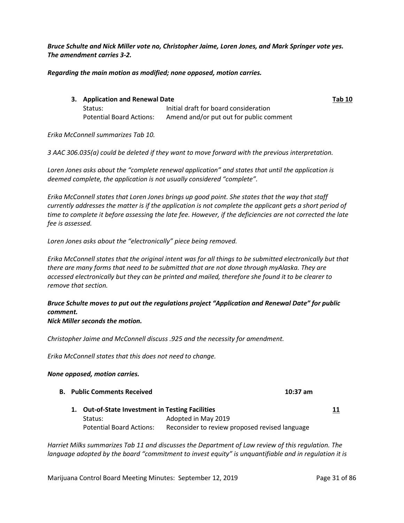*Bruce Schulte and Nick Miller vote no, Christopher Jaime, Loren Jones, and Mark Springer vote yes. The amendment carries 3-2.*

*Regarding the main motion as modified; none opposed, motion carries.* 

| 3. Application and Renewal Date |                                         | <b>Tab 10</b> |
|---------------------------------|-----------------------------------------|---------------|
| Status:                         | Initial draft for board consideration   |               |
| Potential Board Actions:        | Amend and/or put out for public comment |               |

*Erika McConnell summarizes Tab 10.* 

*3 AAC 306.035(a) could be deleted if they want to move forward with the previous interpretation.*

*Loren Jones asks about the "complete renewal application" and states that until the application is deemed complete, the application is not usually considered "complete".* 

*Erika McConnell states that Loren Jones brings up good point. She states that the way that staff currently addresses the matter is if the application is not complete the applicant gets a short period of time to complete it before assessing the late fee. However, if the deficiencies are not corrected the late fee is assessed.*

*Loren Jones asks about the "electronically" piece being removed.* 

*Erika McConnell states that the original intent was for all things to be submitted electronically but that there are many forms that need to be submitted that are not done through myAlaska. They are accessed electronically but they can be printed and mailed, therefore she found it to be clearer to remove that section.* 

# *Bruce Schulte moves to put out the regulations project "Application and Renewal Date" for public comment.*

#### *Nick Miller seconds the motion.*

*Christopher Jaime and McConnell discuss .925 and the necessity for amendment.* 

*Erika McConnell states that this does not need to change.* 

#### *None opposed, motion carries.*

- **B. Public Comments Received 10:37 am**
	- **1. Out-of-State Investment in Testing Facilities 11** Status: Adopted in May 2019 Potential Board Actions: Reconsider to review proposed revised language

*Harriet Milks summarizes Tab 11 and discusses the Department of Law review of this regulation. The language adopted by the board "commitment to invest equity" is unquantifiable and in regulation it is*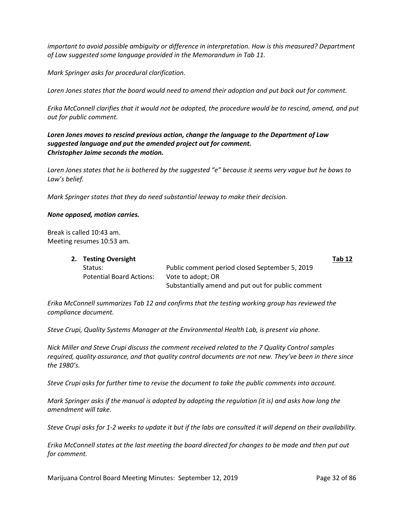*important to avoid possible ambiguity or difference in interpretation. How is this measured? Department of Law suggested some language provided in the Memorandum in Tab 11.* 

*Mark Springer asks for procedural clarification.* 

*Loren Jones states that the board would need to amend their adoption and put back out for comment.*

*Erika McConnell clarifies that it would not be adopted, the procedure would be to rescind, amend, and put out for public comment.*

*Loren Jones moves to rescind previous action, change the language to the Department of Law suggested language and put the amended project out for comment. Christopher Jaime seconds the motion.* 

*Loren Jones states that he is bothered by the suggested "e" because it seems very vague but he bows to Law's belief.*

*Mark Springer states that they do need substantial leeway to make their decision.* 

#### *None opposed, motion carries.*

Break is called 10:43 am. Meeting resumes 10:53 am.

| 2. Testing Oversight            |                                                    |  |
|---------------------------------|----------------------------------------------------|--|
| Status:                         | Public comment period closed September 5, 2019     |  |
| <b>Potential Board Actions:</b> | Vote to adopt; OR                                  |  |
|                                 | Substantially amend and put out for public comment |  |

*Erika McConnell summarizes Tab 12 and confirms that the testing working group has reviewed the compliance document.*

*Steve Crupi, Quality Systems Manager at the Environmental Health Lab, is present via phone.* 

*Nick Miller and Steve Crupi discuss the comment received related to the 7 Quality Control samples required, quality assurance, and that quality control documents are not new. They've been in there since the 1980's.* 

*Steve Crupi asks for further time to revise the document to take the public comments into account.* 

*Mark Springer asks if the manual is adopted by adopting the regulation (it is) and asks how long the amendment will take.* 

*Steve Crupi asks for 1-2 weeks to update it but if the labs are consulted it will depend on their availability.* 

*Erika McConnell states at the last meeting the board directed for changes to be made and then put out for comment.* 

Marijuana Control Board Meeting Minutes: September 12, 2019 Page 32 of 86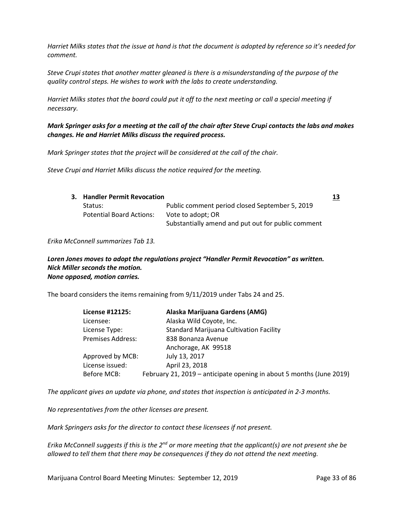*Harriet Milks states that the issue at hand is that the document is adopted by reference so it's needed for comment.* 

*Steve Crupi states that another matter gleaned is there is a misunderstanding of the purpose of the quality control steps. He wishes to work with the labs to create understanding.* 

*Harriet Milks states that the board could put it off to the next meeting or call a special meeting if necessary.* 

### *Mark Springer asks for a meeting at the call of the chair after Steve Crupi contacts the labs and makes changes. He and Harriet Milks discuss the required process.*

*Mark Springer states that the project will be considered at the call of the chair.* 

*Steve Crupi and Harriet Milks discuss the notice required for the meeting.* 

| 3. Handler Permit Revocation    |                                                    | 13 |
|---------------------------------|----------------------------------------------------|----|
| Status:                         | Public comment period closed September 5, 2019     |    |
| <b>Potential Board Actions:</b> | Vote to adopt; OR                                  |    |
|                                 | Substantially amend and put out for public comment |    |

*Erika McConnell summarizes Tab 13.* 

#### *Loren Jones moves to adopt the regulations project "Handler Permit Revocation" as written. Nick Miller seconds the motion. None opposed, motion carries.*

The board considers the items remaining from 9/11/2019 under Tabs 24 and 25.

| License #12125:          | Alaska Marijuana Gardens (AMG)                                       |
|--------------------------|----------------------------------------------------------------------|
| Licensee:                | Alaska Wild Coyote, Inc.                                             |
| License Type:            | <b>Standard Marijuana Cultivation Facility</b>                       |
| <b>Premises Address:</b> | 838 Bonanza Avenue                                                   |
|                          | Anchorage, AK 99518                                                  |
| Approved by MCB:         | July 13, 2017                                                        |
| License issued:          | April 23, 2018                                                       |
| Before MCB:              | February 21, 2019 – anticipate opening in about 5 months (June 2019) |

*The applicant gives an update via phone, and states that inspection is anticipated in 2-3 months.* 

*No representatives from the other licenses are present.*

*Mark Springers asks for the director to contact these licensees if not present.*

*Erika McConnell suggests if this is the 2nd or more meeting that the applicant(s) are not present she be allowed to tell them that there may be consequences if they do not attend the next meeting.*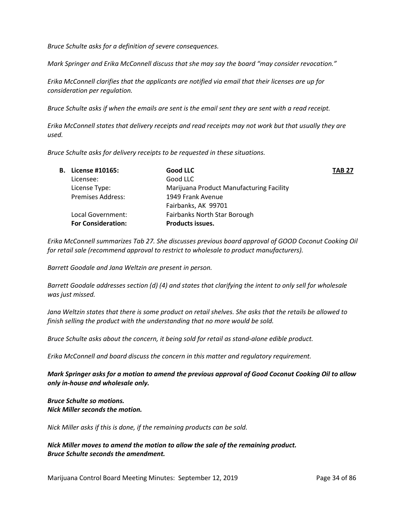*Bruce Schulte asks for a definition of severe consequences.*

*Mark Springer and Erika McConnell discuss that she may say the board "may consider revocation."* 

*Erika McConnell clarifies that the applicants are notified via email that their licenses are up for consideration per regulation.*

*Bruce Schulte asks if when the emails are sent is the email sent they are sent with a read receipt.* 

*Erika McConnell states that delivery receipts and read receipts may not work but that usually they are used.* 

*Bruce Schulte asks for delivery receipts to be requested in these situations.* 

| В. | License #10165:           | Good LLC                                 | <b>TAB 27</b> |
|----|---------------------------|------------------------------------------|---------------|
|    | Licensee:                 | Good LLC                                 |               |
|    | License Type:             | Marijuana Product Manufacturing Facility |               |
|    | <b>Premises Address:</b>  | 1949 Frank Avenue                        |               |
|    |                           | Fairbanks, AK 99701                      |               |
|    | Local Government:         | Fairbanks North Star Borough             |               |
|    | <b>For Consideration:</b> | <b>Products issues.</b>                  |               |
|    |                           |                                          |               |

*Erika McConnell summarizes Tab 27. She discusses previous board approval of GOOD Coconut Cooking Oil for retail sale (recommend approval to restrict to wholesale to product manufacturers).* 

*Barrett Goodale and Jana Weltzin are present in person.*

*Barrett Goodale addresses section (d) (4) and states that clarifying the intent to only sell for wholesale was just missed.*

*Jana Weltzin states that there is some product on retail shelves. She asks that the retails be allowed to finish selling the product with the understanding that no more would be sold.* 

*Bruce Schulte asks about the concern, it being sold for retail as stand-alone edible product.* 

*Erika McConnell and board discuss the concern in this matter and regulatory requirement.* 

*Mark Springer asks for a motion to amend the previous approval of Good Coconut Cooking Oil to allow only in-house and wholesale only.*

*Bruce Schulte so motions. Nick Miller seconds the motion.* 

*Nick Miller asks if this is done, if the remaining products can be sold.*

*Nick Miller moves to amend the motion to allow the sale of the remaining product. Bruce Schulte seconds the amendment.*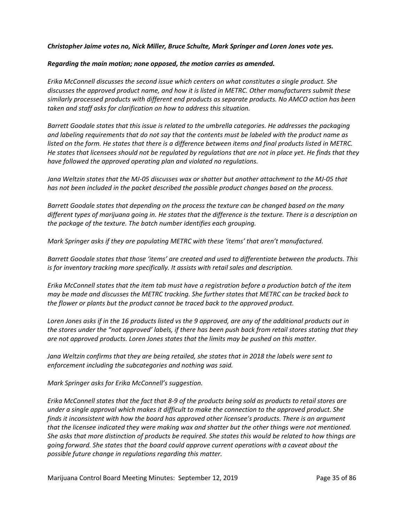#### *Christopher Jaime votes no, Nick Miller, Bruce Schulte, Mark Springer and Loren Jones vote yes.*

#### *Regarding the main motion; none opposed, the motion carries as amended.*

*Erika McConnell discusses the second issue which centers on what constitutes a single product. She discusses the approved product name, and how it is listed in METRC. Other manufacturers submit these similarly processed products with different end products as separate products. No AMCO action has been taken and staff asks for clarification on how to address this situation.* 

*Barrett Goodale states that this issue is related to the umbrella categories. He addresses the packaging and labeling requirements that do not say that the contents must be labeled with the product name as listed on the form. He states that there is a difference between items and final products listed in METRC. He states that licensees should not be regulated by regulations that are not in place yet. He finds that they have followed the approved operating plan and violated no regulations.* 

*Jana Weltzin states that the MJ-05 discusses wax or shatter but another attachment to the MJ-05 that has not been included in the packet described the possible product changes based on the process.* 

*Barrett Goodale states that depending on the process the texture can be changed based on the many different types of marijuana going in. He states that the difference is the texture. There is a description on the package of the texture. The batch number identifies each grouping.* 

*Mark Springer asks if they are populating METRC with these 'items' that aren't manufactured.*

*Barrett Goodale states that those 'items' are created and used to differentiate between the products. This is for inventory tracking more specifically. It assists with retail sales and description.* 

*Erika McConnell states that the item tab must have a registration before a production batch of the item may be made and discusses the METRC tracking. She further states that METRC can be tracked back to the flower or plants but the product cannot be traced back to the approved product.* 

*Loren Jones asks if in the 16 products listed vs the 9 approved, are any of the additional products out in the stores under the "not approved' labels, if there has been push back from retail stores stating that they are not approved products. Loren Jones states that the limits may be pushed on this matter.* 

*Jana Weltzin confirms that they are being retailed, she states that in 2018 the labels were sent to enforcement including the subcategories and nothing was said.* 

*Mark Springer asks for Erika McConnell's suggestion.*

*Erika McConnell states that the fact that 8-9 of the products being sold as products to retail stores are under a single approval which makes it difficult to make the connection to the approved product. She finds it inconsistent with how the board has approved other licensee's products. There is an argument that the licensee indicated they were making wax and shatter but the other things were not mentioned. She asks that more distinction of products be required. She states this would be related to how things are going forward. She states that the board could approve current operations with a caveat about the possible future change in regulations regarding this matter.*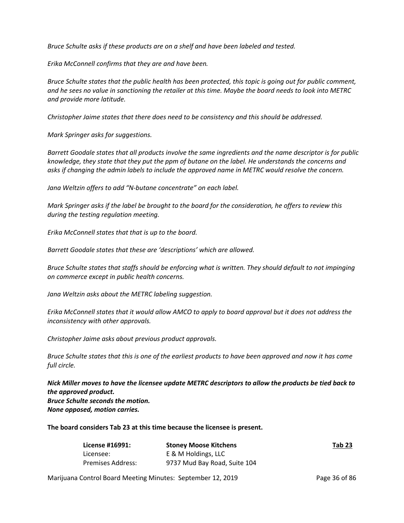*Bruce Schulte asks if these products are on a shelf and have been labeled and tested.* 

*Erika McConnell confirms that they are and have been.* 

*Bruce Schulte states that the public health has been protected, this topic is going out for public comment, and he sees no value in sanctioning the retailer at this time. Maybe the board needs to look into METRC and provide more latitude.*

*Christopher Jaime states that there does need to be consistency and this should be addressed.* 

*Mark Springer asks for suggestions.*

*Barrett Goodale states that all products involve the same ingredients and the name descriptor is for public knowledge, they state that they put the ppm of butane on the label. He understands the concerns and asks if changing the admin labels to include the approved name in METRC would resolve the concern.* 

*Jana Weltzin offers to add "N-butane concentrate" on each label.* 

*Mark Springer asks if the label be brought to the board for the consideration, he offers to review this during the testing regulation meeting.* 

*Erika McConnell states that that is up to the board.* 

*Barrett Goodale states that these are 'descriptions' which are allowed.* 

*Bruce Schulte states that staffs should be enforcing what is written. They should default to not impinging on commerce except in public health concerns.* 

*Jana Weltzin asks about the METRC labeling suggestion.*

*Erika McConnell states that it would allow AMCO to apply to board approval but it does not address the inconsistency with other approvals.* 

*Christopher Jaime asks about previous product approvals.* 

*Bruce Schulte states that this is one of the earliest products to have been approved and now it has come full circle.* 

*Nick Miller moves to have the licensee update METRC descriptors to allow the products be tied back to the approved product. Bruce Schulte seconds the motion. None opposed, motion carries.* 

**The board considers Tab 23 at this time because the licensee is present.** 

| License #16991:   | <b>Stoney Moose Kitchens</b> | Tab 23 |
|-------------------|------------------------------|--------|
| Licensee:         | E & M Holdings, LLC          |        |
| Premises Address: | 9737 Mud Bay Road, Suite 104 |        |

Marijuana Control Board Meeting Minutes: September 12, 2019 Page 36 of 86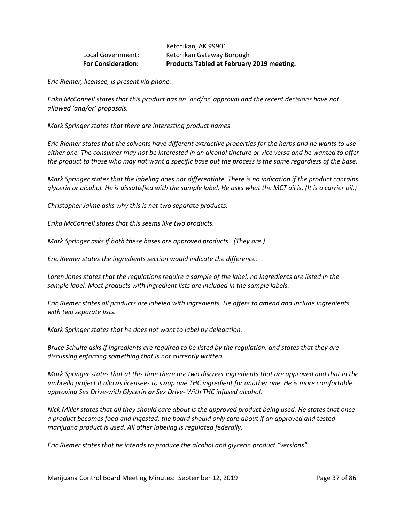# Ketchikan, AK 99901 Local Government: Ketchikan Gateway Borough **For Consideration: Products Tabled at February 2019 meeting.**

*Eric Riemer, licensee, is present via phone.* 

*Erika McConnell states that this product has an 'and/or' approval and the recent decisions have not allowed 'and/or' proposals.* 

*Mark Springer states that there are interesting product names.*

*Eric Riemer states that the solvents have different extractive properties for the herbs and he wants to use either one. The consumer may not be interested in an alcohol tincture or vice versa and he wanted to offer the product to those who may not want a specific base but the process is the same regardless of the base.* 

*Mark Springer states that the labeling does not differentiate. There is no indication if the product contains glycerin or alcohol. He is dissatisfied with the sample label. He asks what the MCT oil is. (It is a carrier oil.)*

*Christopher Jaime asks why this is not two separate products.* 

*Erika McConnell states that this seems like two products.*

*Mark Springer asks if both these bases are approved products. (They are.)* 

*Eric Riemer states the ingredients section would indicate the difference.* 

*Loren Jones states that the regulations require a sample of the label, no ingredients are listed in the sample label. Most products with ingredient lists are included in the sample labels.* 

*Eric Riemer states all products are labeled with ingredients. He offers to amend and include ingredients with two separate lists.* 

*Mark Springer states that he does not want to label by delegation.* 

*Bruce Schulte asks if ingredients are required to be listed by the regulation, and states that they are discussing enforcing something that is not currently written.* 

*Mark Springer states that at this time there are two discreet ingredients that are approved and that in the umbrella project it allows licensees to swap one THC ingredient for another one. He is more comfortable approving Sex Drive-with Glycerin or Sex Drive- With THC infused alcohol.* 

*Nick Miller states that all they should care about is the approved product being used. He states that once a product becomes food and ingested, the board should only care about if an approved and tested marijuana product is used. All other labeling is regulated federally.*

*Eric Riemer states that he intends to produce the alcohol and glycerin product "versions".*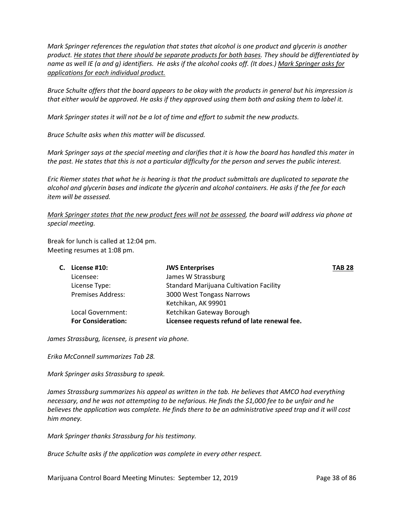*Mark Springer references the regulation that states that alcohol is one product and glycerin is another product. He states that there should be separate products for both bases. They should be differentiated by name as well IE (a and g) identifiers. He asks if the alcohol cooks off. (It does.) Mark Springer asks for applications for each individual product.* 

*Bruce Schulte offers that the board appears to be okay with the products in general but his impression is that either would be approved. He asks if they approved using them both and asking them to label it.* 

*Mark Springer states it will not be a lot of time and effort to submit the new products.* 

*Bruce Schulte asks when this matter will be discussed.* 

*Mark Springer says at the special meeting and clarifies that it is how the board has handled this mater in the past. He states that this is not a particular difficulty for the person and serves the public interest.* 

*Eric Riemer states that what he is hearing is that the product submittals are duplicated to separate the alcohol and glycerin bases and indicate the glycerin and alcohol containers. He asks if the fee for each item will be assessed.* 

*Mark Springer states that the new product fees will not be assessed, the board will address via phone at special meeting.* 

Break for lunch is called at 12:04 pm. Meeting resumes at 1:08 pm.

| C. License #10:           | <b>JWS Enterprises</b>                         | <b>TAB 28</b> |
|---------------------------|------------------------------------------------|---------------|
| Licensee:                 | James W Strassburg                             |               |
| License Type:             | <b>Standard Marijuana Cultivation Facility</b> |               |
| <b>Premises Address:</b>  | 3000 West Tongass Narrows                      |               |
|                           | Ketchikan, AK 99901                            |               |
| Local Government:         | Ketchikan Gateway Borough                      |               |
| <b>For Consideration:</b> | Licensee requests refund of late renewal fee.  |               |

*James Strassburg, licensee, is present via phone.* 

*Erika McConnell summarizes Tab 28.* 

*Mark Springer asks Strassburg to speak.* 

*James Strassburg summarizes his appeal as written in the tab. He believes that AMCO had everything necessary, and he was not attempting to be nefarious. He finds the \$1,000 fee to be unfair and he believes the application was complete. He finds there to be an administrative speed trap and it will cost him money.* 

*Mark Springer thanks Strassburg for his testimony.*

*Bruce Schulte asks if the application was complete in every other respect.* 

Marijuana Control Board Meeting Minutes: September 12, 2019 Page 38 of 86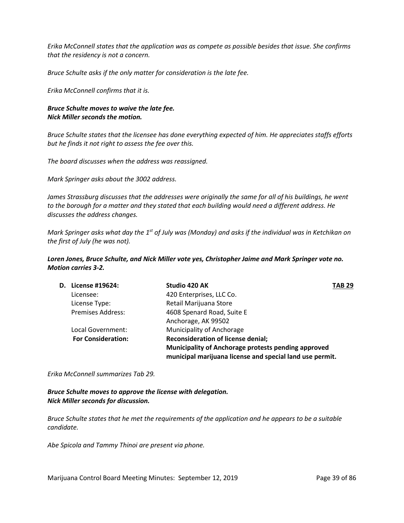*Erika McConnell states that the application was as compete as possible besides that issue. She confirms that the residency is not a concern.* 

*Bruce Schulte asks if the only matter for consideration is the late fee.* 

*Erika McConnell confirms that it is.*

# *Bruce Schulte moves to waive the late fee. Nick Miller seconds the motion.*

*Bruce Schulte states that the licensee has done everything expected of him. He appreciates staffs efforts but he finds it not right to assess the fee over this.* 

*The board discusses when the address was reassigned.* 

*Mark Springer asks about the 3002 address.* 

*James Strassburg discusses that the addresses were originally the same for all of his buildings, he went to the borough for a matter and they stated that each building would need a different address. He discusses the address changes.* 

*Mark Springer asks what day the 1st of July was (Monday) and asks if the individual was in Ketchikan on the first of July (he was not).* 

*Loren Jones, Bruce Schulte, and Nick Miller vote yes, Christopher Jaime and Mark Springer vote no. Motion carries 3-2.*

| <b>D.</b> License #19624: | Studio 420 AK                                            | <b>TAB 29</b> |
|---------------------------|----------------------------------------------------------|---------------|
| Licensee:                 | 420 Enterprises, LLC Co.                                 |               |
| License Type:             | Retail Marijuana Store                                   |               |
| <b>Premises Address:</b>  | 4608 Spenard Road, Suite E                               |               |
|                           | Anchorage, AK 99502                                      |               |
| Local Government:         | Municipality of Anchorage                                |               |
| <b>For Consideration:</b> | <b>Reconsideration of license denial;</b>                |               |
|                           | Municipality of Anchorage protests pending approved      |               |
|                           | municipal marijuana license and special land use permit. |               |

*Erika McConnell summarizes Tab 29.* 

*Bruce Schulte moves to approve the license with delegation. Nick Miller seconds for discussion.*

*Bruce Schulte states that he met the requirements of the application and he appears to be a suitable candidate.* 

*Abe Spicola and Tammy Thinoi are present via phone.*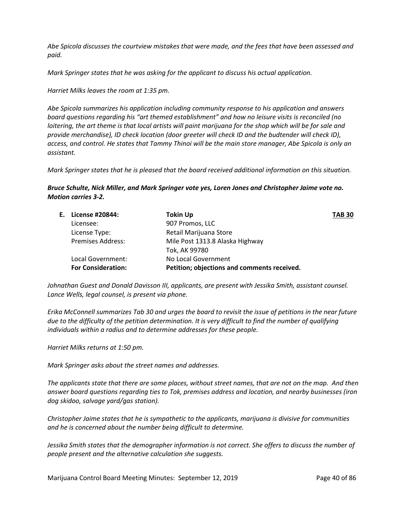*Abe Spicola discusses the courtview mistakes that were made, and the fees that have been assessed and paid.* 

*Mark Springer states that he was asking for the applicant to discuss his actual application.* 

*Harriet Milks leaves the room at 1:35 pm.* 

*Abe Spicola summarizes his application including community response to his application and answers board questions regarding his "art themed establishment" and how no leisure visits is reconciled (no loitering, the art theme is that local artists will paint marijuana for the shop which will be for sale and provide merchandise), ID check location (door greeter will check ID and the budtender will check ID), access, and control. He states that Tammy Thinoi will be the main store manager, Abe Spicola is only an assistant.* 

*Mark Springer states that he is pleased that the board received additional information on this situation.* 

*Bruce Schulte, Nick Miller, and Mark Springer vote yes, Loren Jones and Christopher Jaime vote no. Motion carries 3-2.*

| E. License #20844:        | <b>Tokin Up</b>                             | <b>TAB 30</b> |
|---------------------------|---------------------------------------------|---------------|
| Licensee:                 | 907 Promos, LLC                             |               |
| License Type:             | Retail Marijuana Store                      |               |
| <b>Premises Address:</b>  | Mile Post 1313.8 Alaska Highway             |               |
|                           | Tok, AK 99780                               |               |
| Local Government:         | No Local Government                         |               |
| <b>For Consideration:</b> | Petition; objections and comments received. |               |

*Johnathan Guest and Donald Davisson III, applicants, are present with Jessika Smith, assistant counsel. Lance Wells, legal counsel, is present via phone.* 

*Erika McConnell summarizes Tab 30 and urges the board to revisit the issue of petitions in the near future due to the difficulty of the petition determination. It is very difficult to find the number of qualifying individuals within a radius and to determine addresses for these people.* 

*Harriet Milks returns at 1:50 pm.*

*Mark Springer asks about the street names and addresses.* 

*The applicants state that there are some places, without street names, that are not on the map. And then answer board questions regarding ties to Tok, premises address and location, and nearby businesses (iron dog skidoo, salvage yard/gas station).*

*Christopher Jaime states that he is sympathetic to the applicants, marijuana is divisive for communities and he is concerned about the number being difficult to determine.* 

*Jessika Smith states that the demographer information is not correct. She offers to discuss the number of people present and the alternative calculation she suggests.*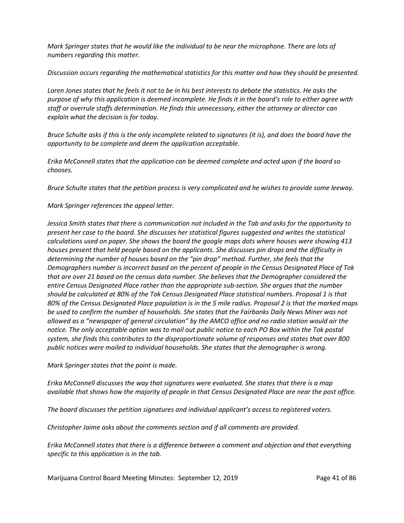*Mark Springer states that he would like the individual to be near the microphone. There are lots of numbers regarding this matter.* 

*Discussion occurs regarding the mathematical statistics for this matter and how they should be presented.* 

*Loren Jones states that he feels it not to be in his best interests to debate the statistics. He asks the purpose of why this application is deemed incomplete. He finds it in the board's role to either agree with staff or overrule staffs determination. He finds this unnecessary, either the attorney or director can explain what the decision is for today.* 

*Bruce Schulte asks if this is the only incomplete related to signatures (it is), and does the board have the opportunity to be complete and deem the application acceptable.* 

*Erika McConnell states that the application can be deemed complete and acted upon if the board so chooses.*

*Bruce Schulte states that the petition process is very complicated and he wishes to provide some leeway.* 

*Mark Springer references the appeal letter.*

*Jessica Smith states that there is communication not included in the Tab and asks for the opportunity to present her case to the board. She discusses her statistical figures suggested and writes the statistical calculations used on paper. She shows the board the google maps dots where houses were showing 413 houses present that held people based on the applicants. She discusses pin drops and the difficulty in determining the number of houses based on the "pin drop" method. Further, she feels that the Demographers number is incorrect based on the percent of people in the Census Designated Place of Tok that are over 21 based on the census data number. She believes that the Demographer considered the entire Census Designated Place rather than the appropriate sub-section. She argues that the number should be calculated at 80% of the Tok Census Designated Place statistical numbers. Proposal 1 is that 80% of the Census Designated Place population is in the 5 mile radius. Proposal 2 is that the marked maps be used to confirm the number of households. She states that the Fairbanks Daily News Miner was not allowed as a "newspaper of general circulation" by the AMCO office and no radio station would air the notice. The only acceptable option was to mail out public notice to each PO Box within the Tok postal system, she finds this contributes to the disproportionate volume of responses and states that over 800 public notices were mailed to individual households. She states that the demographer is wrong.* 

*Mark Springer states that the point is made.*

*Erika McConnell discusses the way that signatures were evaluated. She states that there is a map available that shows how the majority of people in that Census Designated Place are near the post office.* 

*The board discusses the petition signatures and individual applicant's access to registered voters.* 

*Christopher Jaime asks about the comments section and if all comments are provided.* 

*Erika McConnell states that there is a difference between a comment and objection and that everything specific to this application is in the tab.*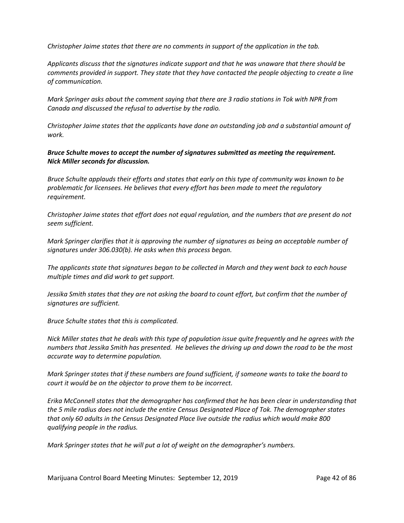*Christopher Jaime states that there are no comments in support of the application in the tab.* 

*Applicants discuss that the signatures indicate support and that he was unaware that there should be comments provided in support. They state that they have contacted the people objecting to create a line of communication.* 

*Mark Springer asks about the comment saying that there are 3 radio stations in Tok with NPR from Canada and discussed the refusal to advertise by the radio.* 

*Christopher Jaime states that the applicants have done an outstanding job and a substantial amount of work.* 

*Bruce Schulte moves to accept the number of signatures submitted as meeting the requirement. Nick Miller seconds for discussion.*

*Bruce Schulte applauds their efforts and states that early on this type of community was known to be problematic for licensees. He believes that every effort has been made to meet the regulatory requirement.* 

*Christopher Jaime states that effort does not equal regulation, and the numbers that are present do not seem sufficient.* 

*Mark Springer clarifies that it is approving the number of signatures as being an acceptable number of signatures under 306.030(b). He asks when this process began.* 

*The applicants state that signatures began to be collected in March and they went back to each house multiple times and did work to get support.* 

*Jessika Smith states that they are not asking the board to count effort, but confirm that the number of signatures are sufficient.* 

*Bruce Schulte states that this is complicated.* 

*Nick Miller states that he deals with this type of population issue quite frequently and he agrees with the numbers that Jessika Smith has presented. He believes the driving up and down the road to be the most accurate way to determine population.* 

*Mark Springer states that if these numbers are found sufficient, if someone wants to take the board to court it would be on the objector to prove them to be incorrect.* 

*Erika McConnell states that the demographer has confirmed that he has been clear in understanding that the 5 mile radius does not include the entire Census Designated Place of Tok. The demographer states that only 60 adults in the Census Designated Place live outside the radius which would make 800 qualifying people in the radius.* 

*Mark Springer states that he will put a lot of weight on the demographer's numbers.*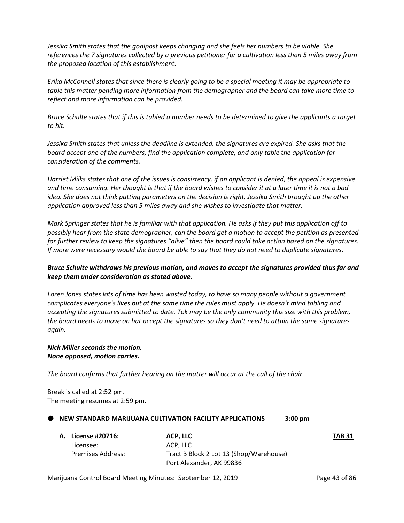*Jessika Smith states that the goalpost keeps changing and she feels her numbers to be viable. She references the 7 signatures collected by a previous petitioner for a cultivation less than 5 miles away from the proposed location of this establishment.* 

*Erika McConnell states that since there is clearly going to be a special meeting it may be appropriate to table this matter pending more information from the demographer and the board can take more time to reflect and more information can be provided.* 

*Bruce Schulte states that if this is tabled a number needs to be determined to give the applicants a target to hit.*

*Jessika Smith states that unless the deadline is extended, the signatures are expired. She asks that the board accept one of the numbers, find the application complete, and only table the application for consideration of the comments.*

*Harriet Milks states that one of the issues is consistency, if an applicant is denied, the appeal is expensive and time consuming. Her thought is that if the board wishes to consider it at a later time it is not a bad idea. She does not think putting parameters on the decision is right, Jessika Smith brought up the other application approved less than 5 miles away and she wishes to investigate that matter.* 

*Mark Springer states that he is familiar with that application. He asks if they put this application off to possibly hear from the state demographer, can the board get a motion to accept the petition as presented for further review to keep the signatures "alive" then the board could take action based on the signatures. If more were necessary would the board be able to say that they do not need to duplicate signatures.* 

# *Bruce Schulte withdraws his previous motion, and moves to accept the signatures provided thus far and keep them under consideration as stated above.*

*Loren Jones states lots of time has been wasted today, to have so many people without a government complicates everyone's lives but at the same time the rules must apply. He doesn't mind tabling and accepting the signatures submitted to date. Tok may be the only community this size with this problem, the board needs to move on but accept the signatures so they don't need to attain the same signatures again.*

### *Nick Miller seconds the motion. None opposed, motion carries.*

*The board confirms that further hearing on the matter will occur at the call of the chair.*

Break is called at 2:52 pm. The meeting resumes at 2:59 pm.

# **NEW STANDARD MARIJUANA CULTIVATION FACILITY APPLICATIONS 3:00 pm**

| A. License #20716: | ACP. LLC                                | <b>TAB 31</b> |
|--------------------|-----------------------------------------|---------------|
| Licensee:          | ACP. LLC                                |               |
| Premises Address:  | Tract B Block 2 Lot 13 (Shop/Warehouse) |               |
|                    | Port Alexander, AK 99836                |               |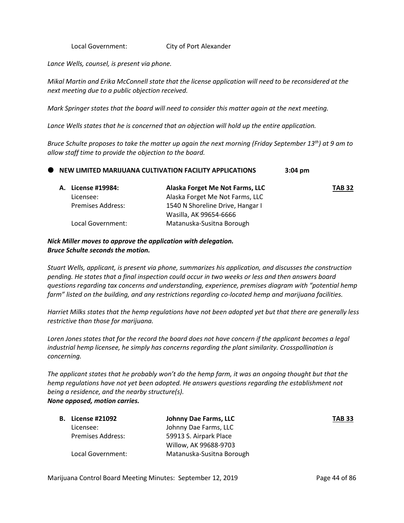Local Government: City of Port Alexander

*Lance Wells, counsel, is present via phone.* 

*Mikal Martin and Erika McConnell state that the license application will need to be reconsidered at the next meeting due to a public objection received.* 

*Mark Springer states that the board will need to consider this matter again at the next meeting.*

*Lance Wells states that he is concerned that an objection will hold up the entire application.* 

*Bruce Schulte proposes to take the matter up again the next morning (Friday September 13th) at 9 am to allow staff time to provide the objection to the board.* 

#### **NEW LIMITED MARIJUANA CULTIVATION FACILITY APPLICATIONS** 3:04 pm

| A. License #19984:       | Alaska Forget Me Not Farms, LLC  | <b>TAB 32</b> |
|--------------------------|----------------------------------|---------------|
| Licensee:                | Alaska Forget Me Not Farms, LLC  |               |
| <b>Premises Address:</b> | 1540 N Shoreline Drive, Hangar I |               |
|                          | Wasilla, AK 99654-6666           |               |
| Local Government:        | Matanuska-Susitna Borough        |               |

### *Nick Miller moves to approve the application with delegation. Bruce Schulte seconds the motion.*

*Stuart Wells, applicant, is present via phone, summarizes his application, and discusses the construction pending. He states that a final inspection could occur in two weeks or less and then answers board questions regarding tax concerns and understanding, experience, premises diagram with "potential hemp farm" listed on the building, and any restrictions regarding co-located hemp and marijuana facilities.* 

*Harriet Milks states that the hemp regulations have not been adopted yet but that there are generally less restrictive than those for marijuana.* 

*Loren Jones states that for the record the board does not have concern if the applicant becomes a legal industrial hemp licensee, he simply has concerns regarding the plant similarity. Crosspollination is concerning.* 

*The applicant states that he probably won't do the hemp farm, it was an ongoing thought but that the hemp regulations have not yet been adopted. He answers questions regarding the establishment not being a residence, and the nearby structure(s). None opposed, motion carries.* 

| <b>B.</b> License #21092 | Johnny Dae Farms, LLC     | <b>TAB 33</b> |
|--------------------------|---------------------------|---------------|
| Licensee:                | Johnny Dae Farms, LLC     |               |
| <b>Premises Address:</b> | 59913 S. Airpark Place    |               |
|                          | Willow, AK 99688-9703     |               |
| Local Government:        | Matanuska-Susitna Borough |               |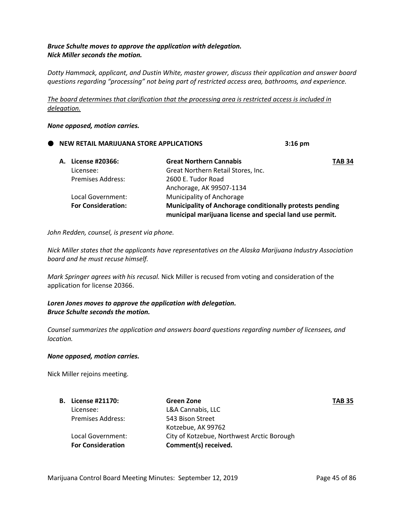# *Bruce Schulte moves to approve the application with delegation. Nick Miller seconds the motion.*

*Dotty Hammack, applicant, and Dustin White, master grower, discuss their application and answer board questions regarding "processing" not being part of restricted access area, bathrooms, and experience.* 

*The board determines that clarification that the processing area is restricted access is included in delegation.*

#### *None opposed, motion carries.*

# **NEW RETAIL MARIJUANA STORE APPLICATIONS 3:16 pm**

| A. License #20366:        | <b>Great Northern Cannabis</b>                                                                                       | <b>TAB 34</b> |
|---------------------------|----------------------------------------------------------------------------------------------------------------------|---------------|
| Licensee:                 | Great Northern Retail Stores, Inc.                                                                                   |               |
| <b>Premises Address:</b>  | 2600 E. Tudor Road                                                                                                   |               |
|                           | Anchorage, AK 99507-1134                                                                                             |               |
| Local Government:         | Municipality of Anchorage                                                                                            |               |
| <b>For Consideration:</b> | Municipality of Anchorage conditionally protests pending<br>municipal marijuana license and special land use permit. |               |

*John Redden, counsel, is present via phone.* 

*Nick Miller states that the applicants have representatives on the Alaska Marijuana Industry Association board and he must recuse himself.* 

*Mark Springer agrees with his recusal.* Nick Miller is recused from voting and consideration of the application for license 20366.

# *Loren Jones moves to approve the application with delegation. Bruce Schulte seconds the motion.*

*Counsel summarizes the application and answers board questions regarding number of licensees, and location.* 

#### *None opposed, motion carries.*

Nick Miller rejoins meeting.

| <b>B.</b> License #21170: | Green Zone                                 | <b>TAB 35</b> |
|---------------------------|--------------------------------------------|---------------|
| Licensee:                 | L&A Cannabis, LLC                          |               |
| <b>Premises Address:</b>  | 543 Bison Street                           |               |
|                           | Kotzebue, AK 99762                         |               |
| Local Government:         | City of Kotzebue, Northwest Arctic Borough |               |
| <b>For Consideration</b>  | Comment(s) received.                       |               |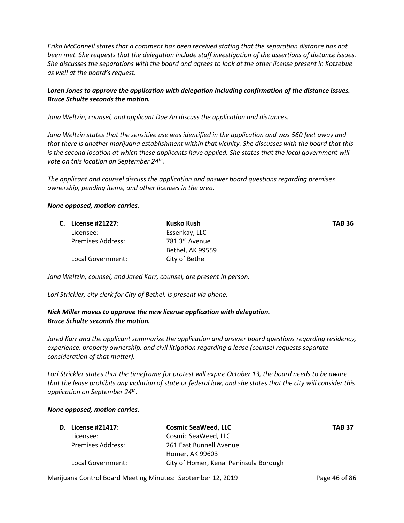*Erika McConnell states that a comment has been received stating that the separation distance has not been met. She requests that the delegation include staff investigation of the assertions of distance issues. She discusses the separations with the board and agrees to look at the other license present in Kotzebue as well at the board's request.* 

# *Loren Jones to approve the application with delegation including confirmation of the distance issues. Bruce Schulte seconds the motion.*

*Jana Weltzin, counsel, and applicant Dae An discuss the application and distances.* 

*Jana Weltzin states that the sensitive use was identified in the application and was 560 feet away and that there is another marijuana establishment within that vicinity. She discusses with the board that this is the second location at which these applicants have applied. She states that the local government will vote on this location on September 24th .*

*The applicant and counsel discuss the application and answer board questions regarding premises ownership, pending items, and other licenses in the area.* 

#### *None opposed, motion carries.*

|  | C. License #21227:       | Kusko Kush       | <b>TAB 36</b> |
|--|--------------------------|------------------|---------------|
|  | Licensee:                | Essenkay, LLC    |               |
|  | <b>Premises Address:</b> | 781 3rd Avenue   |               |
|  |                          | Bethel, AK 99559 |               |
|  | Local Government:        | City of Bethel   |               |

*Jana Weltzin, counsel, and Jared Karr, counsel, are present in person.*

*Lori Strickler, city clerk for City of Bethel, is present via phone.*

# *Nick Miller moves to approve the new license application with delegation. Bruce Schulte seconds the motion.*

*Jared Karr and the applicant summarize the application and answer board questions regarding residency, experience, property ownership, and civil litigation regarding a lease (counsel requests separate consideration of that matter).*

*Lori Strickler states that the timeframe for protest will expire October 13, the board needs to be aware that the lease prohibits any violation of state or federal law, and she states that the city will consider this application on September 24th.* 

#### *None opposed, motion carries.*

| <b>D.</b> License #21417: | <b>Cosmic SeaWeed, LLC</b>             | <b>TAB 37</b> |
|---------------------------|----------------------------------------|---------------|
| Licensee:                 | Cosmic SeaWeed, LLC                    |               |
| Premises Address:         | 261 East Bunnell Avenue                |               |
|                           | Homer, AK 99603                        |               |
| Local Government:         | City of Homer, Kenai Peninsula Borough |               |

Marijuana Control Board Meeting Minutes: September 12, 2019 **Page 46 of 86** Page 46 of 86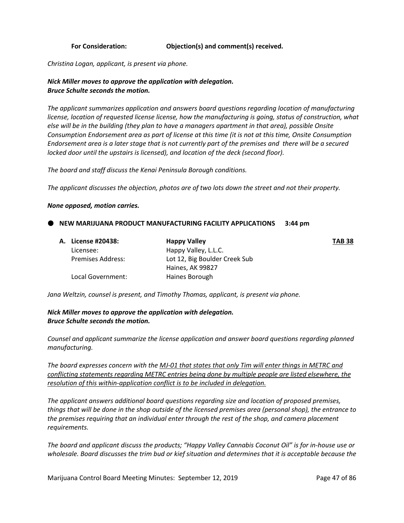### **For Consideration: Objection(s) and comment(s) received.**

*Christina Logan, applicant, is present via phone.*

# *Nick Miller moves to approve the application with delegation. Bruce Schulte seconds the motion.*

*The applicant summarizes application and answers board questions regarding location of manufacturing license, location of requested license license, how the manufacturing is going, status of construction, what else will be in the building (they plan to have a managers apartment in that area), possible Onsite Consumption Endorsement area as part of license at this time (it is not at this time, Onsite Consumption Endorsement area is a later stage that is not currently part of the premises and there will be a secured locked door until the upstairs is licensed), and location of the deck (second floor).* 

*The board and staff discuss the Kenai Peninsula Borough conditions.* 

*The applicant discusses the objection, photos are of two lots down the street and not their property.* 

#### *None opposed, motion carries.*

#### **NEW MARIJUANA PRODUCT MANUFACTURING FACILITY APPLICATIONS 3:44 pm**

| A. License #20438:       | <b>Happy Valley</b>           | <b>TAB 38</b> |
|--------------------------|-------------------------------|---------------|
| Licensee:                | Happy Valley, L.L.C.          |               |
| <b>Premises Address:</b> | Lot 12, Big Boulder Creek Sub |               |
|                          | Haines, AK 99827              |               |
| Local Government:        | Haines Borough                |               |

*Jana Weltzin, counsel is present, and Timothy Thomas, applicant, is present via phone.* 

# *Nick Miller moves to approve the application with delegation. Bruce Schulte seconds the motion.*

*Counsel and applicant summarize the license application and answer board questions regarding planned manufacturing.* 

*The board expresses concern with the MJ-01 that states that only Tim will enter things in METRC and conflicting statements regarding METRC entries being done by multiple people are listed elsewhere, the resolution of this within-application conflict is to be included in delegation.*

*The applicant answers additional board questions regarding size and location of proposed premises, things that will be done in the shop outside of the licensed premises area (personal shop), the entrance to the premises requiring that an individual enter through the rest of the shop, and camera placement requirements.* 

*The board and applicant discuss the products; "Happy Valley Cannabis Coconut Oil" is for in-house use or wholesale. Board discusses the trim bud or kief situation and determines that it is acceptable because the*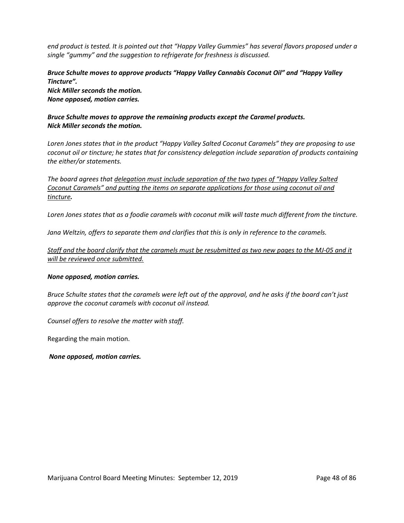*end product is tested. It is pointed out that "Happy Valley Gummies" has several flavors proposed under a single "gummy" and the suggestion to refrigerate for freshness is discussed.* 

# *Bruce Schulte moves to approve products "Happy Valley Cannabis Coconut Oil" and "Happy Valley Tincture".*

*Nick Miller seconds the motion. None opposed, motion carries.* 

# *Bruce Schulte moves to approve the remaining products except the Caramel products. Nick Miller seconds the motion.*

*Loren Jones states that in the product "Happy Valley Salted Coconut Caramels" they are proposing to use coconut oil or tincture; he states that for consistency delegation include separation of products containing the either/or statements.* 

*The board agrees that delegation must include separation of the two types of "Happy Valley Salted Coconut Caramels" and putting the items on separate applications for those using coconut oil and tincture.* 

*Loren Jones states that as a foodie caramels with coconut milk will taste much different from the tincture.* 

*Jana Weltzin, offers to separate them and clarifies that this is only in reference to the caramels.* 

*Staff and the board clarify that the caramels must be resubmitted as two new pages to the MJ-05 and it will be reviewed once submitted.* 

#### *None opposed, motion carries.*

*Bruce Schulte states that the caramels were left out of the approval, and he asks if the board can't just approve the coconut caramels with coconut oil instead.*

*Counsel offers to resolve the matter with staff.*

Regarding the main motion.

*None opposed, motion carries.*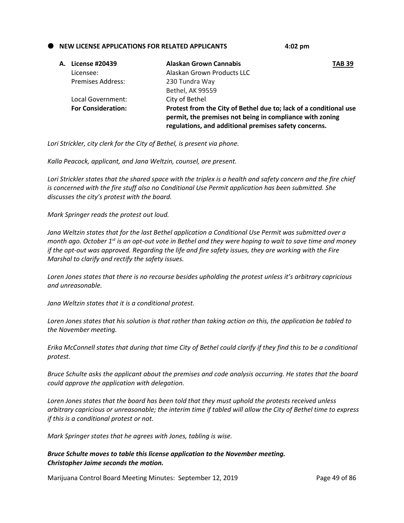**NEW LICENSE APPLICATIONS FOR RELATED APPLICANTS 4:02 pm**

| A. License #20439         | Alaskan Grown Cannabis                                                                                                                                                                 | <b>TAB 39</b> |
|---------------------------|----------------------------------------------------------------------------------------------------------------------------------------------------------------------------------------|---------------|
| Licensee:                 | Alaskan Grown Products LLC                                                                                                                                                             |               |
| <b>Premises Address:</b>  | 230 Tundra Way                                                                                                                                                                         |               |
|                           | Bethel, AK 99559                                                                                                                                                                       |               |
| Local Government:         | City of Bethel                                                                                                                                                                         |               |
| <b>For Consideration:</b> | Protest from the City of Bethel due to; lack of a conditional use<br>permit, the premises not being in compliance with zoning<br>regulations, and additional premises safety concerns. |               |

*Lori Strickler, city clerk for the City of Bethel, is present via phone.*

*Kalla Peacock, applicant, and Jana Weltzin, counsel, are present.* 

Lori Strickler states that the shared space with the triplex is a health and safety concern and the fire chief *is concerned with the fire stuff also no Conditional Use Permit application has been submitted. She discusses the city's protest with the board.* 

*Mark Springer reads the protest out loud.* 

*Jana Weltzin states that for the last Bethel application a Conditional Use Permit was submitted over a month ago. October 1st is an opt-out vote in Bethel and they were hoping to wait to save time and money if the opt-out was approved. Regarding the life and fire safety issues, they are working with the Fire Marshal to clarify and rectify the safety issues.* 

*Loren Jones states that there is no recourse besides upholding the protest unless it's arbitrary capricious and unreasonable.* 

*Jana Weltzin states that it is a conditional protest.* 

*Loren Jones states that his solution is that rather than taking action on this, the application be tabled to the November meeting.* 

*Erika McConnell states that during that time City of Bethel could clarify if they find this to be a conditional protest.* 

*Bruce Schulte asks the applicant about the premises and code analysis occurring. He states that the board could approve the application with delegation.*

*Loren Jones states that the board has been told that they must uphold the protests received unless arbitrary capricious or unreasonable; the interim time if tabled will allow the City of Bethel time to express if this is a conditional protest or not.* 

*Mark Springer states that he agrees with Jones, tabling is wise.*

*Bruce Schulte moves to table this license application to the November meeting. Christopher Jaime seconds the motion.*

Marijuana Control Board Meeting Minutes: September 12, 2019 Page 49 of 86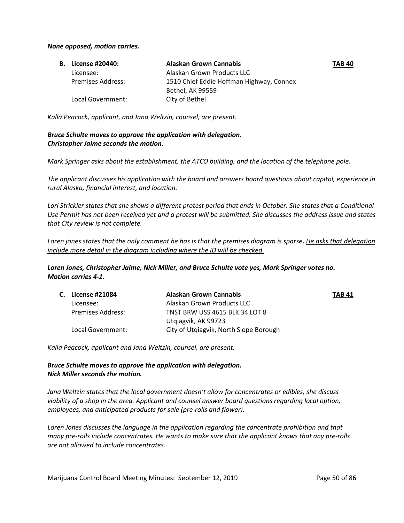#### *None opposed, motion carries.*

| <b>B.</b> License #20440: | <b>Alaskan Grown Cannabis</b>            | <b>TAB 40</b> |
|---------------------------|------------------------------------------|---------------|
| Licensee:                 | Alaskan Grown Products LLC               |               |
| Premises Address:         | 1510 Chief Eddie Hoffman Highway, Connex |               |
|                           | Bethel, AK 99559                         |               |
| Local Government:         | City of Bethel                           |               |

*Kalla Peacock, applicant, and Jana Weltzin, counsel, are present.* 

# *Bruce Schulte moves to approve the application with delegation. Christopher Jaime seconds the motion.*

*Mark Springer asks about the establishment, the ATCO building, and the location of the telephone pole.*

*The applicant discusses his application with the board and answers board questions about capitol, experience in rural Alaska, financial interest, and location.* 

Lori Strickler states that she shows a different protest period that ends in October. She states that a Conditional *Use Permit has not been received yet and a protest will be submitted. She discusses the address issue and states that City review is not complete.* 

*Loren jones states that the only comment he has is that the premises diagram is sparse. He asks that delegation include more detail in the diagram including where the ID will be checked.*

*Loren Jones, Christopher Jaime, Nick Miller, and Bruce Schulte vote yes, Mark Springer votes no. Motion carries 4-1.*

| <b>C.</b> License #21084 | <b>Alaskan Grown Cannabis</b>          | TAB 41 |
|--------------------------|----------------------------------------|--------|
| Licensee:                | Alaskan Grown Products LLC             |        |
| Premises Address:        | <b>TNST BRW USS 4615 BLK 34 LOT 8</b>  |        |
|                          | Utgiagvik, AK 99723                    |        |
| Local Government:        | City of Utqiagvik, North Slope Borough |        |

*Kalla Peacock, applicant and Jana Weltzin, counsel, are present.*

# *Bruce Schulte moves to approve the application with delegation. Nick Miller seconds the motion.*

*Jana Weltzin states that the local government doesn't allow for concentrates or edibles, she discuss viability of a shop in the area. Applicant and counsel answer board questions regarding local option, employees, and anticipated products for sale (pre-rolls and flower).*

*Loren Jones discusses the language in the application regarding the concentrate prohibition and that many pre-rolls include concentrates. He wants to make sure that the applicant knows that any pre-rolls are not allowed to include concentrates.*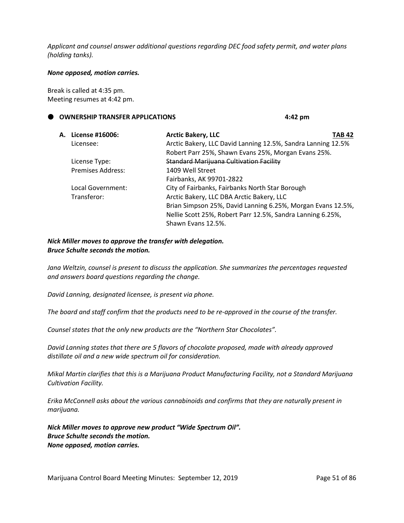*Applicant and counsel answer additional questions regarding DEC food safety permit, and water plans (holding tanks).* 

#### *None opposed, motion carries.*

Break is called at 4:35 pm. Meeting resumes at 4:42 pm.

#### **OWNERSHIP TRANSFER APPLICATIONS 4:42 pm**

| A. License #16006:       | <b>Arctic Bakery, LLC</b><br>TAB 42                          |  |
|--------------------------|--------------------------------------------------------------|--|
| Licensee:                | Arctic Bakery, LLC David Lanning 12.5%, Sandra Lanning 12.5% |  |
|                          | Robert Parr 25%, Shawn Evans 25%, Morgan Evans 25%.          |  |
| License Type:            | <b>Standard Marijuana Cultivation Facility</b>               |  |
| <b>Premises Address:</b> | 1409 Well Street                                             |  |
|                          | Fairbanks, AK 99701-2822                                     |  |
| Local Government:        | City of Fairbanks, Fairbanks North Star Borough              |  |
| Transferor:              | Arctic Bakery, LLC DBA Arctic Bakery, LLC                    |  |
|                          | Brian Simpson 25%, David Lanning 6.25%, Morgan Evans 12.5%,  |  |
|                          | Nellie Scott 25%, Robert Parr 12.5%, Sandra Lanning 6.25%,   |  |
|                          | Shawn Evans 12.5%.                                           |  |
|                          |                                                              |  |

### *Nick Miller moves to approve the transfer with delegation. Bruce Schulte seconds the motion.*

*Jana Weltzin, counsel is present to discuss the application. She summarizes the percentages requested and answers board questions regarding the change.* 

*David Lanning, designated licensee, is present via phone.* 

*The board and staff confirm that the products need to be re-approved in the course of the transfer.* 

*Counsel states that the only new products are the "Northern Star Chocolates".* 

*David Lanning states that there are 5 flavors of chocolate proposed, made with already approved distillate oil and a new wide spectrum oil for consideration.* 

*Mikal Martin clarifies that this is a Marijuana Product Manufacturing Facility, not a Standard Marijuana Cultivation Facility.* 

*Erika McConnell asks about the various cannabinoids and confirms that they are naturally present in marijuana.* 

*Nick Miller moves to approve new product "Wide Spectrum Oil". Bruce Schulte seconds the motion. None opposed, motion carries.*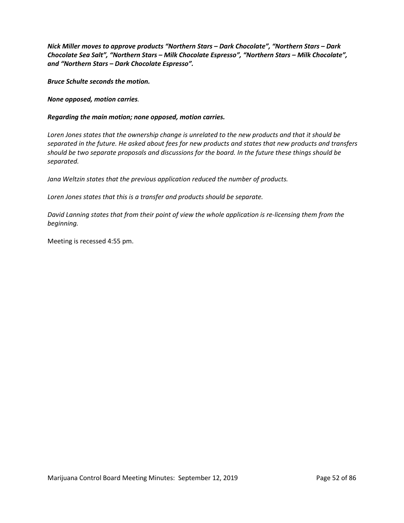*Nick Miller moves to approve products "Northern Stars – Dark Chocolate", "Northern Stars – Dark Chocolate Sea Salt", "Northern Stars – Milk Chocolate Espresso", "Northern Stars – Milk Chocolate", and "Northern Stars – Dark Chocolate Espresso".* 

*Bruce Schulte seconds the motion.* 

*None opposed, motion carries.* 

#### *Regarding the main motion; none opposed, motion carries.*

*Loren Jones states that the ownership change is unrelated to the new products and that it should be separated in the future. He asked about fees for new products and states that new products and transfers should be two separate proposals and discussions for the board. In the future these things should be separated.* 

*Jana Weltzin states that the previous application reduced the number of products.* 

*Loren Jones states that this is a transfer and products should be separate.* 

*David Lanning states that from their point of view the whole application is re-licensing them from the beginning.* 

Meeting is recessed 4:55 pm.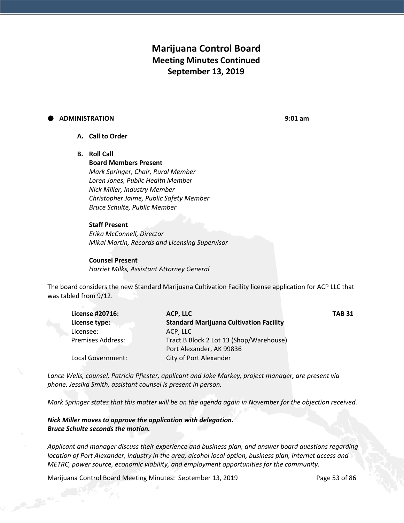# **Marijuana Control Board Meeting Minutes Continued September 13, 2019**

#### **ADMINISTRATION 9:01 am**

- **A. Call to Order**
- **B. Roll Call**

**Board Members Present** *Mark Springer, Chair, Rural Member Loren Jones, Public Health Member Nick Miller, Industry Member Christopher Jaime, Public Safety Member Bruce Schulte, Public Member*

#### **Staff Present**

*Erika McConnell, Director Mikal Martin, Records and Licensing Supervisor*

**Counsel Present** *Harriet Milks, Assistant Attorney General*

The board considers the new Standard Marijuana Cultivation Facility license application for ACP LLC that was tabled from 9/12.

| License #20716:          | ACP, LLC                                       | <b>TAB 31</b> |
|--------------------------|------------------------------------------------|---------------|
| License type:            | <b>Standard Marijuana Cultivation Facility</b> |               |
| Licensee:                | ACP, LLC                                       |               |
| <b>Premises Address:</b> | Tract B Block 2 Lot 13 (Shop/Warehouse)        |               |
|                          | Port Alexander, AK 99836                       |               |
| Local Government:        | City of Port Alexander                         |               |
|                          |                                                |               |

*Lance Wells, counsel, Patricia Pfiester, applicant and Jake Markey, project manager, are present via phone. Jessika Smith, assistant counsel is present in person.* 

*Mark Springer states that this matter will be on the agenda again in November for the objection received.* 

*Nick Miller moves to approve the application with delegation. Bruce Schulte seconds the motion.*

*Applicant and manager discuss their experience and business plan, and answer board questions regarding location of Port Alexander, industry in the area, alcohol local option, business plan, internet access and METRC, power source, economic viability, and employment opportunities for the community.*

Marijuana Control Board Meeting Minutes: September 13, 2019 Page 53 of 86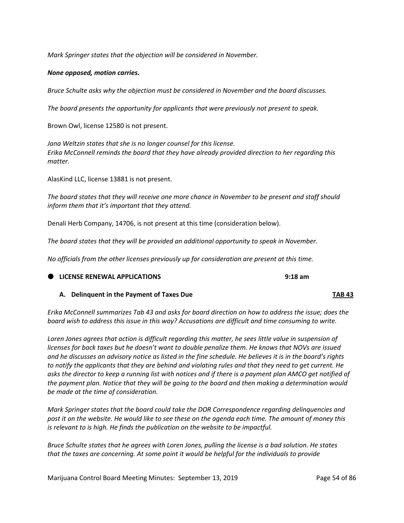*Mark Springer states that the objection will be considered in November.*

#### *None opposed, motion carries.*

*Bruce Schulte asks why the objection must be considered in November and the board discusses.*

*The board presents the opportunity for applicants that were previously not present to speak.* 

Brown Owl, license 12580 is not present.

*Jana Weltzin states that she is no longer counsel for this license. Erika McConnell reminds the board that they have already provided direction to her regarding this matter.* 

AlasKind LLC, license 13881 is not present.

*The board states that they will receive one more chance in November to be present and staff should inform them that it's important that they attend.*

Denali Herb Company, 14706, is not present at this time (consideration below).

*The board states that they will be provided an additional opportunity to speak in November.* 

*No officials from the other licenses previously up for consideration are present at this time.* 

### **LICENSE RENEWAL APPLICATIONS 9:18 am**

#### **A. Delinquent in the Payment of Taxes Due TAB 43**

*Erika McConnell summarizes Tab 43 and asks for board direction on how to address the issue; does the board wish to address this issue in this way? Accusations are difficult and time consuming to write.* 

*Loren Jones agrees that action is difficult regarding this matter, he sees little value in suspension of licenses for back taxes but he doesn't want to double penalize them. He knows that NOVs are issued and he discusses an advisory notice as listed in the fine schedule. He believes it is in the board's rights to notify the applicants that they are behind and violating rules and that they need to get current. He asks the director to keep a running list with notices and if there is a payment plan AMCO get notified of the payment plan. Notice that they will be going to the board and then making a determination would be made at the time of consideration.* 

*Mark Springer states that the board could take the DOR Correspondence regarding delinquencies and post it on the website. He would like to see these on the agenda each time. The amount of money this is relevant to is high. He finds the publication on the website to be impactful.* 

*Bruce Schulte states that he agrees with Loren Jones, pulling the license is a bad solution. He states that the taxes are concerning. At some point it would be helpful for the individuals to provide*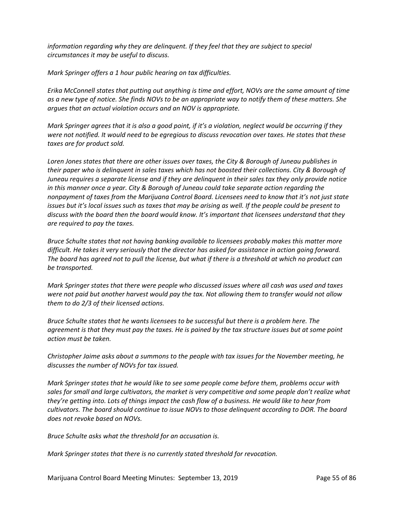*information regarding why they are delinquent. If they feel that they are subject to special circumstances it may be useful to discuss.* 

*Mark Springer offers a 1 hour public hearing on tax difficulties.*

*Erika McConnell states that putting out anything is time and effort, NOVs are the same amount of time as a new type of notice. She finds NOVs to be an appropriate way to notify them of these matters. She argues that an actual violation occurs and an NOV is appropriate.* 

*Mark Springer agrees that it is also a good point, if it's a violation, neglect would be occurring if they were not notified. It would need to be egregious to discuss revocation over taxes. He states that these taxes are for product sold.* 

*Loren Jones states that there are other issues over taxes, the City & Borough of Juneau publishes in their paper who is delinquent in sales taxes which has not boosted their collections. City & Borough of Juneau requires a separate license and if they are delinquent in their sales tax they only provide notice in this manner once a year. City & Borough of Juneau could take separate action regarding the nonpayment of taxes from the Marijuana Control Board. Licensees need to know that it's not just state issues but it's local issues such as taxes that may be arising as well. If the people could be present to discuss with the board then the board would know. It's important that licensees understand that they are required to pay the taxes.* 

*Bruce Schulte states that not having banking available to licensees probably makes this matter more difficult. He takes it very seriously that the director has asked for assistance in action going forward. The board has agreed not to pull the license, but what if there is a threshold at which no product can be transported.* 

*Mark Springer states that there were people who discussed issues where all cash was used and taxes were not paid but another harvest would pay the tax. Not allowing them to transfer would not allow them to do 2/3 of their licensed actions.* 

*Bruce Schulte states that he wants licensees to be successful but there is a problem here. The agreement is that they must pay the taxes. He is pained by the tax structure issues but at some point action must be taken.* 

*Christopher Jaime asks about a summons to the people with tax issues for the November meeting, he discusses the number of NOVs for tax issued.* 

*Mark Springer states that he would like to see some people come before them, problems occur with sales for small and large cultivators, the market is very competitive and some people don't realize what they're getting into. Lots of things impact the cash flow of a business. He would like to hear from cultivators. The board should continue to issue NOVs to those delinquent according to DOR. The board does not revoke based on NOVs.*

*Bruce Schulte asks what the threshold for an accusation is.* 

*Mark Springer states that there is no currently stated threshold for revocation.*

Marijuana Control Board Meeting Minutes: September 13, 2019 **Page 55 of 86**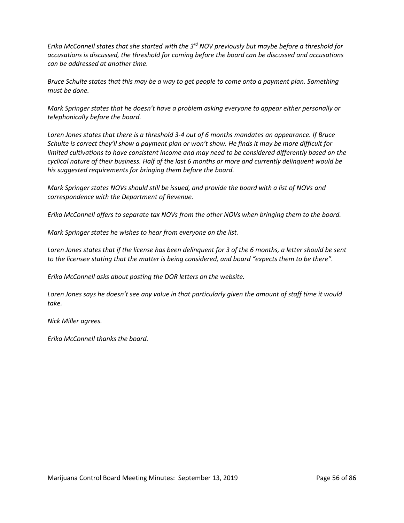*Erika McConnell states that she started with the 3rd NOV previously but maybe before a threshold for accusations is discussed, the threshold for coming before the board can be discussed and accusations can be addressed at another time.* 

*Bruce Schulte states that this may be a way to get people to come onto a payment plan. Something must be done.* 

*Mark Springer states that he doesn't have a problem asking everyone to appear either personally or telephonically before the board.* 

*Loren Jones states that there is a threshold 3-4 out of 6 months mandates an appearance. If Bruce Schulte is correct they'll show a payment plan or won't show. He finds it may be more difficult for limited cultivations to have consistent income and may need to be considered differently based on the cyclical nature of their business. Half of the last 6 months or more and currently delinquent would be his suggested requirements for bringing them before the board.* 

*Mark Springer states NOVs should still be issued, and provide the board with a list of NOVs and correspondence with the Department of Revenue.* 

*Erika McConnell offers to separate tax NOVs from the other NOVs when bringing them to the board.* 

*Mark Springer states he wishes to hear from everyone on the list.* 

*Loren Jones states that if the license has been delinquent for 3 of the 6 months, a letter should be sent to the licensee stating that the matter is being considered, and board "expects them to be there".* 

*Erika McConnell asks about posting the DOR letters on the website.* 

*Loren Jones says he doesn't see any value in that particularly given the amount of staff time it would take.*

*Nick Miller agrees.* 

*Erika McConnell thanks the board.*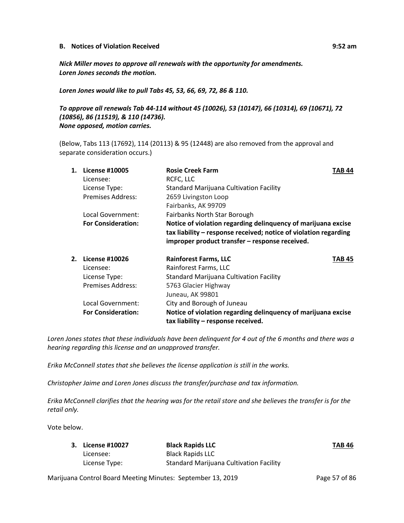#### **B. Notices of Violation Received 9:52 am**

*Nick Miller moves to approve all renewals with the opportunity for amendments. Loren Jones seconds the motion.*

*Loren Jones would like to pull Tabs 45, 53, 66, 69, 72, 86 & 110.*

# *To approve all renewals Tab 44-114 without 45 (10026), 53 (10147), 66 (10314), 69 (10671), 72 (10856), 86 (11519), & 110 (14736). None opposed, motion carries.*

(Below, Tabs 113 (17692), 114 (20113) & 95 (12448) are also removed from the approval and separate consideration occurs.)

| 1. | License #10005            | <b>Rosie Creek Farm</b>                                                                                                                                                             | TAB 44 |
|----|---------------------------|-------------------------------------------------------------------------------------------------------------------------------------------------------------------------------------|--------|
|    | Licensee:                 | RCFC, LLC                                                                                                                                                                           |        |
|    | License Type:             | Standard Marijuana Cultivation Facility                                                                                                                                             |        |
|    | <b>Premises Address:</b>  | 2659 Livingston Loop                                                                                                                                                                |        |
|    |                           | Fairbanks, AK 99709                                                                                                                                                                 |        |
|    | Local Government:         | Fairbanks North Star Borough                                                                                                                                                        |        |
|    | <b>For Consideration:</b> | Notice of violation regarding delinquency of marijuana excise<br>tax liability - response received; notice of violation regarding<br>improper product transfer - response received. |        |
| 2. | <b>License #10026</b>     | <b>Rainforest Farms, LLC</b>                                                                                                                                                        | TAB 45 |
|    | Licensee:                 | Rainforest Farms, LLC                                                                                                                                                               |        |
|    | License Type:             | <b>Standard Marijuana Cultivation Facility</b>                                                                                                                                      |        |
|    | <b>Premises Address:</b>  | 5763 Glacier Highway                                                                                                                                                                |        |
|    |                           | Juneau, AK 99801                                                                                                                                                                    |        |
|    | Local Government:         | City and Borough of Juneau                                                                                                                                                          |        |
|    | <b>For Consideration:</b> | Notice of violation regarding delinquency of marijuana excise<br>tax liability - response received.                                                                                 |        |

*Loren Jones states that these individuals have been delinquent for 4 out of the 6 months and there was a hearing regarding this license and an unapproved transfer.* 

*Erika McConnell states that she believes the license application is still in the works.* 

*Christopher Jaime and Loren Jones discuss the transfer/purchase and tax information.*

*Erika McConnell clarifies that the hearing was for the retail store and she believes the transfer is for the retail only.* 

Vote below.

| 3. License #10027 | <b>Black Rapids LLC</b>                        | <b>TAB 46</b> |
|-------------------|------------------------------------------------|---------------|
| Licensee:         | Black Rapids LLC                               |               |
| License Type:     | <b>Standard Marijuana Cultivation Facility</b> |               |

Marijuana Control Board Meeting Minutes: September 13, 2019 **Page 57 of 86**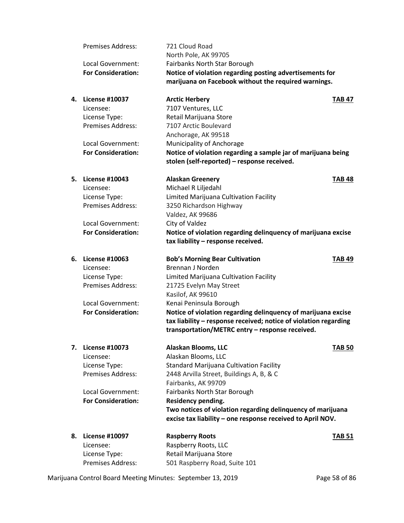|    | <b>Premises Address:</b>           | 721 Cloud Road                                                   |               |
|----|------------------------------------|------------------------------------------------------------------|---------------|
|    |                                    | North Pole, AK 99705                                             |               |
|    | Local Government:                  | Fairbanks North Star Borough                                     |               |
|    | <b>For Consideration:</b>          | Notice of violation regarding posting advertisements for         |               |
|    |                                    | marijuana on Facebook without the required warnings.             |               |
| 4. | <b>License #10037</b>              | <b>Arctic Herbery</b>                                            | <b>TAB 47</b> |
|    | Licensee:                          | 7107 Ventures, LLC                                               |               |
|    | License Type:                      | Retail Marijuana Store                                           |               |
|    | <b>Premises Address:</b>           | 7107 Arctic Boulevard                                            |               |
|    |                                    | Anchorage, AK 99518                                              |               |
|    | Local Government:                  | Municipality of Anchorage                                        |               |
|    | <b>For Consideration:</b>          | Notice of violation regarding a sample jar of marijuana being    |               |
|    |                                    | stolen (self-reported) - response received.                      |               |
| 5. | License #10043                     | <b>Alaskan Greenery</b>                                          | <b>TAB 48</b> |
|    | Licensee:                          | Michael R Liljedahl                                              |               |
|    | License Type:                      | Limited Marijuana Cultivation Facility                           |               |
|    | <b>Premises Address:</b>           | 3250 Richardson Highway                                          |               |
|    |                                    | Valdez, AK 99686                                                 |               |
|    | Local Government:                  | City of Valdez                                                   |               |
|    | <b>For Consideration:</b>          | Notice of violation regarding delinquency of marijuana excise    |               |
|    |                                    | tax liability - response received.                               |               |
| 6. | <b>License #10063</b>              | <b>Bob's Morning Bear Cultivation</b>                            | <b>TAB 49</b> |
|    | Licensee:                          | <b>Brennan J Norden</b>                                          |               |
|    | License Type:                      | Limited Marijuana Cultivation Facility                           |               |
|    | <b>Premises Address:</b>           | 21725 Evelyn May Street                                          |               |
|    |                                    | Kasilof, AK 99610                                                |               |
|    | Local Government:                  | Kenai Peninsula Borough                                          |               |
|    | <b>For Consideration:</b>          | Notice of violation regarding delinquency of marijuana excise    |               |
|    |                                    | tax liability - response received; notice of violation regarding |               |
|    |                                    | transportation/METRC entry - response received.                  |               |
| 7. | <b>License #10073</b>              | Alaskan Blooms, LLC                                              | <b>TAB 50</b> |
|    | Licensee:                          | Alaskan Blooms, LLC                                              |               |
|    |                                    |                                                                  |               |
|    | License Type:                      | <b>Standard Marijuana Cultivation Facility</b>                   |               |
|    | <b>Premises Address:</b>           | 2448 Arvilla Street, Buildings A, B, & C                         |               |
|    |                                    | Fairbanks, AK 99709                                              |               |
|    | Local Government:                  | Fairbanks North Star Borough                                     |               |
|    | <b>For Consideration:</b>          | Residency pending.                                               |               |
|    |                                    | Two notices of violation regarding delinquency of marijuana      |               |
|    |                                    | excise tax liability - one response received to April NOV.       |               |
| 8. | <b>License #10097</b>              | <b>Raspberry Roots</b>                                           | <b>TAB 51</b> |
|    | Licensee:                          | Raspberry Roots, LLC                                             |               |
|    | License Type:<br>Premises Address: | Retail Marijuana Store<br>501 Raspberry Road, Suite 101          |               |

Marijuana Control Board Meeting Minutes: September 13, 2019 Page 58 of 86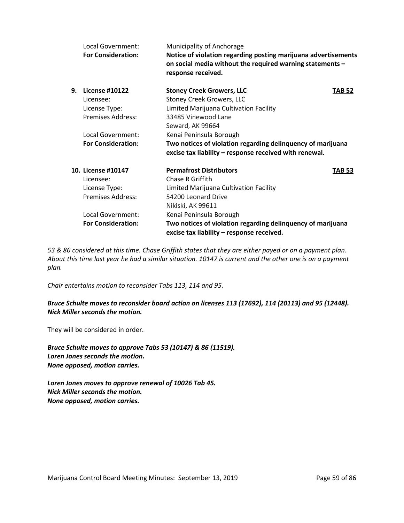|    | Local Government:<br><b>For Consideration:</b> | Municipality of Anchorage<br>Notice of violation regarding posting marijuana advertisements<br>on social media without the required warning statements -<br>response received. |               |
|----|------------------------------------------------|--------------------------------------------------------------------------------------------------------------------------------------------------------------------------------|---------------|
| 9. | <b>License #10122</b>                          | <b>Stoney Creek Growers, LLC</b>                                                                                                                                               | <b>TAB 52</b> |
|    | Licensee:                                      | <b>Stoney Creek Growers, LLC</b>                                                                                                                                               |               |
|    | License Type:                                  | Limited Marijuana Cultivation Facility                                                                                                                                         |               |
|    | <b>Premises Address:</b>                       | 33485 Vinewood Lane                                                                                                                                                            |               |
|    |                                                | Seward, AK 99664                                                                                                                                                               |               |
|    | Local Government:                              | Kenai Peninsula Borough                                                                                                                                                        |               |
|    | <b>For Consideration:</b>                      | Two notices of violation regarding delinquency of marijuana<br>excise tax liability - response received with renewal.                                                          |               |
|    | 10. License #10147                             | <b>Permafrost Distributors</b>                                                                                                                                                 | <b>TAB 53</b> |
|    | Licensee:                                      | Chase R Griffith                                                                                                                                                               |               |
|    | License Type:                                  | Limited Marijuana Cultivation Facility                                                                                                                                         |               |
|    | <b>Premises Address:</b>                       | 54200 Leonard Drive                                                                                                                                                            |               |
|    |                                                | Nikiski, AK 99611                                                                                                                                                              |               |
|    | Local Government:                              | Kenai Peninsula Borough                                                                                                                                                        |               |
|    | <b>For Consideration:</b>                      | Two notices of violation regarding delinquency of marijuana<br>excise tax liability - response received.                                                                       |               |

*53 & 86 considered at this time. Chase Griffith states that they are either payed or on a payment plan. About this time last year he had a similar situation. 10147 is current and the other one is on a payment plan.* 

*Chair entertains motion to reconsider Tabs 113, 114 and 95.*

*Bruce Schulte moves to reconsider board action on licenses 113 (17692), 114 (20113) and 95 (12448). Nick Miller seconds the motion.*

They will be considered in order.

*Bruce Schulte moves to approve Tabs 53 (10147) & 86 (11519). Loren Jones seconds the motion. None opposed, motion carries.* 

*Loren Jones moves to approve renewal of 10026 Tab 45. Nick Miller seconds the motion. None opposed, motion carries.*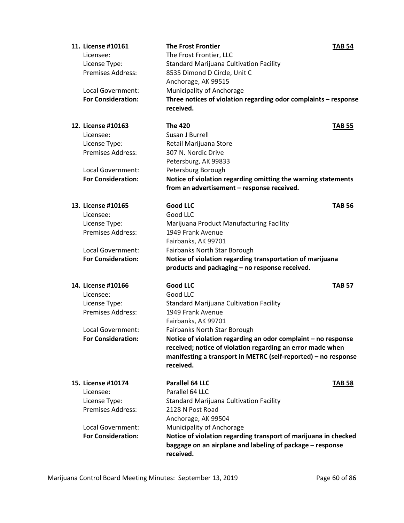| 11. License #10161        | <b>The Frost Frontier</b>                                                   | <b>TAB 54</b> |
|---------------------------|-----------------------------------------------------------------------------|---------------|
| Licensee:                 | The Frost Frontier, LLC                                                     |               |
| License Type:             | <b>Standard Marijuana Cultivation Facility</b>                              |               |
| <b>Premises Address:</b>  | 8535 Dimond D Circle, Unit C                                                |               |
|                           | Anchorage, AK 99515                                                         |               |
| Local Government:         | Municipality of Anchorage                                                   |               |
| <b>For Consideration:</b> | Three notices of violation regarding odor complaints - response             |               |
|                           | received.                                                                   |               |
| 12. License #10163        | <b>The 420</b>                                                              | <b>TAB 55</b> |
| Licensee:                 | Susan J Burrell                                                             |               |
| License Type:             | Retail Marijuana Store                                                      |               |
| <b>Premises Address:</b>  | 307 N. Nordic Drive                                                         |               |
|                           | Petersburg, AK 99833                                                        |               |
| Local Government:         | Petersburg Borough                                                          |               |
| <b>For Consideration:</b> | Notice of violation regarding omitting the warning statements               |               |
|                           | from an advertisement - response received.                                  |               |
| 13. License #10165        | <b>Good LLC</b>                                                             | <b>TAB 56</b> |
| Licensee:                 | Good LLC                                                                    |               |
| License Type:             | Marijuana Product Manufacturing Facility                                    |               |
| Premises Address:         | 1949 Frank Avenue                                                           |               |
|                           | Fairbanks, AK 99701                                                         |               |
| Local Government:         | Fairbanks North Star Borough                                                |               |
| <b>For Consideration:</b> | Notice of violation regarding transportation of marijuana                   |               |
|                           | products and packaging - no response received.                              |               |
| 14. License #10166        | <b>Good LLC</b>                                                             | <b>TAB 57</b> |
| Licensee:                 | Good LLC                                                                    |               |
| License Type:             | Standard Marijuana Cultivation Facility                                     |               |
| <b>Premises Address:</b>  | 1949 Frank Avenue                                                           |               |
|                           | Fairbanks, AK 99701                                                         |               |
| Local Government:         | Fairbanks North Star Borough                                                |               |
| <b>For Consideration:</b> | Notice of violation regarding an odor complaint - no response               |               |
|                           | received; notice of violation regarding an error made when                  |               |
|                           | manifesting a transport in METRC (self-reported) - no response<br>received. |               |
| 15. License #10174        | Parallel 64 LLC                                                             | <b>TAB 58</b> |
| Licensee:                 | Parallel 64 LLC                                                             |               |
| License Type:             | <b>Standard Marijuana Cultivation Facility</b>                              |               |
| <b>Premises Address:</b>  | 2128 N Post Road                                                            |               |
|                           | Anchorage, AK 99504                                                         |               |
| Local Government:         | Municipality of Anchorage                                                   |               |
| <b>For Consideration:</b> | Notice of violation regarding transport of marijuana in checked             |               |
|                           | baggage on an airplane and labeling of package - response<br>received.      |               |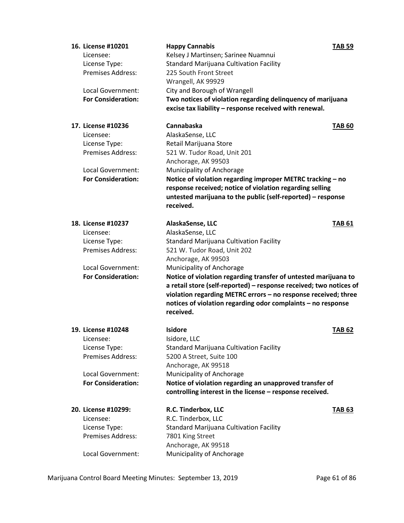| 16. License #10201<br>Licensee:<br>License Type:<br><b>Premises Address:</b><br>Local Government:<br><b>For Consideration:</b> | <b>Happy Cannabis</b><br>Kelsey J Martinsen; Sarinee Nuamnui<br><b>Standard Marijuana Cultivation Facility</b><br>225 South Front Street<br>Wrangell, AK 99929<br>City and Borough of Wrangell<br>Two notices of violation regarding delinquency of marijuana<br>excise tax liability - response received with renewal.                                                                                                                                           | <b>TAB 59</b> |
|--------------------------------------------------------------------------------------------------------------------------------|-------------------------------------------------------------------------------------------------------------------------------------------------------------------------------------------------------------------------------------------------------------------------------------------------------------------------------------------------------------------------------------------------------------------------------------------------------------------|---------------|
| 17. License #10236<br>Licensee:<br>License Type:<br><b>Premises Address:</b><br>Local Government:<br><b>For Consideration:</b> | Cannabaska<br>AlaskaSense, LLC<br>Retail Marijuana Store<br>521 W. Tudor Road, Unit 201<br>Anchorage, AK 99503<br>Municipality of Anchorage<br>Notice of violation regarding improper METRC tracking - no<br>response received; notice of violation regarding selling<br>untested marijuana to the public (self-reported) - response<br>received.                                                                                                                 | <b>TAB 60</b> |
| 18. License #10237<br>Licensee:<br>License Type:<br>Premises Address:<br>Local Government:<br><b>For Consideration:</b>        | AlaskaSense, LLC<br>AlaskaSense, LLC<br><b>Standard Marijuana Cultivation Facility</b><br>521 W. Tudor Road, Unit 202<br>Anchorage, AK 99503<br>Municipality of Anchorage<br>Notice of violation regarding transfer of untested marijuana to<br>a retail store (self-reported) - response received; two notices of<br>violation regarding METRC errors - no response received; three<br>notices of violation regarding odor complaints - no response<br>received. | <b>TAB 61</b> |
| 19. License #10248<br>Licensee:<br>License Type:<br><b>Premises Address:</b><br>Local Government:<br><b>For Consideration:</b> | <b>Isidore</b><br>Isidore, LLC<br><b>Standard Marijuana Cultivation Facility</b><br>5200 A Street, Suite 100<br>Anchorage, AK 99518<br>Municipality of Anchorage<br>Notice of violation regarding an unapproved transfer of<br>controlling interest in the license - response received.                                                                                                                                                                           | <b>TAB 62</b> |
| 20. License #10299:<br>Licensee:<br>License Type:<br><b>Premises Address:</b><br>Local Government:                             | R.C. Tinderbox, LLC<br>R.C. Tinderbox, LLC<br><b>Standard Marijuana Cultivation Facility</b><br>7801 King Street<br>Anchorage, AK 99518<br>Municipality of Anchorage                                                                                                                                                                                                                                                                                              | <b>TAB 63</b> |

Marijuana Control Board Meeting Minutes: September 13, 2019 Page 61 of 86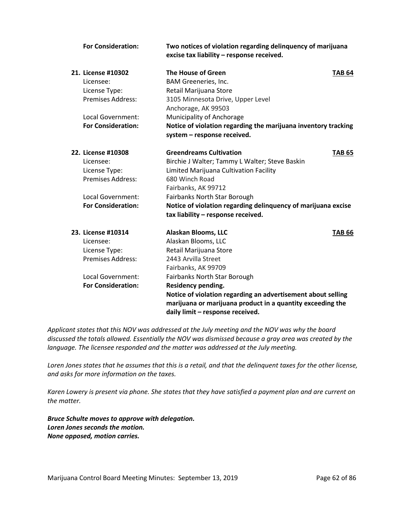| <b>For Consideration:</b> | Two notices of violation regarding delinquency of marijuana<br>excise tax liability - response received. |               |
|---------------------------|----------------------------------------------------------------------------------------------------------|---------------|
| 21. License #10302        | The House of Green                                                                                       | <b>TAB 64</b> |
| Licensee:                 | BAM Greeneries, Inc.                                                                                     |               |
| License Type:             | Retail Marijuana Store                                                                                   |               |
| <b>Premises Address:</b>  | 3105 Minnesota Drive, Upper Level<br>Anchorage, AK 99503                                                 |               |
| Local Government:         | Municipality of Anchorage                                                                                |               |
| <b>For Consideration:</b> | Notice of violation regarding the marijuana inventory tracking                                           |               |
|                           | system - response received.                                                                              |               |
| 22. License #10308        | <b>Greendreams Cultivation</b>                                                                           | <b>TAB 65</b> |
| Licensee:                 | Birchie J Walter; Tammy L Walter; Steve Baskin                                                           |               |
| License Type:             | Limited Marijuana Cultivation Facility                                                                   |               |
| <b>Premises Address:</b>  | 680 Winch Road                                                                                           |               |
|                           | Fairbanks, AK 99712                                                                                      |               |
| Local Government:         | Fairbanks North Star Borough                                                                             |               |
| <b>For Consideration:</b> | Notice of violation regarding delinquency of marijuana excise                                            |               |
|                           | tax liability - response received.                                                                       |               |
| 23. License #10314        | Alaskan Blooms, LLC                                                                                      | <b>TAB 66</b> |
| Licensee:                 | Alaskan Blooms, LLC                                                                                      |               |
| License Type:             | Retail Marijuana Store                                                                                   |               |
| <b>Premises Address:</b>  | 2443 Arvilla Street                                                                                      |               |
|                           | Fairbanks, AK 99709                                                                                      |               |
| Local Government:         | Fairbanks North Star Borough                                                                             |               |
| <b>For Consideration:</b> | Residency pending.                                                                                       |               |
|                           | Notice of violation regarding an advertisement about selling                                             |               |
|                           | marijuana or marijuana product in a quantity exceeding the                                               |               |
|                           | daily limit - response received.                                                                         |               |

*Applicant states that this NOV was addressed at the July meeting and the NOV was why the board discussed the totals allowed. Essentially the NOV was dismissed because a gray area was created by the language. The licensee responded and the matter was addressed at the July meeting.*

*Loren Jones states that he assumes that this is a retail, and that the delinquent taxes for the other license, and asks for more information on the taxes.*

*Karen Lowery is present via phone. She states that they have satisfied a payment plan and are current on the matter.* 

*Bruce Schulte moves to approve with delegation. Loren Jones seconds the motion. None opposed, motion carries.*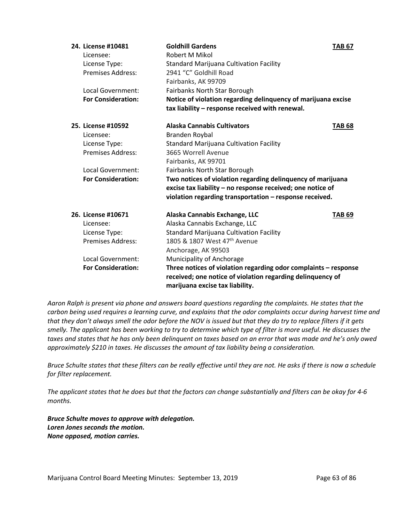| 24. License #10481        | <b>Goldhill Gardens</b>                                                                                                                                          | <b>TAB 67</b> |
|---------------------------|------------------------------------------------------------------------------------------------------------------------------------------------------------------|---------------|
| Licensee:                 | Robert M Mikol                                                                                                                                                   |               |
| License Type:             | <b>Standard Marijuana Cultivation Facility</b>                                                                                                                   |               |
| <b>Premises Address:</b>  | 2941 "C" Goldhill Road                                                                                                                                           |               |
|                           | Fairbanks, AK 99709                                                                                                                                              |               |
| Local Government:         | Fairbanks North Star Borough                                                                                                                                     |               |
| <b>For Consideration:</b> | Notice of violation regarding delinquency of marijuana excise                                                                                                    |               |
|                           | tax liability - response received with renewal.                                                                                                                  |               |
| 25. License #10592        | <b>Alaska Cannabis Cultivators</b>                                                                                                                               | <b>TAB 68</b> |
| Licensee:                 | Branden Roybal                                                                                                                                                   |               |
| License Type:             | <b>Standard Marijuana Cultivation Facility</b>                                                                                                                   |               |
| <b>Premises Address:</b>  | 3665 Worrell Avenue                                                                                                                                              |               |
|                           | Fairbanks, AK 99701                                                                                                                                              |               |
| Local Government:         | Fairbanks North Star Borough                                                                                                                                     |               |
| <b>For Consideration:</b> | Two notices of violation regarding delinquency of marijuana                                                                                                      |               |
|                           | excise tax liability - no response received; one notice of                                                                                                       |               |
|                           | violation regarding transportation - response received.                                                                                                          |               |
| 26. License #10671        | Alaska Cannabis Exchange, LLC                                                                                                                                    | <b>TAB 69</b> |
| Licensee:                 | Alaska Cannabis Exchange, LLC                                                                                                                                    |               |
| License Type:             | <b>Standard Marijuana Cultivation Facility</b>                                                                                                                   |               |
| <b>Premises Address:</b>  | 1805 & 1807 West 47 <sup>th</sup> Avenue                                                                                                                         |               |
|                           | Anchorage, AK 99503                                                                                                                                              |               |
| Local Government:         | Municipality of Anchorage                                                                                                                                        |               |
| <b>For Consideration:</b> | Three notices of violation regarding odor complaints - response<br>received; one notice of violation regarding delinquency of<br>marijuana excise tax liability. |               |

*Aaron Ralph is present via phone and answers board questions regarding the complaints. He states that the carbon being used requires a learning curve, and explains that the odor complaints occur during harvest time and that they don't always smell the odor before the NOV is issued but that they do try to replace filters if it gets smelly. The applicant has been working to try to determine which type of filter is more useful. He discusses the taxes and states that he has only been delinquent on taxes based on an error that was made and he's only owed approximately \$210 in taxes. He discusses the amount of tax liability being a consideration.* 

*Bruce Schulte states that these filters can be really effective until they are not. He asks if there is now a schedule for filter replacement.* 

*The applicant states that he does but that the factors can change substantially and filters can be okay for 4-6 months.* 

*Bruce Schulte moves to approve with delegation. Loren Jones seconds the motion. None opposed, motion carries.*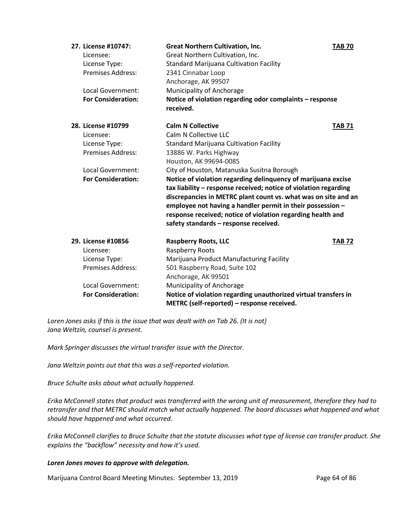| 27. License #10747:       | <b>Great Northern Cultivation, Inc.</b>                                                                                                                                                                                                                                                                                                                                   | <b>TAB 70</b> |
|---------------------------|---------------------------------------------------------------------------------------------------------------------------------------------------------------------------------------------------------------------------------------------------------------------------------------------------------------------------------------------------------------------------|---------------|
| Licensee:                 | Great Northern Cultivation, Inc.                                                                                                                                                                                                                                                                                                                                          |               |
| License Type:             | <b>Standard Marijuana Cultivation Facility</b>                                                                                                                                                                                                                                                                                                                            |               |
| <b>Premises Address:</b>  | 2341 Cinnabar Loop                                                                                                                                                                                                                                                                                                                                                        |               |
|                           | Anchorage, AK 99507                                                                                                                                                                                                                                                                                                                                                       |               |
| Local Government:         | Municipality of Anchorage                                                                                                                                                                                                                                                                                                                                                 |               |
| <b>For Consideration:</b> | Notice of violation regarding odor complaints - response<br>received.                                                                                                                                                                                                                                                                                                     |               |
| 28. License #10799        | <b>Calm N Collective</b>                                                                                                                                                                                                                                                                                                                                                  | <b>TAB 71</b> |
| Licensee:                 | Calm N Collective LLC                                                                                                                                                                                                                                                                                                                                                     |               |
| License Type:             | <b>Standard Marijuana Cultivation Facility</b>                                                                                                                                                                                                                                                                                                                            |               |
| <b>Premises Address:</b>  | 13886 W. Parks Highway                                                                                                                                                                                                                                                                                                                                                    |               |
|                           | Houston, AK 99694-0085                                                                                                                                                                                                                                                                                                                                                    |               |
| Local Government:         | City of Houston, Matanuska Susitna Borough                                                                                                                                                                                                                                                                                                                                |               |
| <b>For Consideration:</b> | Notice of violation regarding delinquency of marijuana excise<br>tax liability - response received; notice of violation regarding<br>discrepancies in METRC plant count vs. what was on site and an<br>employee not having a handler permit in their possession -<br>response received; notice of violation regarding health and<br>safety standards - response received. |               |
| 29. License #10856        | <b>Raspberry Roots, LLC</b>                                                                                                                                                                                                                                                                                                                                               | <b>TAB 72</b> |
| Licensee:                 | Raspberry Roots                                                                                                                                                                                                                                                                                                                                                           |               |
| License Type:             | Marijuana Product Manufacturing Facility                                                                                                                                                                                                                                                                                                                                  |               |
| <b>Premises Address:</b>  | 501 Raspberry Road, Suite 102                                                                                                                                                                                                                                                                                                                                             |               |
|                           | Anchorage, AK 99501                                                                                                                                                                                                                                                                                                                                                       |               |
| Local Government:         | Municipality of Anchorage                                                                                                                                                                                                                                                                                                                                                 |               |
| <b>For Consideration:</b> | Notice of violation regarding unauthorized virtual transfers in                                                                                                                                                                                                                                                                                                           |               |
|                           | METRC (self-reported) - response received.                                                                                                                                                                                                                                                                                                                                |               |

*Loren Jones asks if this is the issue that was dealt with on Tab 26. (It is not) Jana Weltzin, counsel is present.* 

*Mark Springer discusses the virtual transfer issue with the Director.* 

*Jana Weltzin points out that this was a self-reported violation.*

*Bruce Schulte asks about what actually happened.* 

*Erika McConnell states that product was transferred with the wrong unit of measurement, therefore they had to retransfer and that METRC should match what actually happened. The board discusses what happened and what should have happened and what occurred.* 

*Erika McConnell clarifies to Bruce Schulte that the statute discusses what type of license can transfer product. She explains the "backflow" necessity and how it's used.* 

#### *Loren Jones moves to approve with delegation.*

Marijuana Control Board Meeting Minutes: September 13, 2019 Page 64 of 86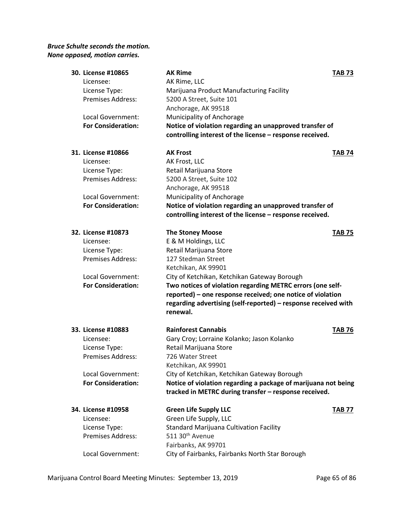# *Bruce Schulte seconds the motion. None opposed, motion carries.*

| 30. License #10865        | <b>AK Rime</b>                                                 | <b>TAB 73</b> |
|---------------------------|----------------------------------------------------------------|---------------|
| Licensee:                 | AK Rime, LLC                                                   |               |
| License Type:             | Marijuana Product Manufacturing Facility                       |               |
| <b>Premises Address:</b>  | 5200 A Street, Suite 101                                       |               |
|                           | Anchorage, AK 99518                                            |               |
| Local Government:         | Municipality of Anchorage                                      |               |
| <b>For Consideration:</b> | Notice of violation regarding an unapproved transfer of        |               |
|                           | controlling interest of the license - response received.       |               |
| 31. License #10866        | <b>AK Frost</b>                                                | <b>TAB 74</b> |
| Licensee:                 | AK Frost, LLC                                                  |               |
| License Type:             | Retail Marijuana Store                                         |               |
| <b>Premises Address:</b>  | 5200 A Street, Suite 102                                       |               |
|                           | Anchorage, AK 99518                                            |               |
| Local Government:         | Municipality of Anchorage                                      |               |
| <b>For Consideration:</b> | Notice of violation regarding an unapproved transfer of        |               |
|                           | controlling interest of the license - response received.       |               |
| 32. License #10873        | <b>The Stoney Moose</b>                                        | <b>TAB 75</b> |
| Licensee:                 | E & M Holdings, LLC                                            |               |
| License Type:             | Retail Marijuana Store                                         |               |
| <b>Premises Address:</b>  | 127 Stedman Street                                             |               |
|                           | Ketchikan, AK 99901                                            |               |
| Local Government:         | City of Ketchikan, Ketchikan Gateway Borough                   |               |
| <b>For Consideration:</b> | Two notices of violation regarding METRC errors (one self-     |               |
|                           | reported) - one response received; one notice of violation     |               |
|                           | regarding advertising (self-reported) - response received with |               |
|                           | renewal.                                                       |               |
| 33. License #10883        | <b>Rainforest Cannabis</b>                                     | <b>TAB 76</b> |
| Licensee:                 | Gary Croy; Lorraine Kolanko; Jason Kolanko                     |               |
| License Type:             | Retail Marijuana Store                                         |               |
| <b>Premises Address:</b>  | 726 Water Street                                               |               |
|                           | Ketchikan, AK 99901                                            |               |
| Local Government:         | City of Ketchikan, Ketchikan Gateway Borough                   |               |
| <b>For Consideration:</b> | Notice of violation regarding a package of marijuana not being |               |
|                           | tracked in METRC during transfer - response received.          |               |
| 34. License #10958        | <b>Green Life Supply LLC</b>                                   | <b>TAB 77</b> |
| Licensee:                 | Green Life Supply, LLC                                         |               |
| License Type:             | <b>Standard Marijuana Cultivation Facility</b>                 |               |
| <b>Premises Address:</b>  | 511 30 <sup>th</sup> Avenue                                    |               |
|                           | Fairbanks, AK 99701                                            |               |
| Local Government:         | City of Fairbanks, Fairbanks North Star Borough                |               |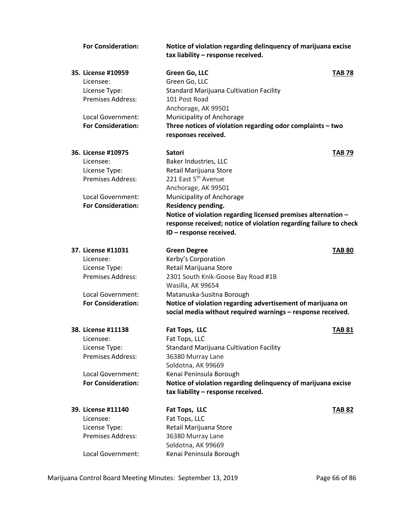| <b>For Consideration:</b> | Notice of violation regarding delinquency of marijuana excise<br>tax liability - response received. |               |
|---------------------------|-----------------------------------------------------------------------------------------------------|---------------|
| 35. License #10959        | Green Go, LLC                                                                                       | <b>TAB 78</b> |
| Licensee:                 | Green Go, LLC                                                                                       |               |
| License Type:             | <b>Standard Marijuana Cultivation Facility</b>                                                      |               |
| Premises Address:         | 101 Post Road                                                                                       |               |
|                           | Anchorage, AK 99501                                                                                 |               |
| Local Government:         | Municipality of Anchorage                                                                           |               |
| <b>For Consideration:</b> | Three notices of violation regarding odor complaints - two                                          |               |
|                           | responses received.                                                                                 |               |
| 36. License #10975        | <b>Satori</b>                                                                                       | <b>TAB 79</b> |
| Licensee:                 | Baker Industries, LLC                                                                               |               |
| License Type:             | Retail Marijuana Store                                                                              |               |
| Premises Address:         | 221 East 5 <sup>th</sup> Avenue                                                                     |               |
|                           | Anchorage, AK 99501                                                                                 |               |
| Local Government:         | Municipality of Anchorage                                                                           |               |
| <b>For Consideration:</b> | Residency pending.                                                                                  |               |
|                           | Notice of violation regarding licensed premises alternation -                                       |               |
|                           | response received; notice of violation regarding failure to check<br>ID - response received.        |               |
|                           |                                                                                                     |               |
| 37. License #11031        | <b>Green Degree</b>                                                                                 | <b>TAB 80</b> |
| Licensee:                 | Kerby's Corporation                                                                                 |               |
| License Type:             | Retail Marijuana Store                                                                              |               |
| <b>Premises Address:</b>  | 2301 South Knik-Goose Bay Road #1B                                                                  |               |
|                           | Wasilla, AK 99654                                                                                   |               |
| Local Government:         | Matanuska-Susitna Borough                                                                           |               |
| <b>For Consideration:</b> | Notice of violation regarding advertisement of marijuana on                                         |               |
|                           | social media without required warnings - response received.                                         |               |
| 38. License #11138        | Fat Tops, LLC                                                                                       | <b>TAB 81</b> |
| Licensee:                 | Fat Tops, LLC                                                                                       |               |
| License Type:             | <b>Standard Marijuana Cultivation Facility</b>                                                      |               |
| <b>Premises Address:</b>  | 36380 Murray Lane                                                                                   |               |
|                           | Soldotna, AK 99669                                                                                  |               |
| Local Government:         | Kenai Peninsula Borough                                                                             |               |
| <b>For Consideration:</b> | Notice of violation regarding delinquency of marijuana excise                                       |               |
|                           | tax liability - response received.                                                                  |               |
| 39. License #11140        | Fat Tops, LLC                                                                                       | <b>TAB 82</b> |
| Licensee:                 | Fat Tops, LLC                                                                                       |               |
| License Type:             | Retail Marijuana Store                                                                              |               |
| Premises Address:         | 36380 Murray Lane                                                                                   |               |
|                           | Soldotna, AK 99669                                                                                  |               |
| Local Government:         | Kenai Peninsula Borough                                                                             |               |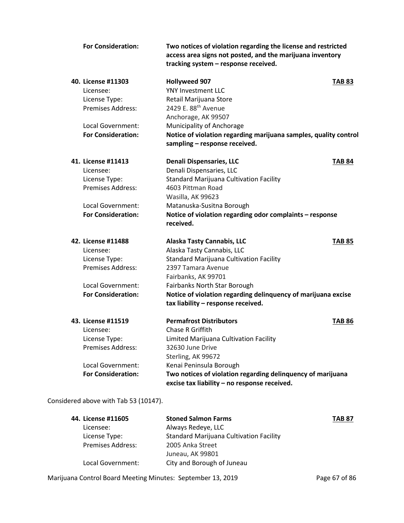| <b>For Consideration:</b> | Two notices of violation regarding the license and restricted<br>access area signs not posted, and the marijuana inventory<br>tracking system - response received. |               |
|---------------------------|--------------------------------------------------------------------------------------------------------------------------------------------------------------------|---------------|
| 40. License #11303        | <b>Hollyweed 907</b>                                                                                                                                               | <b>TAB 83</b> |
| Licensee:                 | <b>YNY Investment LLC</b>                                                                                                                                          |               |
| License Type:             | Retail Marijuana Store                                                                                                                                             |               |
| <b>Premises Address:</b>  | 2429 E. 88 <sup>th</sup> Avenue                                                                                                                                    |               |
|                           | Anchorage, AK 99507                                                                                                                                                |               |
| Local Government:         | Municipality of Anchorage                                                                                                                                          |               |
| <b>For Consideration:</b> | Notice of violation regarding marijuana samples, quality control                                                                                                   |               |
|                           | sampling - response received.                                                                                                                                      |               |
| 41. License #11413        | <b>Denali Dispensaries, LLC</b>                                                                                                                                    | <b>TAB 84</b> |
| Licensee:                 | Denali Dispensaries, LLC                                                                                                                                           |               |
| License Type:             | <b>Standard Marijuana Cultivation Facility</b>                                                                                                                     |               |
| <b>Premises Address:</b>  | 4603 Pittman Road                                                                                                                                                  |               |
|                           | Wasilla, AK 99623                                                                                                                                                  |               |
| Local Government:         | Matanuska-Susitna Borough                                                                                                                                          |               |
| <b>For Consideration:</b> | Notice of violation regarding odor complaints - response                                                                                                           |               |
|                           | received.                                                                                                                                                          |               |
| 42. License #11488        | <b>Alaska Tasty Cannabis, LLC</b>                                                                                                                                  | <b>TAB 85</b> |
| Licensee:                 | Alaska Tasty Cannabis, LLC                                                                                                                                         |               |
| License Type:             | <b>Standard Marijuana Cultivation Facility</b>                                                                                                                     |               |
| Premises Address:         | 2397 Tamara Avenue                                                                                                                                                 |               |
|                           | Fairbanks, AK 99701                                                                                                                                                |               |
| Local Government:         | Fairbanks North Star Borough                                                                                                                                       |               |
| <b>For Consideration:</b> | Notice of violation regarding delinquency of marijuana excise                                                                                                      |               |
|                           | tax liability - response received.                                                                                                                                 |               |
| 43. License #11519        | <b>Permafrost Distributors</b>                                                                                                                                     | <b>TAB 86</b> |
| Licensee:                 | Chase R Griffith                                                                                                                                                   |               |
| License Type:             | Limited Marijuana Cultivation Facility                                                                                                                             |               |
| Premises Address:         | 32630 June Drive                                                                                                                                                   |               |
|                           | Sterling, AK 99672                                                                                                                                                 |               |
| Local Government:         | Kenai Peninsula Borough                                                                                                                                            |               |
| <b>For Consideration:</b> | Two notices of violation regarding delinquency of marijuana<br>excise tax liability - no response received.                                                        |               |

Considered above with Tab 53 (10147).

| 44. License #11605       | <b>Stoned Salmon Farms</b>                     | <b>TAB 87</b> |
|--------------------------|------------------------------------------------|---------------|
| Licensee:                | Always Redeye, LLC                             |               |
| License Type:            | <b>Standard Marijuana Cultivation Facility</b> |               |
| <b>Premises Address:</b> | 2005 Anka Street                               |               |
|                          | Juneau, AK 99801                               |               |
| Local Government:        | City and Borough of Juneau                     |               |

Marijuana Control Board Meeting Minutes: September 13, 2019 Page 67 of 86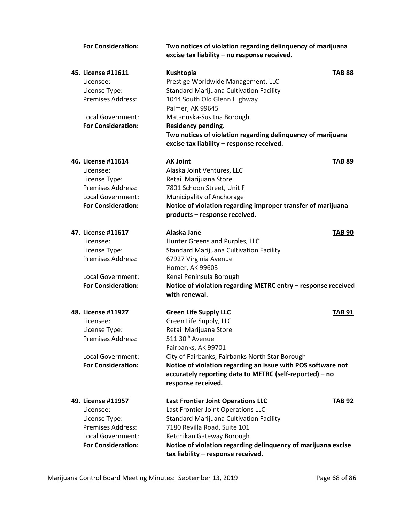| <b>For Consideration:</b> | Two notices of violation regarding delinquency of marijuana<br>excise tax liability - no response received. |  |
|---------------------------|-------------------------------------------------------------------------------------------------------------|--|
| 45. License #11611        | Kushtopia<br><b>TAB 88</b>                                                                                  |  |
| Licensee:                 | Prestige Worldwide Management, LLC                                                                          |  |
| License Type:             | <b>Standard Marijuana Cultivation Facility</b>                                                              |  |
| <b>Premises Address:</b>  | 1044 South Old Glenn Highway                                                                                |  |
|                           | Palmer, AK 99645                                                                                            |  |
| Local Government:         | Matanuska-Susitna Borough                                                                                   |  |
| <b>For Consideration:</b> | <b>Residency pending.</b>                                                                                   |  |
|                           | Two notices of violation regarding delinquency of marijuana                                                 |  |
|                           | excise tax liability - response received.                                                                   |  |
| 46. License #11614        | <b>AK Joint</b><br><b>TAB 89</b>                                                                            |  |
| Licensee:                 | Alaska Joint Ventures, LLC                                                                                  |  |
| License Type:             | Retail Marijuana Store                                                                                      |  |
| Premises Address:         | 7801 Schoon Street, Unit F                                                                                  |  |
| Local Government:         | Municipality of Anchorage                                                                                   |  |
| <b>For Consideration:</b> | Notice of violation regarding improper transfer of marijuana                                                |  |
|                           | products - response received.                                                                               |  |
| 47. License #11617        | Alaska Jane<br><b>TAB 90</b>                                                                                |  |
| Licensee:                 | Hunter Greens and Purples, LLC                                                                              |  |
| License Type:             | <b>Standard Marijuana Cultivation Facility</b>                                                              |  |
| Premises Address:         | 67927 Virginia Avenue                                                                                       |  |
|                           | Homer, AK 99603                                                                                             |  |
| Local Government:         | Kenai Peninsula Borough                                                                                     |  |
| <b>For Consideration:</b> | Notice of violation regarding METRC entry - response received                                               |  |
|                           | with renewal.                                                                                               |  |
| 48. License #11927        | <b>Green Life Supply LLC</b><br><b>TAB 91</b>                                                               |  |
| Licensee:                 | Green Life Supply, LLC                                                                                      |  |
| License Type:             | Retail Marijuana Store                                                                                      |  |
| Premises Address:         | 511 30 <sup>th</sup> Avenue                                                                                 |  |
|                           | Fairbanks, AK 99701                                                                                         |  |
| Local Government:         | City of Fairbanks, Fairbanks North Star Borough                                                             |  |
| <b>For Consideration:</b> | Notice of violation regarding an issue with POS software not                                                |  |
|                           | accurately reporting data to METRC (self-reported) - no                                                     |  |
|                           | response received.                                                                                          |  |
| 49. License #11957        | <b>Last Frontier Joint Operations LLC</b><br><b>TAB 92</b>                                                  |  |
| Licensee:                 | Last Frontier Joint Operations LLC                                                                          |  |
| License Type:             | <b>Standard Marijuana Cultivation Facility</b>                                                              |  |
| Premises Address:         | 7180 Revilla Road, Suite 101                                                                                |  |
| Local Government:         | Ketchikan Gateway Borough                                                                                   |  |
| <b>For Consideration:</b> | Notice of violation regarding delinquency of marijuana excise                                               |  |
|                           | tax liability - response received.                                                                          |  |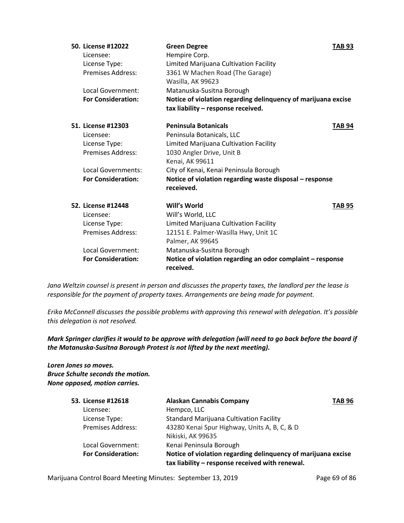| 50. License #12022        | <b>Green Degree</b>                                                                                 | <b>TAB 93</b> |
|---------------------------|-----------------------------------------------------------------------------------------------------|---------------|
| Licensee:                 | Hempire Corp.                                                                                       |               |
| License Type:             | Limited Marijuana Cultivation Facility                                                              |               |
| <b>Premises Address:</b>  | 3361 W Machen Road (The Garage)                                                                     |               |
|                           | Wasilla, AK 99623                                                                                   |               |
| Local Government:         | Matanuska-Susitna Borough                                                                           |               |
| <b>For Consideration:</b> | Notice of violation regarding delinquency of marijuana excise<br>tax liability - response received. |               |
|                           |                                                                                                     |               |
| 51. License #12303        | <b>Peninsula Botanicals</b>                                                                         | TAB 94        |
| Licensee:                 | Peninsula Botanicals, LLC                                                                           |               |
| License Type:             | Limited Marijuana Cultivation Facility                                                              |               |
| Premises Address:         | 1030 Angler Drive, Unit B                                                                           |               |
|                           | Kenai, AK 99611                                                                                     |               |
| Local Governments:        | City of Kenai, Kenai Peninsula Borough                                                              |               |
| <b>For Consideration:</b> | Notice of violation regarding waste disposal - response<br>receieved.                               |               |
| 52. License #12448        | Will's World                                                                                        | <b>TAB 95</b> |
| Licensee:                 | Will's World, LLC                                                                                   |               |
| License Type:             | Limited Marijuana Cultivation Facility                                                              |               |
| Premises Address:         | 12151 E. Palmer-Wasilla Hwy, Unit 1C                                                                |               |
|                           | Palmer, AK 99645                                                                                    |               |
| Local Government:         | Matanuska-Susitna Borough                                                                           |               |
| <b>For Consideration:</b> | Notice of violation regarding an odor complaint - response<br>received.                             |               |

*Jana Weltzin counsel is present in person and discusses the property taxes, the landlord per the lease is responsible for the payment of property taxes. Arrangements are being made for payment.* 

*Erika McConnell discusses the possible problems with approving this renewal with delegation. It's possible this delegation is not resolved.* 

*Mark Springer clarifies it would to be approve with delegation (will need to go back before the board if the Matanuska-Susitna Borough Protest is not lifted by the next meeting).*

# *Loren Jones so moves. Bruce Schulte seconds the motion. None opposed, motion carries.*

| 53. License #12618        | <b>Alaskan Cannabis Company</b>                               | <b>TAB 96</b> |
|---------------------------|---------------------------------------------------------------|---------------|
| Licensee:                 | Hempco, LLC                                                   |               |
| License Type:             | <b>Standard Marijuana Cultivation Facility</b>                |               |
| <b>Premises Address:</b>  | 43280 Kenai Spur Highway, Units A, B, C, & D                  |               |
|                           | Nikiski, AK 99635                                             |               |
| Local Government:         | Kenai Peninsula Borough                                       |               |
| <b>For Consideration:</b> | Notice of violation regarding delinquency of marijuana excise |               |
|                           | tax liability - response received with renewal.               |               |

Marijuana Control Board Meeting Minutes: September 13, 2019 Page 69 of 86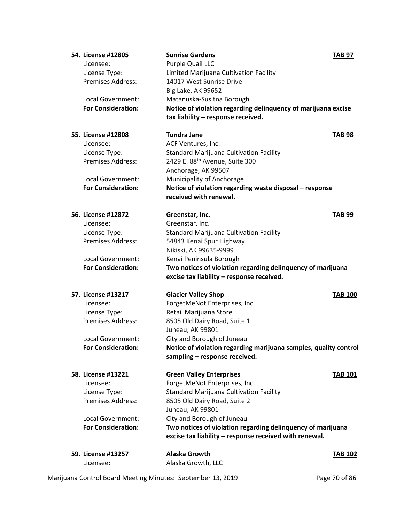| 54. License #12805              | <b>Sunrise Gardens</b>                                           | <b>TAB 97</b>  |
|---------------------------------|------------------------------------------------------------------|----------------|
| Licensee:                       | Purple Quail LLC                                                 |                |
| License Type:                   | Limited Marijuana Cultivation Facility                           |                |
| <b>Premises Address:</b>        | 14017 West Sunrise Drive                                         |                |
|                                 | Big Lake, AK 99652                                               |                |
| Local Government:               | Matanuska-Susitna Borough                                        |                |
| <b>For Consideration:</b>       | Notice of violation regarding delinquency of marijuana excise    |                |
|                                 | tax liability - response received.                               |                |
|                                 |                                                                  |                |
| 55. License #12808              | <b>Tundra Jane</b>                                               | <b>TAB 98</b>  |
| Licensee:                       | ACF Ventures, Inc.                                               |                |
| License Type:                   | <b>Standard Marijuana Cultivation Facility</b>                   |                |
| <b>Premises Address:</b>        | 2429 E. 88 <sup>th</sup> Avenue, Suite 300                       |                |
|                                 | Anchorage, AK 99507                                              |                |
| Local Government:               | Municipality of Anchorage                                        |                |
| <b>For Consideration:</b>       | Notice of violation regarding waste disposal - response          |                |
|                                 | received with renewal.                                           |                |
|                                 |                                                                  |                |
| 56. License #12872              | Greenstar, Inc.                                                  | <b>TAB 99</b>  |
| Licensee:                       | Greenstar, Inc.                                                  |                |
| License Type:                   | <b>Standard Marijuana Cultivation Facility</b>                   |                |
| <b>Premises Address:</b>        | 54843 Kenai Spur Highway                                         |                |
|                                 | Nikiski, AK 99635-9999                                           |                |
| Local Government:               | Kenai Peninsula Borough                                          |                |
| <b>For Consideration:</b>       | Two notices of violation regarding delinquency of marijuana      |                |
|                                 | excise tax liability - response received.                        |                |
| 57. License #13217              | <b>Glacier Valley Shop</b>                                       | <b>TAB 100</b> |
| Licensee:                       | ForgetMeNot Enterprises, Inc.                                    |                |
| License Type:                   | Retail Marijuana Store                                           |                |
| <b>Premises Address:</b>        | 8505 Old Dairy Road, Suite 1                                     |                |
|                                 | Juneau, AK 99801                                                 |                |
| Local Government:               | City and Borough of Juneau                                       |                |
| <b>For Consideration:</b>       | Notice of violation regarding marijuana samples, quality control |                |
|                                 | sampling - response received.                                    |                |
|                                 |                                                                  |                |
| 58. License #13221              | <b>Green Valley Enterprises</b>                                  | <b>TAB 101</b> |
| Licensee:                       | ForgetMeNot Enterprises, Inc.                                    |                |
| License Type:                   | <b>Standard Marijuana Cultivation Facility</b>                   |                |
| <b>Premises Address:</b>        | 8505 Old Dairy Road, Suite 2                                     |                |
|                                 | Juneau, AK 99801                                                 |                |
| Local Government:               | City and Borough of Juneau                                       |                |
| <b>For Consideration:</b>       | Two notices of violation regarding delinquency of marijuana      |                |
|                                 | excise tax liability - response received with renewal.           |                |
|                                 |                                                                  |                |
|                                 |                                                                  |                |
| 59. License #13257<br>Licensee: | <b>Alaska Growth</b><br>Alaska Growth, LLC                       | <b>TAB 102</b> |

Marijuana Control Board Meeting Minutes: September 13, 2019 Page 70 of 86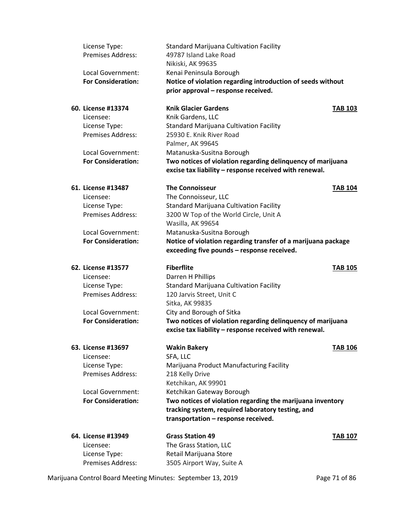| License Type:<br>Premises Address:                          | <b>Standard Marijuana Cultivation Facility</b><br>49787 Island Lake Road                                              |                |
|-------------------------------------------------------------|-----------------------------------------------------------------------------------------------------------------------|----------------|
|                                                             | Nikiski, AK 99635                                                                                                     |                |
| Local Government:                                           | Kenai Peninsula Borough                                                                                               |                |
| <b>For Consideration:</b>                                   | Notice of violation regarding introduction of seeds without<br>prior approval - response received.                    |                |
| 60. License #13374                                          | <b>Knik Glacier Gardens</b>                                                                                           | <b>TAB 103</b> |
| Licensee:                                                   | Knik Gardens, LLC                                                                                                     |                |
| License Type:                                               | <b>Standard Marijuana Cultivation Facility</b>                                                                        |                |
| <b>Premises Address:</b>                                    | 25930 E. Knik River Road                                                                                              |                |
|                                                             | Palmer, AK 99645                                                                                                      |                |
| Local Government:                                           | Matanuska-Susitna Borough                                                                                             |                |
| <b>For Consideration:</b>                                   | Two notices of violation regarding delinquency of marijuana<br>excise tax liability - response received with renewal. |                |
| 61. License #13487                                          | <b>The Connoisseur</b>                                                                                                | <b>TAB 104</b> |
| Licensee:                                                   | The Connoisseur, LLC                                                                                                  |                |
| License Type:                                               | <b>Standard Marijuana Cultivation Facility</b>                                                                        |                |
| <b>Premises Address:</b>                                    | 3200 W Top of the World Circle, Unit A                                                                                |                |
|                                                             | Wasilla, AK 99654                                                                                                     |                |
| Local Government:                                           | Matanuska-Susitna Borough                                                                                             |                |
| <b>For Consideration:</b>                                   | Notice of violation regarding transfer of a marijuana package<br>exceeding five pounds - response received.           |                |
| 62. License #13577                                          | <b>Fiberflite</b>                                                                                                     | <b>TAB 105</b> |
| Licensee:                                                   | Darren H Phillips                                                                                                     |                |
| License Type:                                               | <b>Standard Marijuana Cultivation Facility</b>                                                                        |                |
| <b>Premises Address:</b>                                    | 120 Jarvis Street, Unit C                                                                                             |                |
| Local Government:                                           | Sitka, AK 99835                                                                                                       |                |
| <b>For Consideration:</b>                                   | City and Borough of Sitka<br>Two notices of violation regarding delinquency of marijuana                              |                |
|                                                             | excise tax liability - response received with renewal.                                                                |                |
| 63. License #13697                                          | <b>Wakin Bakery</b>                                                                                                   | <b>TAB 106</b> |
| Licensee:                                                   | SFA, LLC                                                                                                              |                |
| License Type:                                               | Marijuana Product Manufacturing Facility                                                                              |                |
| Premises Address:                                           | 218 Kelly Drive                                                                                                       |                |
|                                                             | Ketchikan, AK 99901                                                                                                   |                |
| Local Government:<br><b>For Consideration:</b>              | Ketchikan Gateway Borough                                                                                             |                |
|                                                             | Two notices of violation regarding the marijuana inventory<br>tracking system, required laboratory testing, and       |                |
|                                                             | transportation - response received.                                                                                   |                |
| 64. License #13949                                          | <b>Grass Station 49</b>                                                                                               | <b>TAB 107</b> |
| Licensee:                                                   | The Grass Station, LLC                                                                                                |                |
| License Type:                                               | Retail Marijuana Store                                                                                                |                |
| Premises Address:                                           | 3505 Airport Way, Suite A                                                                                             |                |
| Marijuana Control Board Meeting Minutes: September 13, 2019 |                                                                                                                       | Page 71 of 86  |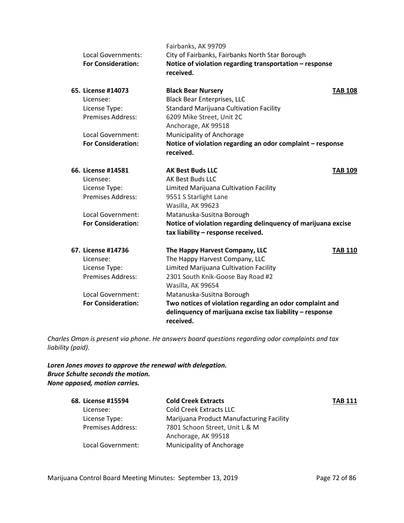|                           | Fairbanks, AK 99709                                           |                |
|---------------------------|---------------------------------------------------------------|----------------|
| Local Governments:        | City of Fairbanks, Fairbanks North Star Borough               |                |
| <b>For Consideration:</b> | Notice of violation regarding transportation - response       |                |
|                           | received.                                                     |                |
| 65. License #14073        | <b>Black Bear Nursery</b>                                     | <b>TAB 108</b> |
| Licensee:                 | <b>Black Bear Enterprises, LLC</b>                            |                |
| License Type:             | <b>Standard Marijuana Cultivation Facility</b>                |                |
| <b>Premises Address:</b>  | 6209 Mike Street, Unit 2C                                     |                |
|                           | Anchorage, AK 99518                                           |                |
| Local Government:         | Municipality of Anchorage                                     |                |
| <b>For Consideration:</b> | Notice of violation regarding an odor complaint - response    |                |
|                           | received.                                                     |                |
| 66. License #14581        | <b>AK Best Buds LLC</b>                                       | <b>TAB 109</b> |
| Licensee:                 | AK Best Buds LLC                                              |                |
| License Type:             | Limited Marijuana Cultivation Facility                        |                |
| Premises Address:         | 9551 S Starlight Lane                                         |                |
|                           | Wasilla, AK 99623                                             |                |
| Local Government:         | Matanuska-Susitna Borough                                     |                |
| <b>For Consideration:</b> | Notice of violation regarding delinquency of marijuana excise |                |
|                           | tax liability - response received.                            |                |
| 67. License #14736        | The Happy Harvest Company, LLC                                | <b>TAB 110</b> |
| Licensee:                 | The Happy Harvest Company, LLC                                |                |
| License Type:             | Limited Marijuana Cultivation Facility                        |                |
| <b>Premises Address:</b>  | 2301 South Knik-Goose Bay Road #2                             |                |
|                           | Wasilla, AK 99654                                             |                |
| Local Government:         | Matanuska-Susitna Borough                                     |                |
| <b>For Consideration:</b> | Two notices of violation regarding an odor complaint and      |                |
|                           | delinquency of marijuana excise tax liability - response      |                |
|                           | received.                                                     |                |

*Charles Oman is present via phone. He answers board questions regarding odor complaints and tax liability (paid).* 

# *Loren Jones moves to approve the renewal with delegation. Bruce Schulte seconds the motion. None opposed, motion carries.*

| 68. License #15594       | <b>Cold Creek Extracts</b>               | <b>TAB 111</b> |
|--------------------------|------------------------------------------|----------------|
| Licensee:                | <b>Cold Creek Extracts LLC</b>           |                |
| License Type:            | Marijuana Product Manufacturing Facility |                |
| <b>Premises Address:</b> | 7801 Schoon Street, Unit L & M           |                |
|                          | Anchorage, AK 99518                      |                |
| Local Government:        | <b>Municipality of Anchorage</b>         |                |

Marijuana Control Board Meeting Minutes: September 13, 2019 Page 72 of 86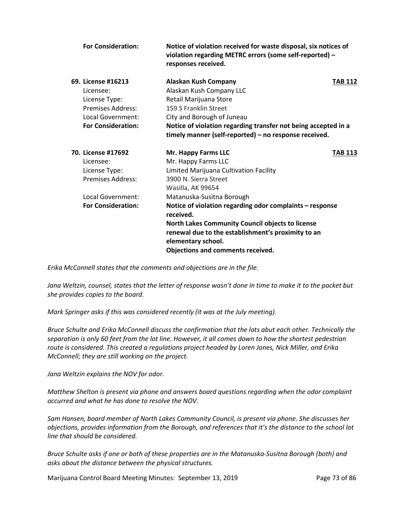| <b>For Consideration:</b> | Notice of violation received for waste disposal, six notices of<br>violation regarding METRC errors (some self-reported) -<br>responses received. |         |
|---------------------------|---------------------------------------------------------------------------------------------------------------------------------------------------|---------|
| 69. License #16213        | <b>Alaskan Kush Company</b>                                                                                                                       | TAB 112 |
| Licensee:                 | Alaskan Kush Company LLC                                                                                                                          |         |
| License Type:             | Retail Marijuana Store                                                                                                                            |         |
| Premises Address:         | 159 S Franklin Street                                                                                                                             |         |
| Local Government:         | City and Borough of Juneau                                                                                                                        |         |
| <b>For Consideration:</b> | Notice of violation regarding transfer not being accepted in a<br>timely manner (self-reported) - no response received.                           |         |
| 70. License #17692        | Mr. Happy Farms LLC                                                                                                                               | TAB 113 |
| Licensee:                 | Mr. Happy Farms LLC                                                                                                                               |         |
| License Type:             | Limited Marijuana Cultivation Facility                                                                                                            |         |
| Premises Address:         | 3900 N. Sierra Street                                                                                                                             |         |
|                           | Wasilla, AK 99654                                                                                                                                 |         |
| Local Government:         | Matanuska-Susitna Borough                                                                                                                         |         |
| <b>For Consideration:</b> | Notice of violation regarding odor complaints - response<br>received.                                                                             |         |
|                           | North Lakes Community Council objects to license                                                                                                  |         |
|                           | renewal due to the establishment's proximity to an                                                                                                |         |
|                           | elementary school.                                                                                                                                |         |
|                           | <b>Objections and comments received.</b>                                                                                                          |         |

*Erika McConnell states that the comments and objections are in the file.*

*Jana Weltzin, counsel, states that the letter of response wasn't done in time to make it to the packet but she provides copies to the board.* 

*Mark Springer asks if this was considered recently (it was at the July meeting).* 

*Bruce Schulte and Erika McConnell discuss the confirmation that the lots abut each other. Technically the separation is only 60 feet from the lot line. However, it all comes down to how the shortest pedestrian route is considered. This created a regulations project headed by Loren Jones, Nick Miller, and Erika McConnell; they are still working on the project.* 

*Jana Weltzin explains the NOV for odor.* 

*Matthew Shelton is present via phone and answers board questions regarding when the odor complaint occurred and what he has done to resolve the NOV.* 

*Sam Hansen, board member of North Lakes Community Council, is present via phone. She discusses her objections, provides information from the Borough, and references that it's the distance to the school lot line that should be considered.* 

*Bruce Schulte asks if one or both of these properties are in the Matanuska-Susitna Borough (both) and asks about the distance between the physical structures.*

Marijuana Control Board Meeting Minutes: September 13, 2019 Page 73 of 86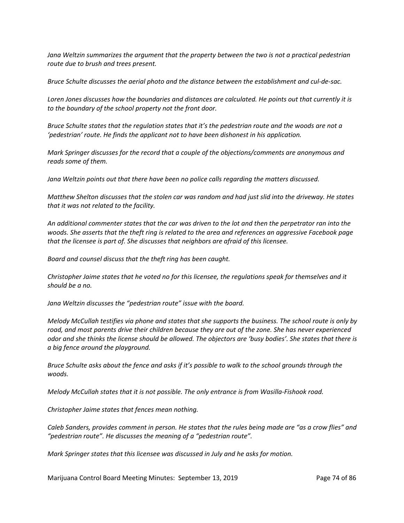*Jana Weltzin summarizes the argument that the property between the two is not a practical pedestrian route due to brush and trees present.* 

*Bruce Schulte discusses the aerial photo and the distance between the establishment and cul-de-sac.* 

*Loren Jones discusses how the boundaries and distances are calculated. He points out that currently it is to the boundary of the school property not the front door.* 

*Bruce Schulte states that the regulation states that it's the pedestrian route and the woods are not a 'pedestrian' route. He finds the applicant not to have been dishonest in his application.* 

*Mark Springer discusses for the record that a couple of the objections/comments are anonymous and reads some of them.* 

*Jana Weltzin points out that there have been no police calls regarding the matters discussed.* 

*Matthew Shelton discusses that the stolen car was random and had just slid into the driveway. He states that it was not related to the facility.* 

*An additional commenter states that the car was driven to the lot and then the perpetrator ran into the woods. She asserts that the theft ring is related to the area and references an aggressive Facebook page that the licensee is part of. She discusses that neighbors are afraid of this licensee.* 

*Board and counsel discuss that the theft ring has been caught.* 

*Christopher Jaime states that he voted no for this licensee, the regulations speak for themselves and it should be a no.* 

*Jana Weltzin discusses the "pedestrian route" issue with the board.* 

*Melody McCullah testifies via phone and states that she supports the business. The school route is only by road, and most parents drive their children because they are out of the zone. She has never experienced odor and she thinks the license should be allowed. The objectors are 'busy bodies'. She states that there is a big fence around the playground.* 

*Bruce Schulte asks about the fence and asks if it's possible to walk to the school grounds through the woods.* 

*Melody McCullah states that it is not possible. The only entrance is from Wasilla-Fishook road.* 

*Christopher Jaime states that fences mean nothing.* 

*Caleb Sanders, provides comment in person. He states that the rules being made are "as a crow flies" and "pedestrian route". He discusses the meaning of a "pedestrian route".* 

*Mark Springer states that this licensee was discussed in July and he asks for motion.*

Marijuana Control Board Meeting Minutes: September 13, 2019 **Page 74 of 86**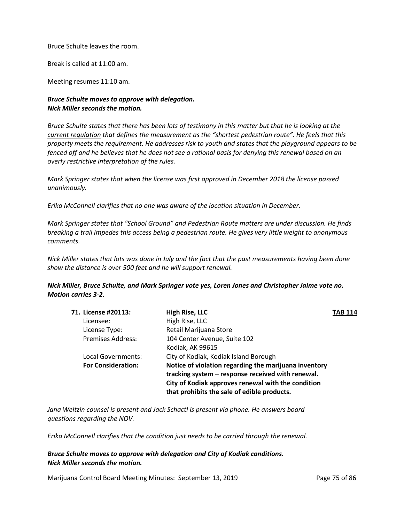Bruce Schulte leaves the room.

Break is called at 11:00 am.

Meeting resumes 11:10 am.

# *Bruce Schulte moves to approve with delegation. Nick Miller seconds the motion.*

*Bruce Schulte states that there has been lots of testimony in this matter but that he is looking at the current regulation that defines the measurement as the "shortest pedestrian route". He feels that this property meets the requirement. He addresses risk to youth and states that the playground appears to be fenced off and he believes that he does not see a rational basis for denying this renewal based on an overly restrictive interpretation of the rules.*

*Mark Springer states that when the license was first approved in December 2018 the license passed unanimously.* 

*Erika McConnell clarifies that no one was aware of the location situation in December.* 

*Mark Springer states that "School Ground" and Pedestrian Route matters are under discussion. He finds breaking a trail impedes this access being a pedestrian route. He gives very little weight to anonymous comments.* 

*Nick Miller states that lots was done in July and the fact that the past measurements having been done show the distance is over 500 feet and he will support renewal.*

*Nick Miller, Bruce Schulte, and Mark Springer vote yes, Loren Jones and Christopher Jaime vote no. Motion carries 3-2.*

| 71. License #20113:       | High Rise, LLC                                        | <b>TAB 114</b> |
|---------------------------|-------------------------------------------------------|----------------|
| Licensee:                 | High Rise, LLC                                        |                |
| License Type:             | Retail Marijuana Store                                |                |
| <b>Premises Address:</b>  | 104 Center Avenue, Suite 102                          |                |
|                           | Kodiak, AK 99615                                      |                |
| Local Governments:        | City of Kodiak, Kodiak Island Borough                 |                |
| <b>For Consideration:</b> | Notice of violation regarding the marijuana inventory |                |
|                           | tracking system - response received with renewal.     |                |
|                           | City of Kodiak approves renewal with the condition    |                |
|                           | that prohibits the sale of edible products.           |                |
|                           |                                                       |                |

*Jana Weltzin counsel is present and Jack Schactl is present via phone. He answers board questions regarding the NOV.*

*Erika McConnell clarifies that the condition just needs to be carried through the renewal.* 

*Bruce Schulte moves to approve with delegation and City of Kodiak conditions. Nick Miller seconds the motion.*

Marijuana Control Board Meeting Minutes: September 13, 2019 **Page 75 of 86**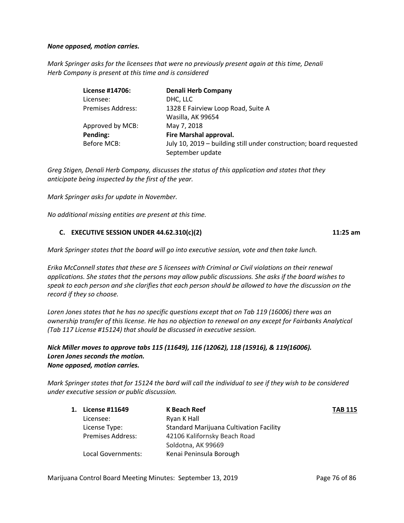## *None opposed, motion carries.*

*Mark Springer asks for the licensees that were no previously present again at this time, Denali Herb Company is present at this time and is considered*

| License #14706:   | <b>Denali Herb Company</b>                                         |
|-------------------|--------------------------------------------------------------------|
| Licensee:         | DHC, LLC                                                           |
| Premises Address: | 1328 E Fairview Loop Road, Suite A                                 |
|                   | Wasilla, AK 99654                                                  |
| Approved by MCB:  | May 7, 2018                                                        |
| Pending:          | Fire Marshal approval.                                             |
| Before MCB:       | July 10, 2019 – building still under construction; board requested |
|                   | September update                                                   |

*Greg Stigen, Denali Herb Company, discusses the status of this application and states that they anticipate being inspected by the first of the year.* 

*Mark Springer asks for update in November.* 

*No additional missing entities are present at this time.* 

## **C. EXECUTIVE SESSION UNDER 44.62.310(c)(2) 11:25 am**

*Mark Springer states that the board will go into executive session, vote and then take lunch.* 

*Erika McConnell states that these are 5 licensees with Criminal or Civil violations on their renewal applications. She states that the persons may allow public discussions. She asks if the board wishes to speak to each person and she clarifies that each person should be allowed to have the discussion on the record if they so choose.*

*Loren Jones states that he has no specific questions except that on Tab 119 (16006) there was an ownership transfer of this license. He has no objection to renewal on any except for Fairbanks Analytical (Tab 117 License #15124) that should be discussed in executive session.* 

# *Nick Miller moves to approve tabs 115 (11649), 116 (12062), 118 (15916), & 119(16006). Loren Jones seconds the motion. None opposed, motion carries.*

*Mark Springer states that for 15124 the bard will call the individual to see if they wish to be considered under executive session or public discussion.* 

| <b>License #11649</b>    | K Beach Reef                                   | TAB 115 |
|--------------------------|------------------------------------------------|---------|
| Licensee:                | Ryan K Hall                                    |         |
| License Type:            | <b>Standard Marijuana Cultivation Facility</b> |         |
| <b>Premises Address:</b> | 42106 Kalifornsky Beach Road                   |         |
|                          | Soldotna, AK 99669                             |         |
| Local Governments:       | Kenai Peninsula Borough                        |         |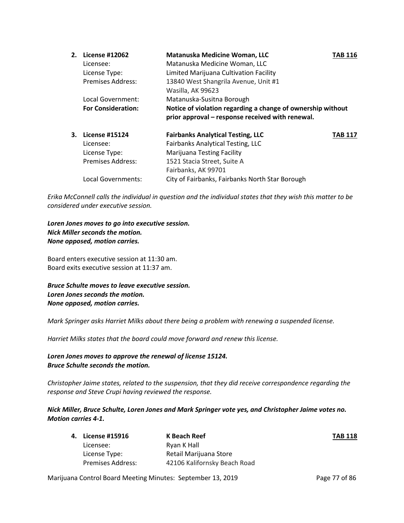| 2. | License #12062            | Matanuska Medicine Woman, LLC                               | TAB 116 |
|----|---------------------------|-------------------------------------------------------------|---------|
|    | Licensee:                 | Matanuska Medicine Woman, LLC                               |         |
|    | License Type:             | Limited Marijuana Cultivation Facility                      |         |
|    | <b>Premises Address:</b>  | 13840 West Shangrila Avenue, Unit #1                        |         |
|    |                           | Wasilla, AK 99623                                           |         |
|    | Local Government:         | Matanuska-Susitna Borough                                   |         |
|    | <b>For Consideration:</b> | Notice of violation regarding a change of ownership without |         |
|    |                           | prior approval – response received with renewal.            |         |
| 3. | <b>License #15124</b>     | <b>Fairbanks Analytical Testing, LLC</b>                    | TAB 117 |
|    | Licensee:                 | Fairbanks Analytical Testing, LLC                           |         |
|    | License Type:             | <b>Marijuana Testing Facility</b>                           |         |
|    | <b>Premises Address:</b>  | 1521 Stacia Street, Suite A                                 |         |
|    |                           | Fairbanks, AK 99701                                         |         |
|    | Local Governments:        | City of Fairbanks, Fairbanks North Star Borough             |         |

*Erika McConnell calls the individual in question and the individual states that they wish this matter to be considered under executive session.*

*Loren Jones moves to go into executive session. Nick Miller seconds the motion. None opposed, motion carries.* 

Board enters executive session at 11:30 am. Board exits executive session at 11:37 am.

*Bruce Schulte moves to leave executive session. Loren Jones seconds the motion. None opposed, motion carries.*

*Mark Springer asks Harriet Milks about there being a problem with renewing a suspended license.*

*Harriet Milks states that the board could move forward and renew this license.* 

*Loren Jones moves to approve the renewal of license 15124. Bruce Schulte seconds the motion.* 

*Christopher Jaime states, related to the suspension, that they did receive correspondence regarding the response and Steve Crupi having reviewed the response.* 

*Nick Miller, Bruce Schulte, Loren Jones and Mark Springer vote yes, and Christopher Jaime votes no. Motion carries 4-1.*

| 4. License #15916        | K Beach Reef                 | <b>TAB 118</b> |
|--------------------------|------------------------------|----------------|
| Licensee:                | Ryan K Hall                  |                |
| License Type:            | Retail Marijuana Store       |                |
| <b>Premises Address:</b> | 42106 Kalifornsky Beach Road |                |
|                          |                              |                |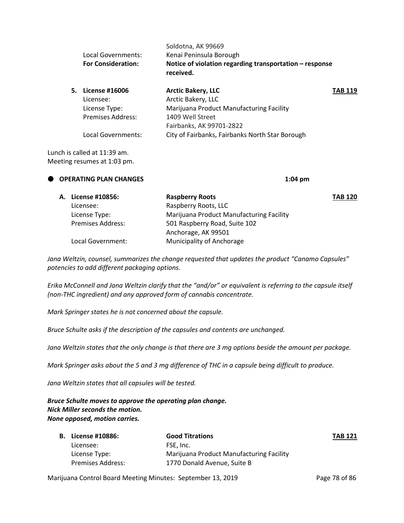|    | Local Governments:<br><b>For Consideration:</b> | Soldotna, AK 99669<br>Kenai Peninsula Borough<br>Notice of violation regarding transportation $-$ response<br>received. |         |
|----|-------------------------------------------------|-------------------------------------------------------------------------------------------------------------------------|---------|
| 5. | License #16006                                  | <b>Arctic Bakery, LLC</b>                                                                                               | TAB 119 |
|    | Licensee:                                       | Arctic Bakery, LLC                                                                                                      |         |
|    | License Type:                                   | Marijuana Product Manufacturing Facility                                                                                |         |
|    | Premises Address:                               | 1409 Well Street                                                                                                        |         |
|    |                                                 | Fairbanks, AK 99701-2822                                                                                                |         |
|    | Local Governments:                              | City of Fairbanks, Fairbanks North Star Borough                                                                         |         |
|    |                                                 |                                                                                                                         |         |

Lunch is called at 11:39 am. Meeting resumes at 1:03 pm.

| O OPERATING PLAN CHANGES |  |                    | $1:04 \text{ pm}$                        |                |
|--------------------------|--|--------------------|------------------------------------------|----------------|
|                          |  | A. License #10856: | <b>Raspberry Roots</b>                   | <b>TAB 120</b> |
|                          |  | Licensee:          | Raspberry Roots, LLC                     |                |
|                          |  | License Type:      | Marijuana Product Manufacturing Facility |                |
|                          |  | Premises Address:  | 501 Raspberry Road, Suite 102            |                |
|                          |  |                    | Anchorage, AK 99501                      |                |
|                          |  | Local Government:  | Municipality of Anchorage                |                |
|                          |  |                    |                                          |                |

*Jana Weltzin, counsel, summarizes the change requested that updates the product "Canamo Capsules" potencies to add different packaging options.* 

*Erika McConnell and Jana Weltzin clarify that the "and/or" or equivalent is referring to the capsule itself (non-THC ingredient) and any approved form of cannabis concentrate.* 

*Mark Springer states he is not concerned about the capsule.* 

*Bruce Schulte asks if the description of the capsules and contents are unchanged.* 

*Jana Weltzin states that the only change is that there are 3 mg options beside the amount per package.* 

*Mark Springer asks about the 5 and 3 mg difference of THC in a capsule being difficult to produce.*

*Jana Weltzin states that all capsules will be tested.* 

*Bruce Schulte moves to approve the operating plan change. Nick Miller seconds the motion. None opposed, motion carries.* 

| <b>B.</b> License #10886: | <b>Good Titrations</b>                   | <b>TAB 121</b> |
|---------------------------|------------------------------------------|----------------|
| Licensee:                 | FSE. Inc.                                |                |
| License Type:             | Marijuana Product Manufacturing Facility |                |
| <b>Premises Address:</b>  | 1770 Donald Avenue. Suite B              |                |

Marijuana Control Board Meeting Minutes: September 13, 2019 Page 78 of 86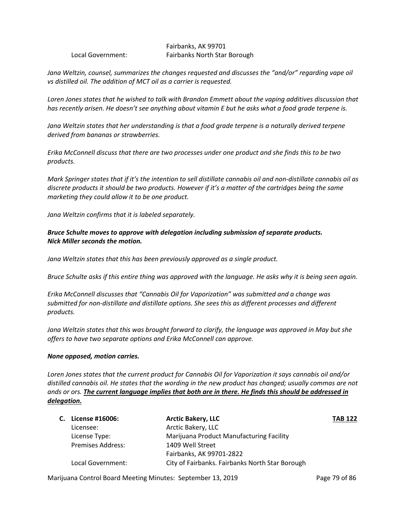Fairbanks, AK 99701 Local Government: Fairbanks North Star Borough

*Jana Weltzin, counsel, summarizes the changes requested and discusses the "and/or" regarding vape oil vs distilled oil. The addition of MCT oil as a carrier is requested.* 

*Loren Jones states that he wished to talk with Brandon Emmett about the vaping additives discussion that has recently arisen. He doesn't see anything about vitamin E but he asks what a food grade terpene is.* 

*Jana Weltzin states that her understanding is that a food grade terpene is a naturally derived terpene derived from bananas or strawberries.* 

*Erika McConnell discuss that there are two processes under one product and she finds this to be two products.* 

*Mark Springer states that if it's the intention to sell distillate cannabis oil and non-distillate cannabis oil as discrete products it should be two products. However if it's a matter of the cartridges being the same marketing they could allow it to be one product.* 

*Jana Weltzin confirms that it is labeled separately.* 

# *Bruce Schulte moves to approve with delegation including submission of separate products. Nick Miller seconds the motion.*

*Jana Weltzin states that this has been previously approved as a single product.* 

*Bruce Schulte asks if this entire thing was approved with the language. He asks why it is being seen again.* 

*Erika McConnell discusses that "Cannabis Oil for Vaporization" was submitted and a change was submitted for non-distillate and distillate options. She sees this as different processes and different products.* 

*Jana Weltzin states that this was brought forward to clarify, the language was approved in May but she offers to have two separate options and Erika McConnell can approve.* 

## *None opposed, motion carries.*

*Loren Jones states that the current product for Cannabis Oil for Vaporization it says cannabis oil and/or distilled cannabis oil. He states that the wording in the new product has changed; usually commas are not ands or ors. The current language implies that both are in there. He finds this should be addressed in delegation.*

| C. License #16006:       | <b>Arctic Bakery, LLC</b>                       | <b>TAB 122</b> |
|--------------------------|-------------------------------------------------|----------------|
| Licensee:                | Arctic Bakery, LLC                              |                |
| License Type:            | Marijuana Product Manufacturing Facility        |                |
| <b>Premises Address:</b> | 1409 Well Street                                |                |
|                          | Fairbanks, AK 99701-2822                        |                |
| Local Government:        | City of Fairbanks. Fairbanks North Star Borough |                |

Marijuana Control Board Meeting Minutes: September 13, 2019 **Page 79 of 86**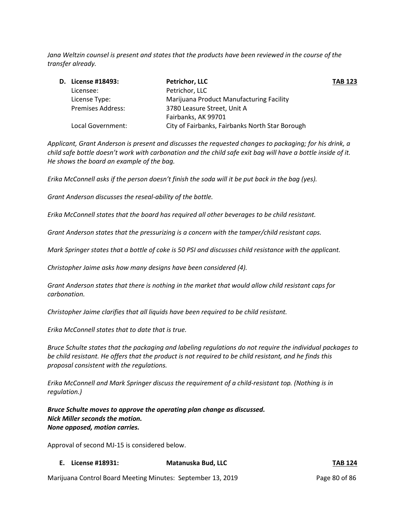*Jana Weltzin counsel is present and states that the products have been reviewed in the course of the transfer already.* 

|  | D. License #18493:       | <b>Petrichor, LLC</b>                           | <b>TAB 123</b> |
|--|--------------------------|-------------------------------------------------|----------------|
|  | Licensee:                | Petrichor, LLC                                  |                |
|  | License Type:            | Marijuana Product Manufacturing Facility        |                |
|  | <b>Premises Address:</b> | 3780 Leasure Street, Unit A                     |                |
|  |                          | Fairbanks, AK 99701                             |                |
|  | Local Government:        | City of Fairbanks, Fairbanks North Star Borough |                |

*Applicant, Grant Anderson is present and discusses the requested changes to packaging; for his drink, a child safe bottle doesn't work with carbonation and the child safe exit bag will have a bottle inside of it. He shows the board an example of the bag.* 

*Erika McConnell asks if the person doesn't finish the soda will it be put back in the bag (yes).* 

*Grant Anderson discusses the reseal-ability of the bottle.* 

*Erika McConnell states that the board has required all other beverages to be child resistant.* 

*Grant Anderson states that the pressurizing is a concern with the tamper/child resistant caps.* 

*Mark Springer states that a bottle of coke is 50 PSI and discusses child resistance with the applicant.* 

*Christopher Jaime asks how many designs have been considered (4).* 

*Grant Anderson states that there is nothing in the market that would allow child resistant caps for carbonation.* 

*Christopher Jaime clarifies that all liquids have been required to be child resistant.* 

*Erika McConnell states that to date that is true.* 

*Bruce Schulte states that the packaging and labeling regulations do not require the individual packages to be child resistant. He offers that the product is not required to be child resistant, and he finds this proposal consistent with the regulations.* 

*Erika McConnell and Mark Springer discuss the requirement of a child-resistant top. (Nothing is in regulation.)*

*Bruce Schulte moves to approve the operating plan change as discussed. Nick Miller seconds the motion. None opposed, motion carries.* 

Approval of second MJ-15 is considered below.

## **E. License #18931: Matanuska Bud, LLC TAB 124**

Marijuana Control Board Meeting Minutes: September 13, 2019 Page 80 of 86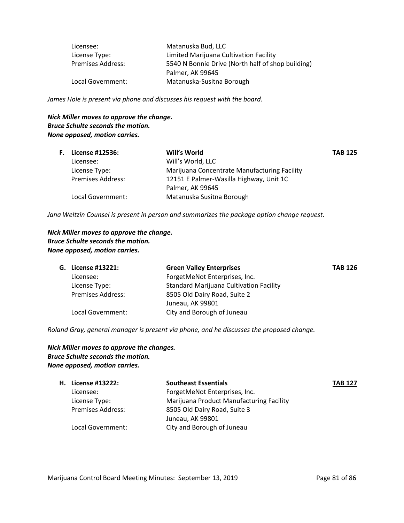| Licensee:                | Matanuska Bud, LLC                                |
|--------------------------|---------------------------------------------------|
| License Type:            | Limited Marijuana Cultivation Facility            |
| <b>Premises Address:</b> | 5540 N Bonnie Drive (North half of shop building) |
|                          | Palmer, AK 99645                                  |
| Local Government:        | Matanuska-Susitna Borough                         |

*James Hole is present via phone and discusses his request with the board.* 

# *Nick Miller moves to approve the change. Bruce Schulte seconds the motion. None opposed, motion carries.*

|                          | Will's World                                 | <b>TAB 125</b> |
|--------------------------|----------------------------------------------|----------------|
| Licensee:                | Will's World, LLC                            |                |
| License Type:            | Marijuana Concentrate Manufacturing Facility |                |
| <b>Premises Address:</b> | 12151 E Palmer-Wasilla Highway, Unit 1C      |                |
|                          | Palmer, AK 99645                             |                |
| Local Government:        | Matanuska Susitna Borough                    |                |
|                          | <b>F.</b> License #12536:                    |                |

*Jana Weltzin Counsel is present in person and summarizes the package option change request.* 

*Nick Miller moves to approve the change. Bruce Schulte seconds the motion. None opposed, motion carries.* 

| G. License #13221:       | <b>Green Valley Enterprises</b>                | <b>TAB 126</b> |
|--------------------------|------------------------------------------------|----------------|
| Licensee:                | ForgetMeNot Enterprises, Inc.                  |                |
| License Type:            | <b>Standard Marijuana Cultivation Facility</b> |                |
| <b>Premises Address:</b> | 8505 Old Dairy Road, Suite 2                   |                |
|                          | Juneau, AK 99801                               |                |
| Local Government:        | City and Borough of Juneau                     |                |

*Roland Gray, general manager is present via phone, and he discusses the proposed change.*

# *Nick Miller moves to approve the changes. Bruce Schulte seconds the motion. None opposed, motion carries.*

| <b>H.</b> License #13222: | <b>Southeast Essentials</b>              | <b>TAB 127</b> |
|---------------------------|------------------------------------------|----------------|
| Licensee:                 | ForgetMeNot Enterprises, Inc.            |                |
| License Type:             | Marijuana Product Manufacturing Facility |                |
| <b>Premises Address:</b>  | 8505 Old Dairy Road, Suite 3             |                |
|                           | Juneau, AK 99801                         |                |
| Local Government:         | City and Borough of Juneau               |                |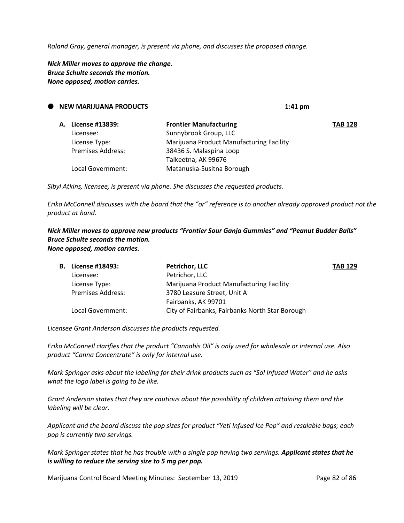*Roland Gray, general manager, is present via phone, and discusses the proposed change.* 

*Nick Miller moves to approve the change. Bruce Schulte seconds the motion. None opposed, motion carries.*

| $\bullet$ | <b>NEW MARIJUANA PRODUCTS</b> |                          | $1:41$ pm                                |                |
|-----------|-------------------------------|--------------------------|------------------------------------------|----------------|
|           |                               | A. License #13839:       | <b>Frontier Manufacturing</b>            | <b>TAB 128</b> |
|           |                               | Licensee:                | Sunnybrook Group, LLC                    |                |
|           |                               | License Type:            | Marijuana Product Manufacturing Facility |                |
|           |                               | <b>Premises Address:</b> | 38436 S. Malaspina Loop                  |                |
|           |                               |                          | Talkeetna, AK 99676                      |                |
|           |                               | Local Government:        | Matanuska-Susitna Borough                |                |

*Sibyl Atkins, licensee, is present via phone. She discusses the requested products.*

*Erika McConnell discusses with the board that the "or" reference is to another already approved product not the product at hand.* 

*Nick Miller moves to approve new products "Frontier Sour Ganja Gummies" and "Peanut Budder Balls" Bruce Schulte seconds the motion. None opposed, motion carries.* 

| <b>B.</b> License #18493: | <b>Petrichor, LLC</b>                           | <b>TAB 129</b> |
|---------------------------|-------------------------------------------------|----------------|
| Licensee:                 | Petrichor, LLC                                  |                |
| License Type:             | Marijuana Product Manufacturing Facility        |                |
| <b>Premises Address:</b>  | 3780 Leasure Street, Unit A                     |                |
|                           | Fairbanks, AK 99701                             |                |
| Local Government:         | City of Fairbanks, Fairbanks North Star Borough |                |
|                           |                                                 |                |

*Licensee Grant Anderson discusses the products requested.* 

*Erika McConnell clarifies that the product "Cannabis Oil" is only used for wholesale or internal use. Also product "Canna Concentrate" is only for internal use.*

*Mark Springer asks about the labeling for their drink products such as "Sol Infused Water" and he asks what the logo label is going to be like.* 

*Grant Anderson states that they are cautious about the possibility of children attaining them and the labeling will be clear.* 

*Applicant and the board discuss the pop sizes for product "Yeti Infused Ice Pop" and resalable bags; each pop is currently two servings.* 

*Mark Springer states that he has trouble with a single pop having two servings. Applicant states that he is willing to reduce the serving size to 5 mg per pop.* 

Marijuana Control Board Meeting Minutes: September 13, 2019 Page 82 of 86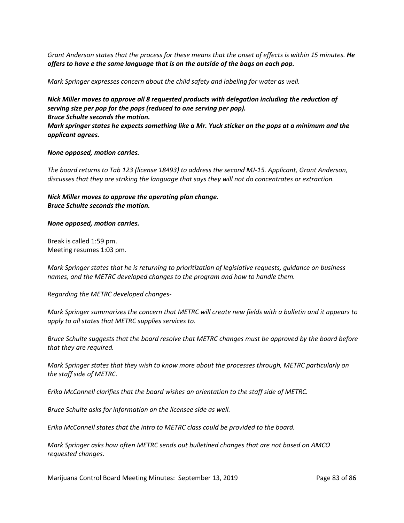*Grant Anderson states that the process for these means that the onset of effects is within 15 minutes. He offers to have e the same language that is on the outside of the bags on each pop.*

*Mark Springer expresses concern about the child safety and labeling for water as well.*

*Nick Miller moves to approve all 8 requested products with delegation including the reduction of serving size per pop for the pops (reduced to one serving per pop). Bruce Schulte seconds the motion.*

*Mark springer states he expects something like a Mr. Yuck sticker on the pops at a minimum and the applicant agrees.* 

#### *None opposed, motion carries.*

*The board returns to Tab 123 (license 18493) to address the second MJ-15. Applicant, Grant Anderson, discusses that they are striking the language that says they will not do concentrates or extraction.*

*Nick Miller moves to approve the operating plan change. Bruce Schulte seconds the motion.*

#### *None opposed, motion carries.*

Break is called 1:59 pm. Meeting resumes 1:03 pm.

*Mark Springer states that he is returning to prioritization of legislative requests, guidance on business names, and the METRC developed changes to the program and how to handle them.* 

*Regarding the METRC developed changes-*

*Mark Springer summarizes the concern that METRC will create new fields with a bulletin and it appears to apply to all states that METRC supplies services to.* 

*Bruce Schulte suggests that the board resolve that METRC changes must be approved by the board before that they are required.* 

*Mark Springer states that they wish to know more about the processes through, METRC particularly on the staff side of METRC.* 

*Erika McConnell clarifies that the board wishes an orientation to the staff side of METRC.*

*Bruce Schulte asks for information on the licensee side as well.* 

*Erika McConnell states that the intro to METRC class could be provided to the board.* 

*Mark Springer asks how often METRC sends out bulletined changes that are not based on AMCO requested changes.* 

Marijuana Control Board Meeting Minutes: September 13, 2019 Page 83 of 86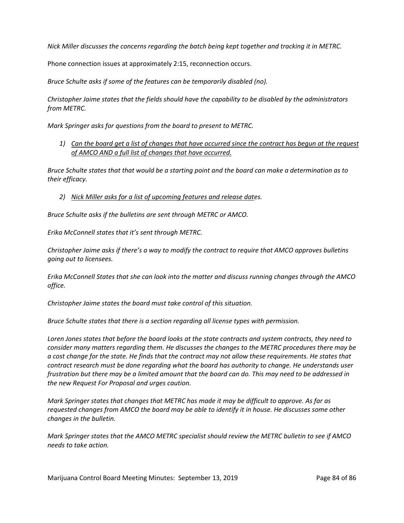*Nick Miller discusses the concerns regarding the batch being kept together and tracking it in METRC.* 

Phone connection issues at approximately 2:15, reconnection occurs.

*Bruce Schulte asks if some of the features can be temporarily disabled (no).*

*Christopher Jaime states that the fields should have the capability to be disabled by the administrators from METRC.*

*Mark Springer asks for questions from the board to present to METRC.* 

*1) Can the board get a list of changes that have occurred since the contract has begun at the request of AMCO AND a full list of changes that have occurred.* 

*Bruce Schulte states that that would be a starting point and the board can make a determination as to their efficacy.* 

*2) Nick Miller asks for a list of upcoming features and release dates.*

*Bruce Schulte asks if the bulletins are sent through METRC or AMCO.* 

*Erika McConnell states that it's sent through METRC.* 

*Christopher Jaime asks if there's a way to modify the contract to require that AMCO approves bulletins going out to licensees.* 

*Erika McConnell States that she can look into the matter and discuss running changes through the AMCO office.* 

*Christopher Jaime states the board must take control of this situation.* 

*Bruce Schulte states that there is a section regarding all license types with permission.* 

*Loren Jones states that before the board looks at the state contracts and system contracts, they need to consider many matters regarding them. He discusses the changes to the METRC procedures there may be a cost change for the state. He finds that the contract may not allow these requirements. He states that contract research must be done regarding what the board has authority to change. He understands user frustration but there may be a limited amount that the board can do. This may need to be addressed in the new Request For Proposal and urges caution.* 

*Mark Springer states that changes that METRC has made it may be difficult to approve. As far as requested changes from AMCO the board may be able to identify it in house. He discusses some other changes in the bulletin.* 

*Mark Springer states that the AMCO METRC specialist should review the METRC bulletin to see if AMCO needs to take action.*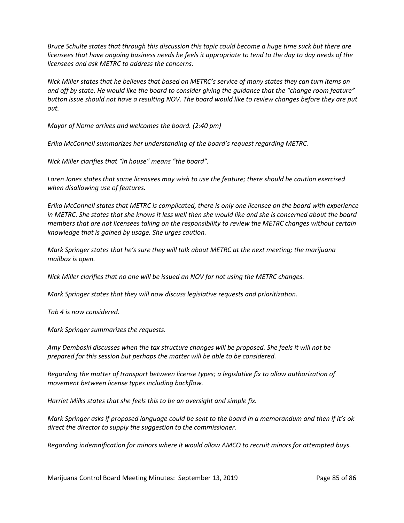*Bruce Schulte states that through this discussion this topic could become a huge time suck but there are licensees that have ongoing business needs he feels it appropriate to tend to the day to day needs of the licensees and ask METRC to address the concerns.* 

*Nick Miller states that he believes that based on METRC's service of many states they can turn items on and off by state. He would like the board to consider giving the guidance that the "change room feature" button issue should not have a resulting NOV. The board would like to review changes before they are put out.* 

*Mayor of Nome arrives and welcomes the board. (2:40 pm)*

*Erika McConnell summarizes her understanding of the board's request regarding METRC.* 

*Nick Miller clarifies that "in house" means "the board".*

*Loren Jones states that some licensees may wish to use the feature; there should be caution exercised when disallowing use of features.*

*Erika McConnell states that METRC is complicated, there is only one licensee on the board with experience in METRC. She states that she knows it less well then she would like and she is concerned about the board members that are not licensees taking on the responsibility to review the METRC changes without certain knowledge that is gained by usage. She urges caution.* 

*Mark Springer states that he's sure they will talk about METRC at the next meeting; the marijuana mailbox is open.* 

*Nick Miller clarifies that no one will be issued an NOV for not using the METRC changes.* 

*Mark Springer states that they will now discuss legislative requests and prioritization.* 

*Tab 4 is now considered.*

*Mark Springer summarizes the requests.*

*Amy Demboski discusses when the tax structure changes will be proposed. She feels it will not be prepared for this session but perhaps the matter will be able to be considered.* 

*Regarding the matter of transport between license types; a legislative fix to allow authorization of movement between license types including backflow.*

*Harriet Milks states that she feels this to be an oversight and simple fix.* 

*Mark Springer asks if proposed language could be sent to the board in a memorandum and then if it's ok direct the director to supply the suggestion to the commissioner.* 

*Regarding indemnification for minors where it would allow AMCO to recruit minors for attempted buys.*